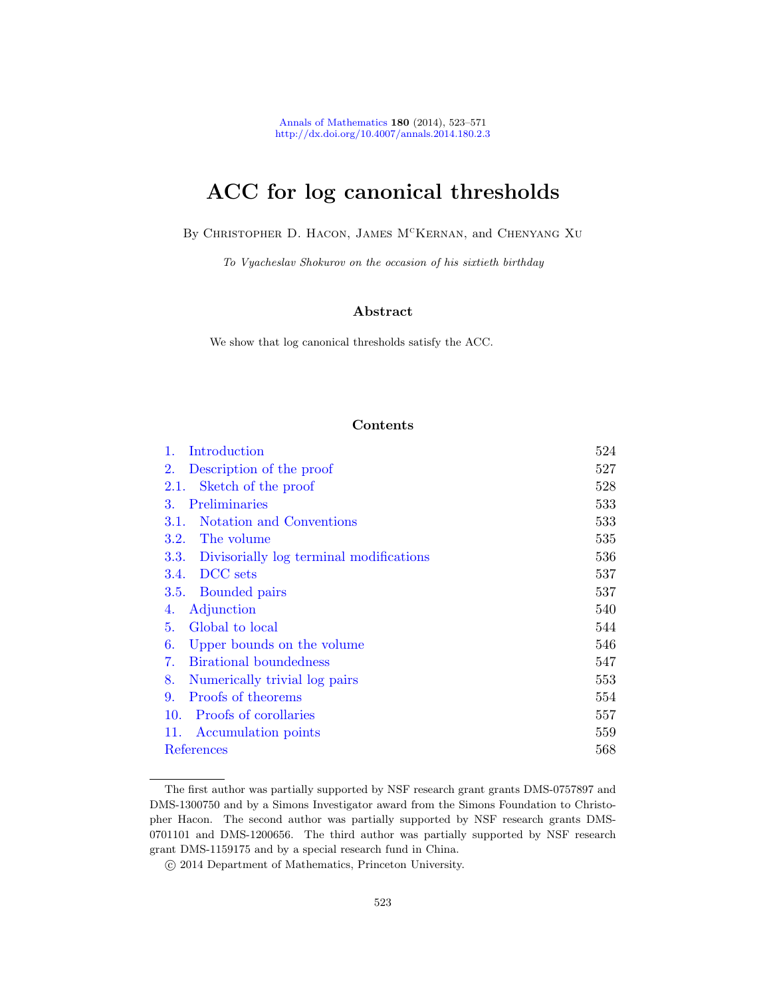Annals of Mathematics 180 (2014), 523–571 http://dx.doi.org/10.4007/annals.2014.180.2.3

# ACC for log canonical thresholds

By CHRISTOPHER D. HACON, JAMES M<sup>C</sup>KERNAN, and CHENYANG XU

To Vyacheslav Shokurov on the occasion of his sixtieth birthday

# Abstract

We show that log canonical thresholds satisfy the ACC.

# Contents

| 1.<br>Introduction                              | 524 |
|-------------------------------------------------|-----|
| 2.<br>Description of the proof                  | 527 |
| Sketch of the proof<br>2.1.                     | 528 |
| Preliminaries<br>3.                             | 533 |
| Notation and Conventions<br>3.1.                | 533 |
| 3.2.<br>The volume                              | 535 |
| 3.3.<br>Divisorially log terminal modifications | 536 |
| DCC sets<br>3.4.                                | 537 |
| Bounded pairs<br>3.5.                           | 537 |
| Adjunction<br>4.                                | 540 |
| Global to local<br>5.                           | 544 |
| Upper bounds on the volume<br>6.                | 546 |
| Birational boundedness<br>7.                    | 547 |
| Numerically trivial log pairs<br>8.             | 553 |
| Proofs of theorems<br>9.                        | 554 |
| Proofs of corollaries<br>10.                    | 557 |
| 11.<br>Accumulation points                      | 559 |
| References                                      | 568 |

The first author was partially supported by NSF research grant grants DMS-0757897 and DMS-1300750 and by a Simons Investigator award from the Simons Foundation to Christopher Hacon. The second author was partially supported by NSF research grants DMS-0701101 and DMS-1200656. The third author was partially supported by NSF research grant DMS-1159175 and by a special research fund in China.

c 2014 Department of Mathematics, Princeton University.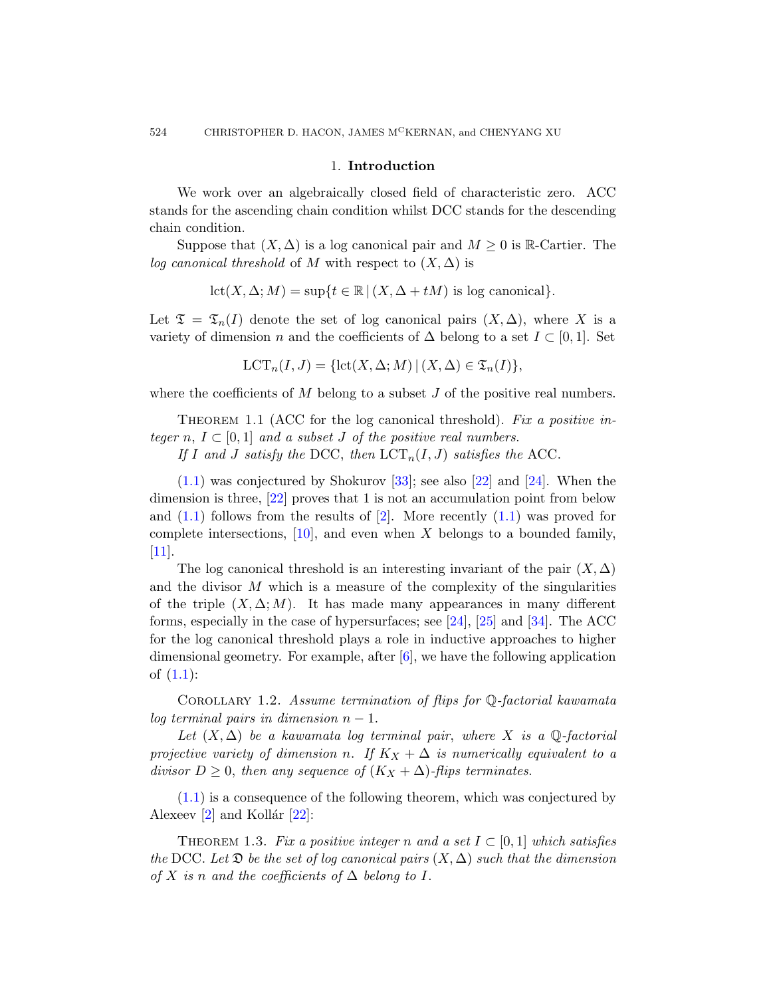# 1. Introduction

We work over an algebraically closed field of characteristic zero. ACC stands for the ascending chain condition whilst DCC stands for the descending chain condition.

Suppose that  $(X, \Delta)$  is a log canonical pair and  $M \geq 0$  is R-Cartier. The log canonical threshold of M with respect to  $(X, \Delta)$  is

$$
let(X, \Delta; M) = sup\{t \in \mathbb{R} \mid (X, \Delta + tM) \text{ is log canonical}\}.
$$

<span id="page-1-0"></span>Let  $\mathfrak{T} = \mathfrak{T}_n(I)$  denote the set of log canonical pairs  $(X, \Delta)$ , where X is a variety of dimension n and the coefficients of  $\Delta$  belong to a set  $I \subset [0,1]$ . Set

$$
LCT_n(I, J) = \{ \text{lct}(X, \Delta; M) \mid (X, \Delta) \in \mathfrak{T}_n(I) \},
$$

where the coefficients of  $M$  belong to a subset  $J$  of the positive real numbers.

THEOREM [1](#page-45-0).1 (ACC for the [log c](#page-1-0)anonical threshold). Fix a positive integer n,  $I \subset [0, 1]$  and a subset J of the positive real numbers.

If I and J satisfy the DCC, then  $\text{LCT}_n(I, J)$  satisfies the ACC.

 $(1.1)$  was conjectured by Shokurov [33]; see also [22] and [24]. When the dimension is three, [22] proves that 1 is not an accumulation point from below and  $(1.1)$  follows from the [re](#page-47-1)su[lts](#page-47-2) of  $[2]$ [. M](#page-48-1)ore recently  $(1.1)$  was proved for complete intersections,  $[10]$ , and even when X belongs to a bounded family, [11].

<span id="page-1-2"></span>The log canonical threshold is an interesting invariant of the pair  $(X, \Delta)$ and the divisor  $M$  which is a measure of the complexity of the singularities of the triple  $(X, \Delta; M)$ . It has made many appearances in many different forms, especially in the case of hypersurfaces; see [24], [25] and [34]. The ACC for the log canonical threshold plays a role in inductive approaches to higher dimensional geometry. For example, after [6], we have the following application of (1.1):

COROLLARY 1.2. Assume termination of flips for  $\mathbb{Q}$ -factorial kawamata log terminal pairs in dimension  $n-1$ .

<span id="page-1-1"></span>Let  $(X, \Delta)$  be a kawamata log terminal pair, where X is a Q-factorial projective variety of dimension n. If  $K_X + \Delta$  is numerically equivalent to a divisor  $D \geq 0$ , then any sequence of  $(K_X + \Delta)$ -flips terminates.

(1.1) is a consequence of the following theorem, which was conjectured by Alexeev  $\boxed{2}$  and Kollár  $\boxed{22}$ :

THEOREM 1.3. Fix a positive integer n and a set  $I \subset [0,1]$  which satisfies the DCC. Let  $\mathfrak D$  be the set of log canonical pairs  $(X, \Delta)$  such that the dimension of X is n and the coefficients of  $\Delta$  belong to I.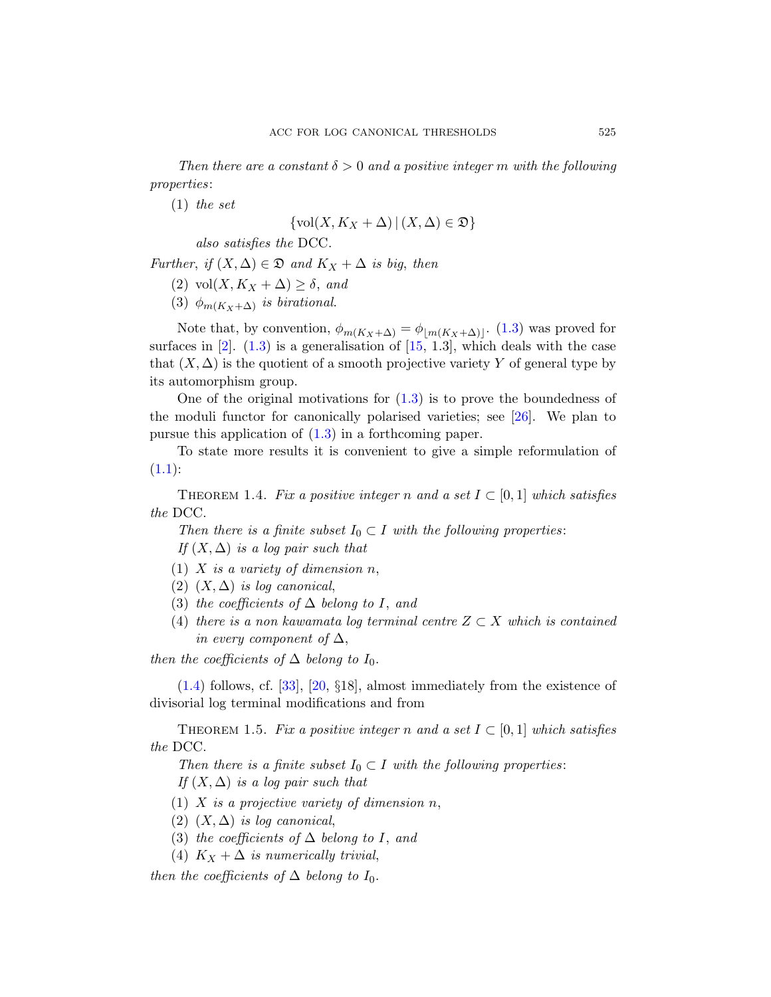Then there are a constant  $\delta > 0$  and a positive integer m with the following properties:

(1) the set

$$
\{\text{vol}(X, K_X + \Delta) \,|\, (X, \Delta) \in \mathfrak{D}\}\
$$

also satisfie[s th](#page-46-0)e DCC.

Further, if  $(X, \Delta) \in \mathfrak{D}$  and  $K_X + \Delta$  is big, then

- (2) vol $(X, K_X + \Delta) \geq \delta$ , and
- (3)  $\phi_{m(K_X+\Delta)}$  is birational.

[No](#page-1-1)te that, by convention,  $\phi_{m(K_X+\Delta)} = \phi_{\lfloor m(K_X+\Delta) \rfloor}$ . (1.3) was proved for surfaces in  $[2]$ .  $(1.3)$  is a generalisation of  $[15, 1.3]$ , which deals with the case that  $(X, \Delta)$  is the quotient of a smooth projective variety Y of general type by its automorphism group.

<span id="page-2-1"></span>One of the original motivations for  $(1.3)$  is to prove the boundedness of the moduli functor for canonically polarised varieties; see [26]. We plan to pursue this application of (1.3) in a forthcoming paper.

To state more results it is convenient to give a simple reformulation of  $(1.1):$ 

THEOREM 1.4. Fix a positive integer n and a set  $I \subset [0,1]$  which satisfies the DCC.

Then there is a finite subset  $I_0 \subset I$  with the following properties: If  $(X, \Delta)$  is a log pair such that

- [\(1\)](#page-47-3) X is a variety of dimension  $n$ ,
- (2)  $(X, \Delta)$  is log canonical,
- (3) the coefficients of  $\Delta$  belong to I, and
- (4) there is a non kawamata log terminal centre  $Z \subset X$  which is contained in every component of  $\Delta$ ,

<span id="page-2-0"></span>then the coefficients of  $\Delta$  belong to  $I_0$ .

(1.4) follows, cf. [33], [20, §18], almost immediately from the existence of divisorial log terminal modifications and from

THEOREM 1.5. Fix a positive integer n and a set  $I \subset [0,1]$  which satisfies the DCC.

Then there is a finite subset  $I_0 \subset I$  with the following properties: If  $(X, \Delta)$  is a log pair such that

- (1)  $X$  is a projective variety of dimension n,
- (2)  $(X, \Delta)$  is log canonical,
- (3) the coefficients of  $\Delta$  belong to I, and
- (4)  $K_X + \Delta$  is numerically trivial,

then the coefficients of  $\Delta$  belong to  $I_0$ .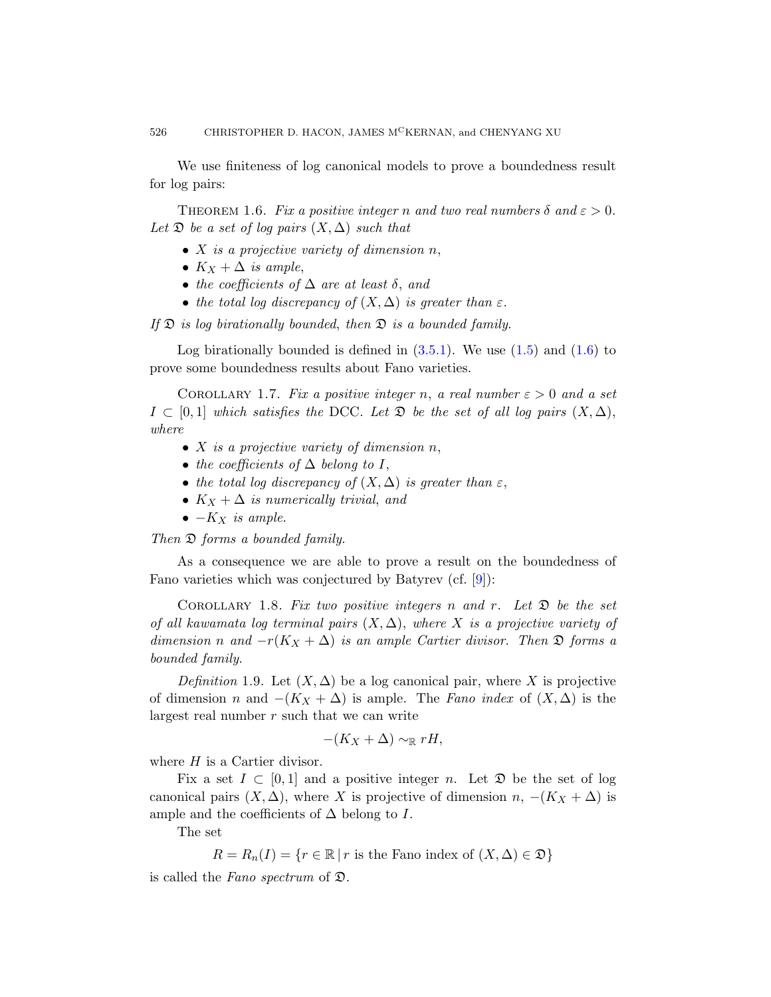<span id="page-3-0"></span>We use finiteness of log canonical models to prove a boundedness result for log pairs:

THEOREM 1.6. Fix a positive integer n and two real numbers  $\delta$  and  $\varepsilon > 0$ . Let  $\mathfrak D$  be a set of log pairs  $(X, \Delta)$  such that

- $X$  is a projec[tive va](#page-14-0)riety of di[men](#page-2-0)sion  $n$ [,](#page-3-0)
- $K_X + \Delta$  is ample,
- the coefficients of  $\Delta$  are at least  $\delta$ , and
- the total log discrepancy of  $(X, \Delta)$  is greater than  $\varepsilon$ .

If  $\mathfrak D$  is log birationally bounded, then  $\mathfrak D$  is a bounded family.

Log birationally bounded is defined in  $(3.5.1)$ . We use  $(1.5)$  and  $(1.6)$  to prove some boundedness results about Fano varieties.

COROLLARY 1.7. Fix a positive integer n, a real number  $\varepsilon > 0$  and a set  $I \subset [0,1]$  which satisfies the DCC. Let  $\mathfrak{D}$  be the set of all log pairs  $(X, \Delta)$ , where

- $X$  is a projective variety of dimension  $n$ ,
- the coefficients of  $\Delta$  bel[on](#page-46-1)g to I,
- the total log discrepancy of  $(X, \Delta)$  is greater than  $\varepsilon$ ,
- $K_X + \Delta$  is numerically trivial, and
- $\bullet$   $K_X$  is ample.

Then  $\mathfrak D$  forms a bounded family.

As a consequence we are able to prove a result on the boundedness of Fano varieties which was conjectured by Batyrev (cf. [9]):

COROLLARY 1.8. Fix two positive integers n and r. Let  $\mathfrak D$  be the set of all kawamata log terminal pairs  $(X, \Delta)$ , where X is a projective variety of dimension n and  $-r(K_X + \Delta)$  is an ample Cartier divisor. Then  $\mathfrak D$  forms a bounded family.

Definition 1.9. Let  $(X, \Delta)$  be a log canonical pair, where X is projective of dimension n and  $-(K_X + \Delta)$  is ample. The Fano index of  $(X, \Delta)$  is the largest real number r such that we can write

$$
-(K_X+\Delta)\sim_{\mathbb{R}} rH,
$$

where  $H$  is a Cartier divisor.

Fix a set  $I \subset [0,1]$  and a positive integer n. Let  $\mathfrak D$  be the set of log canonical pairs  $(X, \Delta)$ , where X is projective of dimension  $n, -(K_X + \Delta)$  is ample and the coefficients of  $\Delta$  belong to I.

The set

$$
R = R_n(I) = \{r \in \mathbb{R} \mid r \text{ is the Fano index of } (X, \Delta) \in \mathfrak{D}\}\
$$

is called the Fano spectrum of  $\mathfrak{D}$ .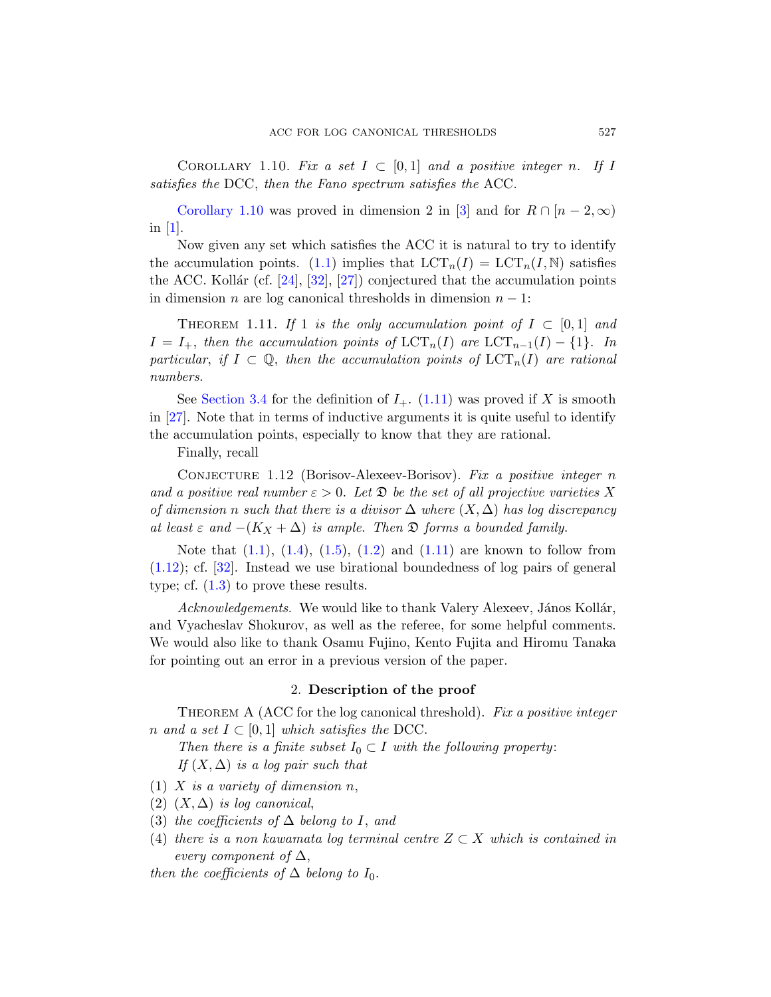[C](#page-47-4)OROLLARY 1.10. Fix a set  $I \subset [0,1]$  and a p[o](#page-1-0)sitive integer n. If I satisfies the DCC, then the Fano spectrum satisfies the ACC.

<span id="page-4-0"></span>Corollary 1.10 was proved in dimension 2 in [3] and for  $R \cap [n-2,\infty)$ in [1].

Now given any set which satisfies the ACC it is natural to try to identify the accumulation points. (1.1) implies that  $LCT_n(I) = LCT_n(I, N)$  satisfies the ACC. Kollár (cf. [24], [32], [27]) conjectured that the accumulation points in dimension *n* are lo[g cano](#page-4-0)nical thresholds in dimension  $n - 1$ :

THEOREM 1.11. If 1 is the only accumulation point of  $I \subset [0,1]$  and  $I = I_+$ , then the accumulation points of  $\mathrm{LCT}_n(I)$  are  $\mathrm{LCT}_{n-1}(I) - \{1\}$ . In particular, if  $I \subset \mathbb{Q}$ , then the accumulation points of  $\mathrm{LCT}_n(I)$  are rational numbers.

See Section 3.4 for the definition of  $I_{+}$ . (1.11) was proved if X is smooth in [27]. Note that in terms of inductive arguments it is quite useful to identify [the](#page-2-1) a[ccum](#page-2-0)ul[atio](#page-1-2)n poin[ts, es](#page-4-0)pecially to know that they are rational.

Finally, recall

CONJECTURE 1.12 (Borisov-Alexeev-Borisov). Fix a positive integer n and a positive real number  $\varepsilon > 0$ . Let  $\mathfrak D$  be the set of all projective varieties X of dimension n such that there is a divisor  $\Delta$  where  $(X, \Delta)$  has log discrepancy at least  $\varepsilon$  and  $-(K_X + \Delta)$  is ample. Then  $\mathfrak D$  forms a bounded family.

Note that  $(1.1)$ ,  $(1.4)$ ,  $(1.5)$ ,  $(1.2)$  and  $(1.11)$  are known to follow from (1.12); cf. [32]. Instead we use birational boundedness of log pairs of general type; cf.  $(1.3)$  to prove these results.

<span id="page-4-1"></span>Acknowledgements. We would like to thank Valery Alexeev, János Kollár, and Vyacheslav Shokurov, as well as the referee, for some helpful comments. We would also like to thank Osamu Fujino, Kento Fujita and Hiromu Tanaka for pointing out an error in a previous version of the paper.

# 2. Description of the proof

THEOREM A (ACC for the log canonical threshold). Fix a positive integer n and a set  $I \subset [0,1]$  which satisfies the DCC.

Then there is a finite subset  $I_0 \subset I$  with the following property: If  $(X, \Delta)$  is a log pair such that

- (1) X is a variety of dimension  $n$ ,
- (2)  $(X, \Delta)$  is log canonical,
- (3) the coefficients of  $\Delta$  belong to I, and
- (4) there is a non kawamata log terminal centre  $Z \subset X$  which is contained in every component of  $\Delta$ ,

then the coefficients of  $\Delta$  belong to  $I_0$ .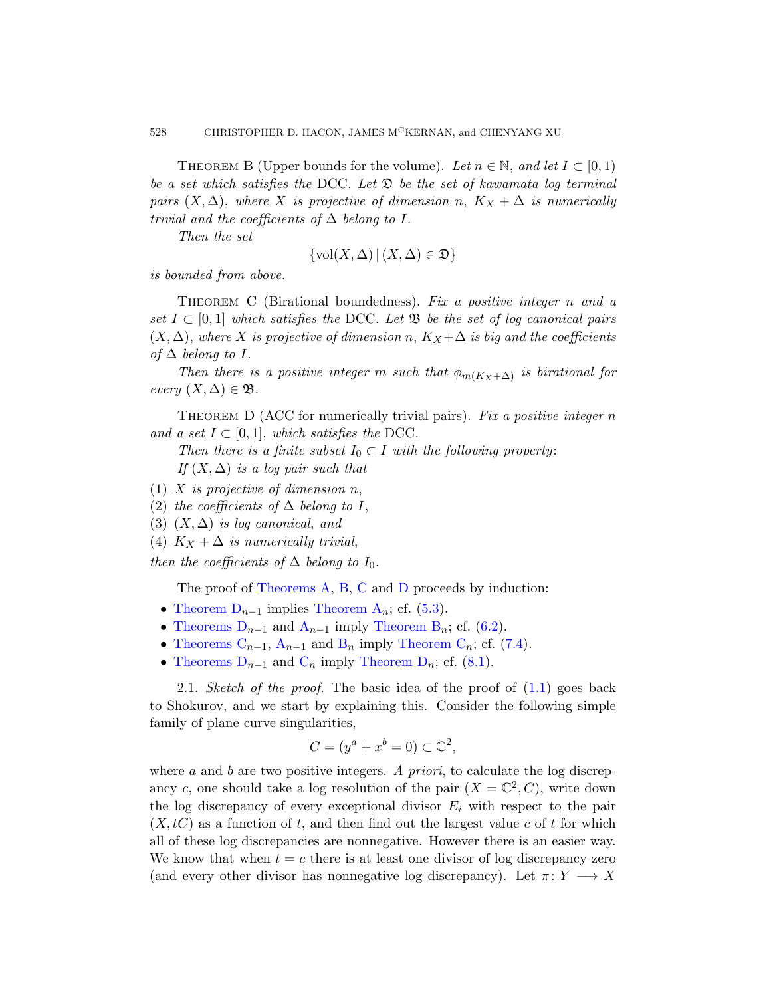<span id="page-5-1"></span><span id="page-5-0"></span>THEOREM B (Upper bounds for the volume). Let  $n \in \mathbb{N}$ , and let  $I \subset [0,1)$ be a set which satisfies the DCC. Let  $\mathfrak D$  be the set of kawamata log terminal pairs  $(X, \Delta)$ , where X is projective of dimension n,  $K_X + \Delta$  is numerically trivial and the coefficients of  $\Delta$  belong to I.

Then the set

$$
\{\text{vol}(X,\Delta) \,|\, (X,\Delta) \in \mathfrak{D}\}
$$

is bounded from above.

<span id="page-5-2"></span>THEOREM C (Birational boundedness). Fix a positive integer n and a set  $I \subset [0,1]$  which satisfies the DCC. Let  $\mathfrak{B}$  be the set of log canonical pairs  $(X, \Delta)$ , where X is projective of dimension n,  $K_X + \Delta$  is big and the coefficients of  $\Delta$  belong to I.

Then there is a positive integer m such that  $\phi_{m(K_X+\Delta)}$  is birational for every  $(X, \Delta) \in \mathfrak{B}$ .

THEOREM D (ACC for numerically trivial pairs). Fix a positive integer  $n$ and a set  $I \subset [0,1]$ , which satisfies the DCC.

Then there is a finite subset  $I_0 \subset I$  with the following property: If  $(X, \Delta)$  is a log pair such that

[\(1\)](#page-4-1) X i[s p](#page-5-0)[roje](#page-5-1)ctiv[e o](#page-5-2)f dimension  $n$ ,

(2) [the coefficien](#page-4-1)ts of  $\Delta$  belong [to](#page-24-1) I,

([3\)](#page-4-1)  $(X, \Delta)$  is [log canonica](#page-5-0)l, and

(4)  $K_X + \Delta$  $K_X + \Delta$  $K_X + \Delta$  is n[umerically tr](#page-5-1)ivial,

t[hen](#page-5-1) the co[efficients of](#page-5-2)  $\Delta$  bel[ong t](#page-30-1)o  $I_0$ .

The proof of Theorems A, B, C and [D](#page-1-0) proceeds by induction:

- Theorem  $D_{n-1}$  implies Theorem  $A_n$ ; cf. (5.3).
- Theorems  $D_{n-1}$  and  $A_{n-1}$  imply Theorem  $B_n$ ; cf. (6.2).
- Theorems  $C_{n-1}$ ,  $A_{n-1}$  and  $B_n$  imply Theorem  $C_n$ ; cf. (7.4).
- Theorems  $D_{n-1}$  and  $C_n$  imply Theorem  $D_n$ ; cf. (8.1).

2.1. Sketch of the proof. The basic idea of the proof of  $(1.1)$  goes back to Shokurov, and we start by explaining this. Consider the following simple family of plane curve singularities,

$$
C = (y^a + x^b = 0) \subset \mathbb{C}^2,
$$

where a and b are two positive integers. A priori, to calculate the log discrepancy c, one should take a log resolution of the pair  $(X = \mathbb{C}^2, C)$ , write down the log discrepancy of every exceptional divisor  $E_i$  with respect to the pair  $(X, tC)$  as a function of t, and then find out the largest value c of t for which all of these log discrepancies are nonnegative. However there is an easier way. We know that when  $t = c$  there is at least one divisor of log discrepancy zero (and every other divisor has nonnegative log discrepancy). Let  $\pi: Y \longrightarrow X$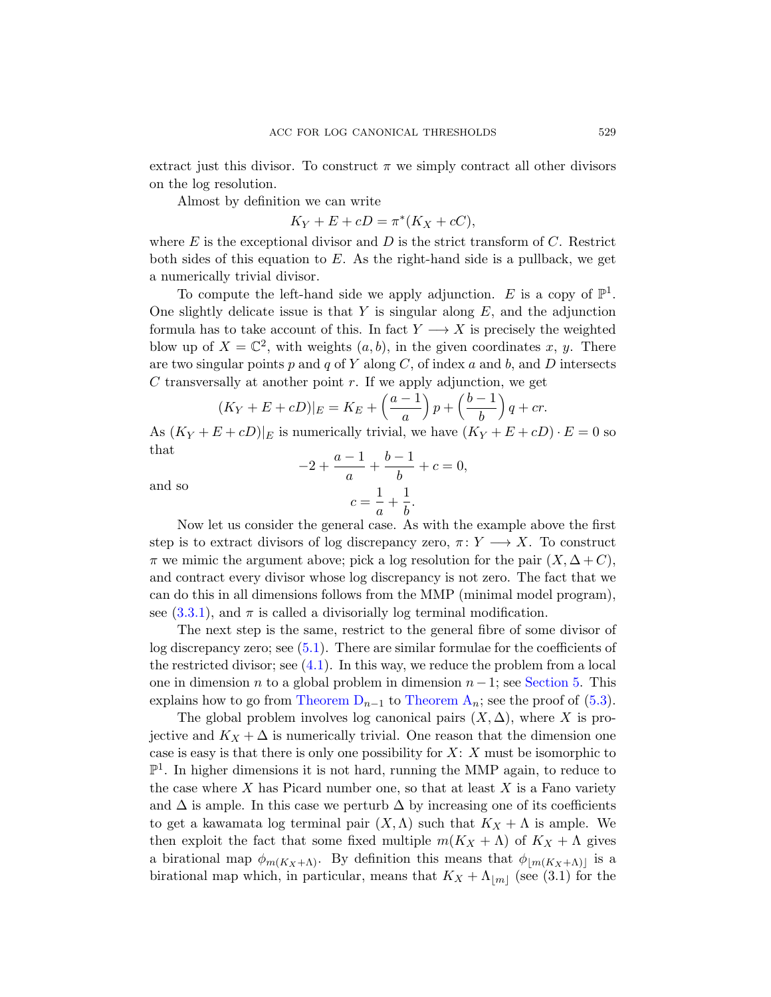extract just this divisor. To construct  $\pi$  we simply contract all other divisors on the log resolution.

Almost by definition we can write

$$
K_Y + E + cD = \pi^*(K_X + cC),
$$

where  $E$  is the exceptional divisor and  $D$  is the strict transform of  $C$ . Restrict both sides of this equation to  $E$ . As the right-hand side is a pullback, we get a numerically trivial divisor.

To compute the left-hand side we apply adjunction. E is a copy of  $\mathbb{P}^1$ . One slightly delicate issue is that  $Y$  is singular along  $E$ , and the adjunction formula has to take account of this. In fact  $Y \longrightarrow X$  is precisely the weighted blow up of  $X = \mathbb{C}^2$ , with weights  $(a, b)$ , in the given coordinates x, y. There are two singular points  $p$  and  $q$  of  $Y$  along  $C$ , of index  $a$  and  $b$ , and  $D$  intersects C transversally at another point  $r$ . If we apply adjunction, we get

$$
(K_Y + E + cD)|_E = K_E + \left(\frac{a-1}{a}\right)p + \left(\frac{b-1}{b}\right)q + cr.
$$

As  $(K_Y + E + cD)|_E$  is numerically trivial, we have  $(K_Y + E + cD) \cdot E = 0$  so that

and so

$$
-2 + \frac{a-1}{a} + \frac{b-1}{b} + c = 0,
$$
  

$$
c = \frac{1}{a} + \frac{1}{b}.
$$

Now let us consider the general case. As with the example above the first st[ep i](#page-21-0)s to extract divisors of log discrepancy zero,  $\pi: Y \longrightarrow X$ . To construct  $\pi$  [we m](#page-17-0)imic the argument above; pick a log resolution for the pair  $(X, \Delta+C)$ , and contract every divisor whose log di[screpancy](#page-21-1) is not zero. The fact that we c[an do this in](#page-5-2) all di[mensions foll](#page-4-1)ows from the MM[P \(m](#page-23-1)inimal model program), see  $(3.3.1)$ , and  $\pi$  is called a divisorially log terminal modification.

The next step is the same, restrict to the general fibre of some divisor of log discrepancy zero; see (5.1). There are similar formulae for the coefficients of the restricted divisor; see  $(4.1)$ . In this way, we reduce the problem from a local one in dimension *n* to a global problem in dimension  $n-1$ ; see Section 5. This explains how to go from Theorem  $D_{n-1}$  to Theorem  $A_n$ ; see the proof of (5.3).

The global problem involves log canonical pairs  $(X, \Delta)$ , where X is projective and  $K_X + \Delta$  is numerically trivial. One reason that the dimension one case is easy is that there is only one possibility for  $X: X$  must be isomorphic to  $\mathbb{P}^1$ . In higher dimensions it is not hard, running the MMP again, to reduce to the case where  $X$  has Picard number one, so that at least  $X$  is a Fano variety and  $\Delta$  is ample. In this case we perturb  $\Delta$  by increasing one of its coefficients to get a kawamata log terminal pair  $(X, \Lambda)$  such that  $K_X + \Lambda$  is ample. We then exploit the fact that some fixed multiple  $m(K_X + \Lambda)$  of  $K_X + \Lambda$  gives a birational map  $\phi_{m(K_X+\Lambda)}$ . By definition this means that  $\phi_{\lfloor m(K_X+\Lambda) \rfloor}$  is a birational map which, in particular, means that  $K_X + \Lambda_{|m|}$  (see (3.1) for the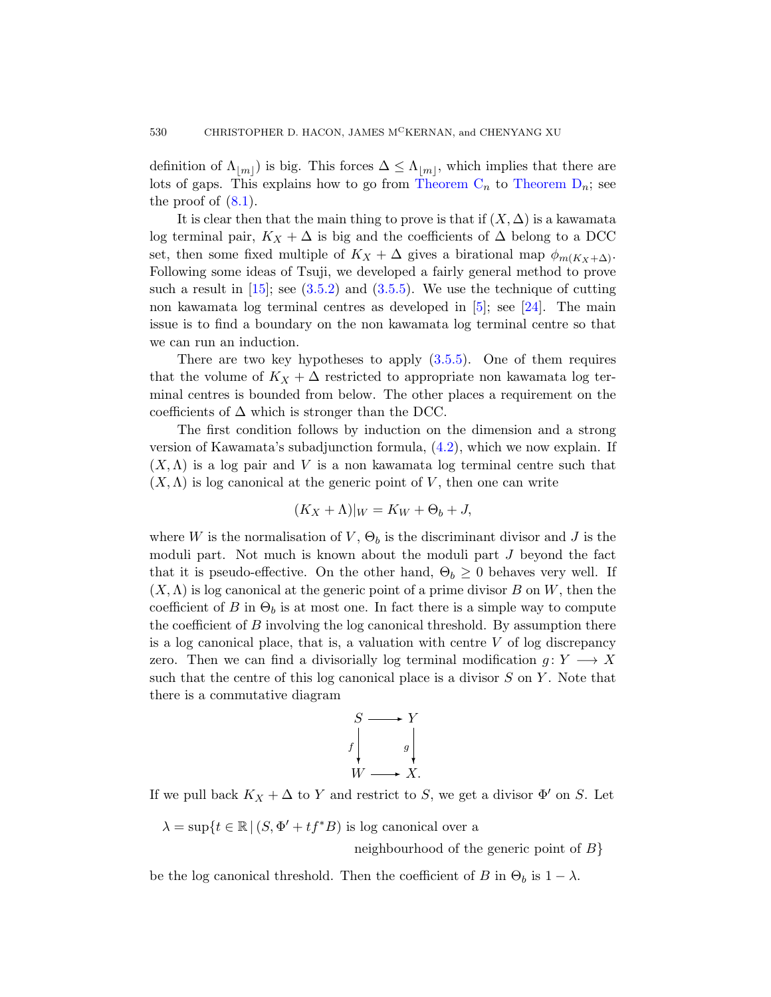definition of  $\Lambda_{|m|}$  is big. This forces  $\Delta \leq \Lambda_{|m|}$ , which implies that there are lot[s of g](#page-14-1)aps. [This e](#page-16-0)xplains ho[w t](#page-46-2)o go [from](#page-47-1) Theorem  $C_n$  to Theorem  $D_n$ ; see the proof of  $(8.1)$ .

It is clear then that the main thing to prove is that if  $(X, \Delta)$  is a kawamata log terminal pair,  $K_X + \Delta$  is big and the coefficients of  $\Delta$  belong to a DCC set, then some fixed m[ultiple](#page-16-0) of  $K_X + \Delta$  gives a birational map  $\phi_{m(K_X + \Delta)}$ . Following some ideas of Tsuji, we developed a fairly general method to prove such a result in  $[15]$ ; see  $(3.5.2)$  and  $(3.5.5)$ . We use the technique of cutting non kawamata log terminal centres as developed in [5]; see [24]. The main issue is to find a boundary on the non kawamata log terminal centre so that we can run an induction[.](#page-17-1)

There are two key hypotheses to apply  $(3.5.5)$ . One of them requires that the volume of  $K_X + \Delta$  restricted to appropriate non kawamata log terminal centres is bounded from below. The other places a requirement on the coefficients of  $\Delta$  which is stronger than the DCC.

The first condition follows by induction on the dimension and a strong version of Kawamata's subadjunction formula, (4.2), which we now explain. If  $(X, \Lambda)$  is a log pair and V is a non kawamata log terminal centre such that  $(X, \Lambda)$  is log canonical at the generic point of V, then one can write

$$
(K_X + \Lambda)|_W = K_W + \Theta_b + J,
$$

where W is the normalisation of  $V$ ,  $\Theta_b$  is the discriminant divisor and J is the moduli part. Not much is known about the moduli part J beyond the fact that it is pseudo-effective. On the other hand,  $\Theta_b \geq 0$  behaves very well. If  $(X, \Lambda)$  is log canonical at the generic point of a prime divisor B on W, then the coefficient of B in  $\Theta_b$  is at most one. In fact there is a simple way to compute the coefficient of B involving the log canonical threshold. By assumption there is a log canonical place, that is, a valuation with centre  $V$  of log discrepancy zero. Then we can find a divisorially log terminal modification  $g: Y \longrightarrow X$ such that the centre of this log canonical place is a divisor  $S$  on  $Y$ . Note that there is a commutative diagram



If we pull back  $K_X + \Delta$  to Y and restrict to S, we get a divisor  $\Phi'$  on S. Let

 $\lambda = \sup\{t \in \mathbb{R} \mid (S, \Phi' + tf^*B) \text{ is log canonical over a }\}$ 

neighbourhood of the generic point of  $B$ }

be the log canonical threshold. Then the coefficient of B in  $\Theta_b$  is  $1 - \lambda$ .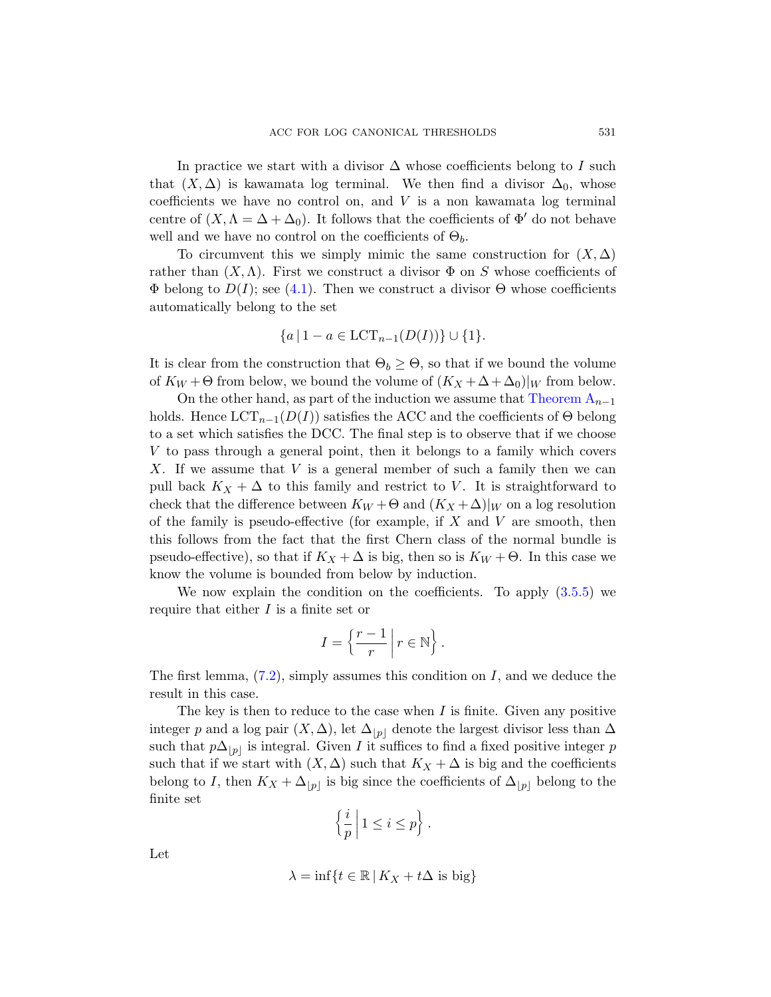In practice we start with a divisor  $\Delta$  whose coefficients belong to I such [that](#page-17-0)  $(X, \Delta)$  is kawamata log terminal. We then find a divisor  $\Delta_0$ , whose coefficients we have no control on, and  $V$  is a non kawamata log terminal centre of  $(X, \Lambda = \Delta + \Delta_0)$ . It follows that the coefficients of  $\Phi'$  do not behave well and we have no control on the coefficients of  $\Theta_b$ .

To circumvent this we simply mimic the same construction for  $(X, \Delta)$ rather than  $(X, \Lambda)$ . First we construct a divisor  $\Phi$  on S whose coefficients of  $\Phi$  belong to  $D(I)$ ; see (4.1). Then we c[onstruct a di](#page-4-1)visor  $\Theta$  whose coefficients automatically belong to the set

$$
\{a \mid 1 - a \in \text{LCT}_{n-1}(D(I))\} \cup \{1\}.
$$

It is clear from the construction that  $\Theta_b \geq \Theta$ , so that if we bound the volume of  $K_W + \Theta$  from below, we bound the volume of  $(K_X + \Delta + \Delta_0)|_W$  from below.

On the other hand, as part of the induction we assume that Theorem  $A_{n-1}$ holds. Hence  $LCT_{n-1}(D(I))$  satisfies the ACC and the coefficients of  $\Theta$  belong to a set which satisfies the DCC. The final step is to observe that if we choose V to pass through a general point, then it belongs to a family which covers X. If we assume that  $V$  is a general member of such a family then we can pull back  $K_X + \Delta$  to this family and restri[ct to](#page-16-0) V. It is straightforward to check that the difference between  $K_W + \Theta$  and  $(K_X + \Delta)|_W$  on a log resolution of the family is pseudo-effective (for example, if  $X$  and  $V$  are smooth, then this follows from the fact that the first Chern class of the normal bundle is pseudo-effective), so that if  $K_X + \Delta$  is big, then so is  $K_W + \Theta$ . In this case we know the volume is bounded from below by induction.

We now explain the condition on the coefficients. To apply  $(3.5.5)$  we require that either I is a finite set or

$$
I = \left\{ \frac{r-1}{r} \, \middle| \, r \in \mathbb{N} \right\}.
$$

The first lemma,  $(7.2)$ , simply assumes this condition on I, and we deduce the result in this case.

The key is then to reduce to the case when  $I$  is finite. Given any positive integer p and a log pair  $(X, \Delta)$ , let  $\Delta_{|p|}$  denote the largest divisor less than  $\Delta$ such that  $p\Delta_{|p|}$  is integral. Given I it suffices to find a fixed positive integer p such that if we start with  $(X, \Delta)$  such that  $K_X + \Delta$  is big and the coefficients belong to I, then  $K_X + \Delta_{|p|}$  is big since the coefficients of  $\Delta_{|p|}$  belong to the finite set

$$
\left\{\frac{i}{p}\,\middle|\, 1\leq i\leq p\right\}.
$$

Let

$$
\lambda = \inf\{t \in \mathbb{R} \,|\, K_X + t\Delta \text{ is big}\}
$$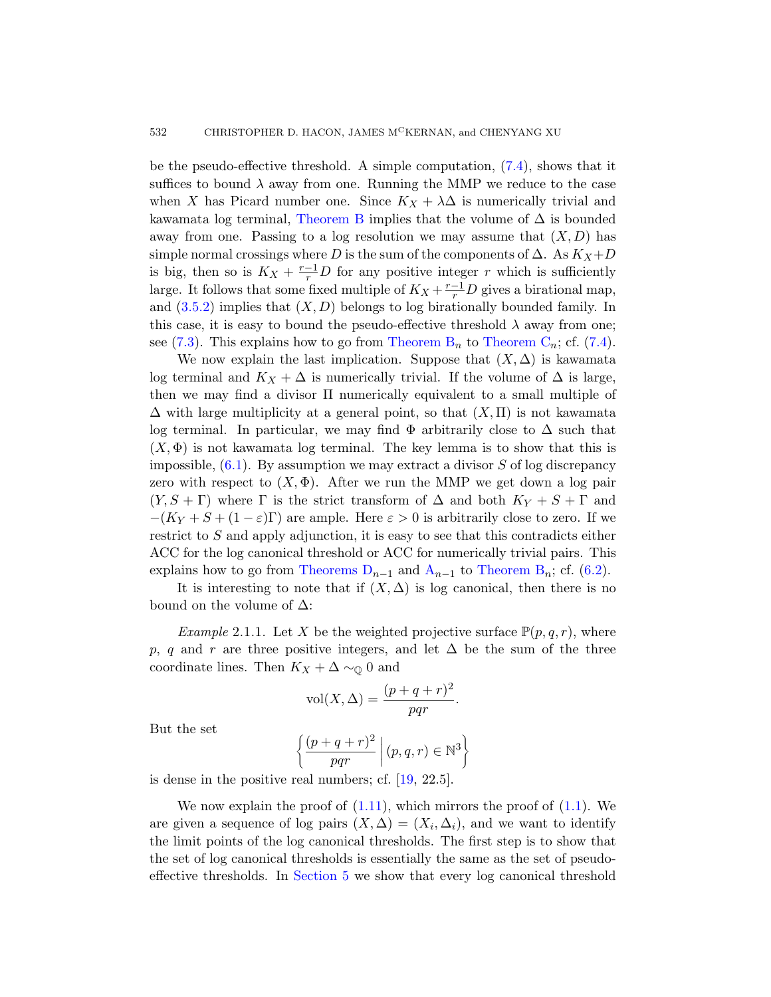be the pseudo-effective threshold. A simple computation, (7.4), shows that it suffices to bound  $\lambda$  away from one. Running the MMP we reduce to the case when X has Picard number one. Since  $K_X + \lambda \Delta$  is numerically trivial and kawamata log terminal, Theorem B implies that the volume of  $\Delta$  is bounded away from one. [Passing to](#page-5-0) a lo[g resolution](#page-5-1) we [may](#page-28-0) assume that  $(X, D)$  has simple normal crossings where D is the sum of the components of  $\Delta$ . As  $K_X+D$ is big, then so is  $K_X + \frac{r-1}{r}D$  for any positive integer r which is sufficiently large. It follows that some fixed multiple of  $K_X + \frac{r-1}{r}D$  gives a birational map, and  $(3.5.2)$  implies that  $(X, D)$  belongs to log birationally bounded family. In this case, it is easy to bound the pseudo-effective threshold  $\lambda$  away from one; see (7.3). This explains how to go from Theorem  $B_n$  to Theorem  $C_n$ ; cf. (7.4).

We now explain the last implication. Suppose that  $(X, \Delta)$  is kawamata log terminal and  $K_X + \Delta$  is numerically trivial. If the volume of  $\Delta$  is large, then we may find a divisor  $\Pi$  numerically equivalent to a small multiple of  $\Delta$  with large multiplicity at a general point, so that  $(X,\Pi)$  is not kawamata log terminal. In particular, we may find  $\Phi$  arbitrarily close to  $\Delta$  such that  $(X, \Phi)$  is not kawamata log terminal. The key lemma is to show that this is impossible,  $(6.1)$ . By [assu](#page-4-1)mpti[on we may ex](#page-5-0)tract [a di](#page-24-1)visor S of log discrepancy zero with respect to  $(X, \Phi)$ . After we run the MMP we get down a log pair  $(Y, S + \Gamma)$  where  $\Gamma$  is the strict transform of  $\Delta$  and both  $K_Y + S + \Gamma$  and  $-(K_Y + S + (1 - \varepsilon)\Gamma)$  are ample. Here  $\varepsilon > 0$  is arbitrarily close to zero. If we restrict to S and apply adjunction, it is easy to see that this contradicts either ACC for the log canonical threshold or ACC for numerically trivial pairs. This explains how to go from Theorems  $D_{n-1}$  and  $A_{n-1}$  to Theorem  $B_n$ ; cf. (6.2).

It is interesting to note that if  $(X, \Delta)$  is log canonical, then there is no bound on the volume of  $\Delta$ :

*Example* 2.1.1. Let X be the weighted projective surface  $\mathbb{P}(p,q,r)$ , where p, q and r are three positive integers, and let  $\Delta$  be the sum of the three coordinate lines. [The](#page-47-6)n  $K_X + \Delta \sim_{\mathbb{Q}} 0$  and

$$
vol(X, \Delta) = \frac{(p+q+r)^2}{pqr}.
$$

But the set

$$
\left\{ \frac{(p+q+r)^2}{pqr} \; \middle| \; (p,q,r) \in \mathbb{N}^3 \right\}
$$

i[s dense in](#page-21-1) the positive real numbers; cf. [19, 22.5].

We now explain the proof of  $(1.11)$ , which mirrors the proof of  $(1.1)$ . We are given a sequence of log pairs  $(X, \Delta) = (X_i, \Delta_i)$ , and we want to identify the limit points of the log canonical thresholds. The first step is to show that the set of log canonical thresholds is essentially the same as the set of pseudoeffective thresholds. In Section 5 we show that every log canonical threshold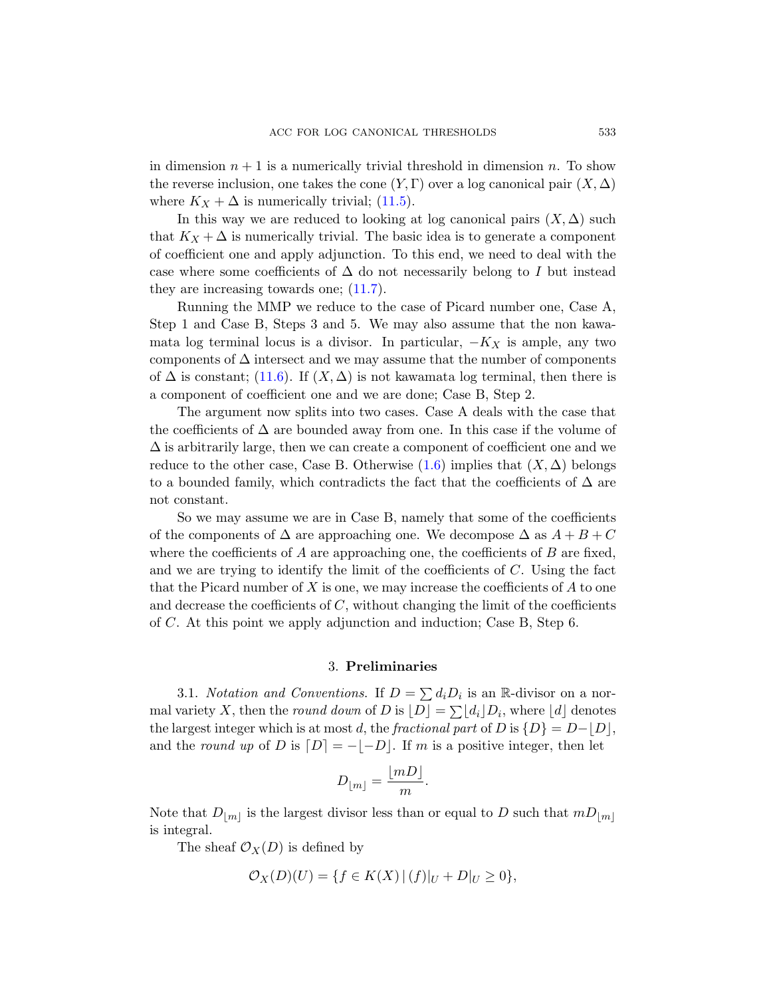in dimension  $n + 1$  is a numerically trivial threshold in dimension n. To show the reverse [inclu](#page-39-0)sion, one takes the cone  $(Y, \Gamma)$  over a log canonical pair  $(X, \Delta)$ where  $K_X + \Delta$  is numerically trivial; (11.5).

In this way we are reduced to looking at log canonical pairs  $(X, \Delta)$  such that  $K_X + \Delta$  is numerically trivial. The basic idea is to generate a component of coefficient one and apply adjunction. To this end, we need to deal with the case where some coefficients of  $\Delta$  do not necessarily belong to I but instead they are increasing towards one; (11.7).

Running the MMP we reduce to the case of Picard number one, Case A, Step 1 and Case B, Steps 3 and 5. We may also assume that the non kawamata log terminal locus is a divisor. In particular,  $-K_X$  is ample, any two components of  $\Delta$  inter[sect](#page-3-0) and we may assume that the number of components of  $\Delta$  is constant; (11.6). If  $(X, \Delta)$  is not kawamata log terminal, then there is a component of coefficient one and we are done; Case B, Step 2.

The argument now splits into two cases. Case A deals with the case that the coefficients of  $\Delta$  are bounded away from one. In this case if the volume of  $\Delta$  is arbitrarily large, then we can create a component of coefficient one and we reduce to the other case, Case B. Otherwise  $(1.6)$  implies that  $(X, \Delta)$  belongs to a bounded family, which contradicts the fact that the coefficients of  $\Delta$  are not constant.

So we may assume we are in Case B, namely that some of the coefficients of the components of  $\Delta$  are approaching one. We decompose  $\Delta$  as  $A + B + C$ where the coefficients of  $A$  are approaching one, the coefficients of  $B$  are fixed, and we are trying to identify the limit of the coefficients of  $C$ . Using the fact that the Picard number of X is one, we may increase the coefficients of  $A$  to one and decrease the coefficients of  $C$ , without changing the limit of the coefficients of C. At this point we apply adjunction and induction; Case B, Step 6.

# 3. Preliminaries

3.1. Notation and Conventions. If  $D = \sum d_i D_i$  is an R-divisor on a normal variety X, then the *round down* of D is  $[D] = \sum [d_i] D_i$ , where [d] denotes the largest integer which is at most d, the fractional part of D is  $\{D\} = D-|D|$ , and the round up of D is  $[D] = -[-D]$ . If m is a positive integer, then let

$$
D_{\lfloor m\rfloor} = \frac{\lfloor mD \rfloor}{m}.
$$

Note that  $D_{\lfloor m \rfloor}$  is the largest divisor less than or equal to D such that  $mD_{\lfloor m \rfloor}$ is integral.

The sheaf  $\mathcal{O}_X(D)$  is defined by

$$
\mathcal{O}_X(D)(U) = \{ f \in K(X) \, | \, (f)|_U + D|_U \ge 0 \},
$$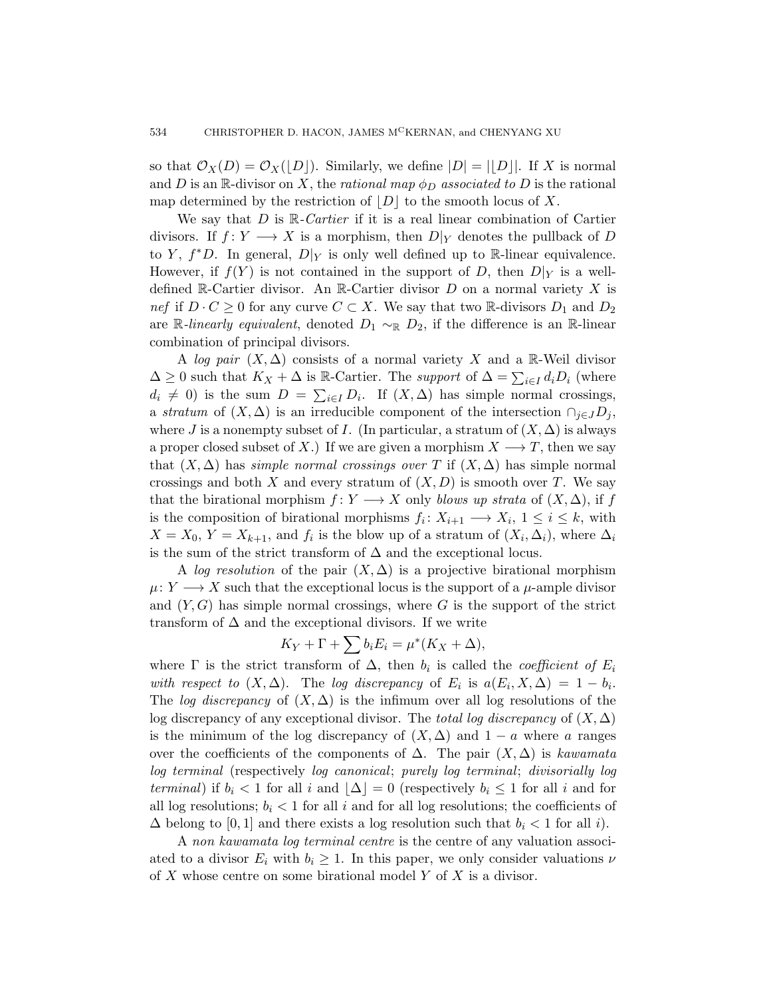so that  $\mathcal{O}_X(D) = \mathcal{O}_X(|D|)$ . Similarly, we define  $|D| = ||D||$ . If X is normal and D is an R-divisor on X, the rational map  $\phi_D$  associated to D is the rational map determined by the restriction of  $|D|$  to the smooth locus of X.

We say that  $D$  is  $\mathbb{R}$ -Cartier if it is a real linear combination of Cartier divisors. If  $f: Y \longrightarrow X$  is a morphism, then  $D|_Y$  denotes the pullback of D to Y,  $f^*D$ . In general,  $D|_Y$  is only well defined up to R-linear equivalence. However, if  $f(Y)$  is not contained in the support of D, then  $D|_Y$  is a welldefined R-Cartier divisor. An R-Cartier divisor  $D$  on a normal variety X is nef if  $D \cdot C \geq 0$  for any curve  $C \subset X$ . We say that two R-divisors  $D_1$  and  $D_2$ are R-linearly equivalent, denoted  $D_1 \sim_R D_2$ , if the difference is an R-linear combination of principal divisors.

A log pair  $(X, \Delta)$  consists of a normal variety X and a R-Weil divisor  $\Delta \geq 0$  such that  $K_X + \Delta$  is R-Cartier. The *support* of  $\Delta = \sum_{i \in I} d_i D_i$  (where  $d_i \neq 0$ ) is the sum  $D = \sum_{i \in I} D_i$ . If  $(X, \Delta)$  has simple normal crossings, a stratum of  $(X, \Delta)$  is an irreducible component of the intersection  $\cap_{i \in J} D_i$ , where J is a nonempty subset of I. (In particular, a stratum of  $(X, \Delta)$  is always a proper closed subset of X.) If we are given a morphism  $X \longrightarrow T$ , then we say that  $(X, \Delta)$  has simple normal crossings over T if  $(X, \Delta)$  has simple normal crossings and both X and every stratum of  $(X, D)$  is smooth over T. We say that the birational morphism  $f: Y \longrightarrow X$  only blows up strata of  $(X, \Delta)$ , if f is the composition of birational morphisms  $f_i: X_{i+1} \longrightarrow X_i, 1 \leq i \leq k$ , with  $X = X_0, Y = X_{k+1}$ , and  $f_i$  is the blow up of a stratum of  $(X_i, \Delta_i)$ , where  $\Delta_i$ is the sum of the strict transform of  $\Delta$  and the exceptional locus.

A log resolution of the pair  $(X, \Delta)$  is a projective birational morphism  $\mu: Y \longrightarrow X$  such that the exceptional locus is the support of a  $\mu$ -ample divisor and  $(Y, G)$  has simple normal crossings, where G is the support of the strict transform of  $\Delta$  and the exceptional divisors. If we write

$$
K_Y + \Gamma + \sum b_i E_i = \mu^* (K_X + \Delta),
$$

where  $\Gamma$  is the strict transform of  $\Delta$ , then  $b_i$  is called the *coefficient of*  $E_i$ with respect to  $(X, \Delta)$ . The log discrepancy of  $E_i$  is  $a(E_i, X, \Delta) = 1 - b_i$ . The log discrepancy of  $(X, \Delta)$  is the infimum over all log resolutions of the log discrepancy of any exceptional divisor. The total log discrepancy of  $(X, \Delta)$ is the minimum of the log discrepancy of  $(X, \Delta)$  and  $1 - a$  where a ranges over the coefficients of the components of  $\Delta$ . The pair  $(X, \Delta)$  is kawamata log terminal (respectively log canonical; purely log terminal; divisorially log terminal) if  $b_i < 1$  for all i and  $|\Delta| = 0$  (respectively  $b_i \leq 1$  for all i and for all log resolutions;  $b_i < 1$  for all i and for all log resolutions; the coefficients of  $\Delta$  belong to [0, 1] and there exists a log resolution such that  $b_i < 1$  for all i).

A non kawamata log terminal centre is the centre of any valuation associated to a divisor  $E_i$  with  $b_i \geq 1$ . In this paper, we only consider valuations  $\nu$ of X whose centre on some birational model Y of X is a divisor.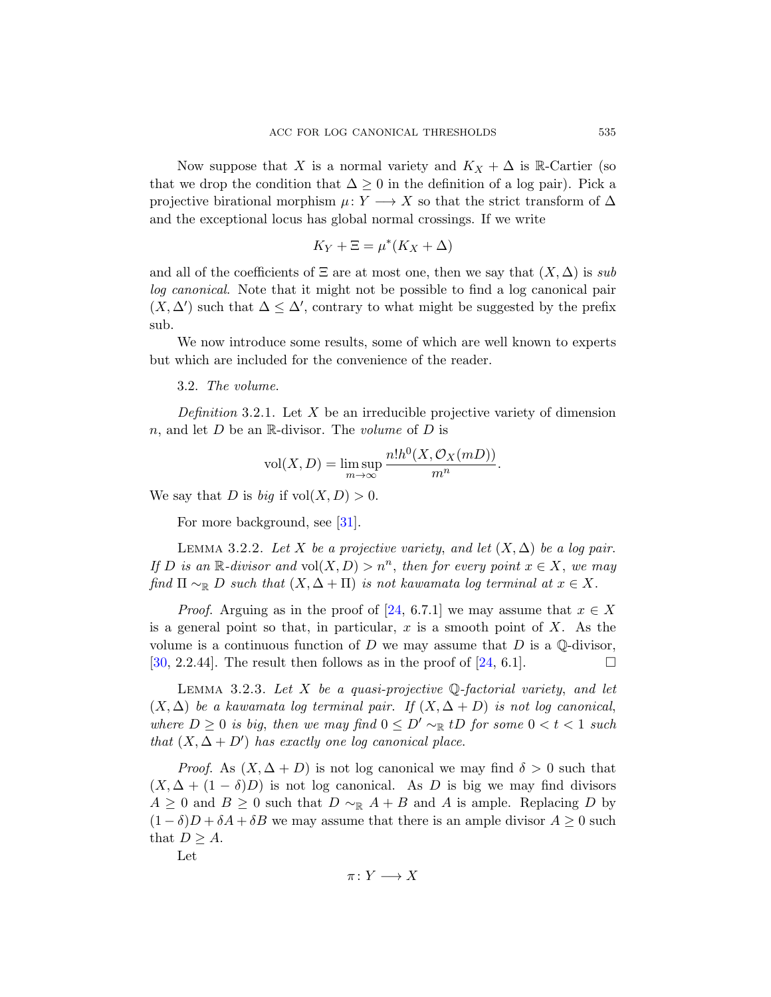Now suppose that X is a normal variety and  $K_X + \Delta$  is R-Cartier (so that we drop the condition that  $\Delta \geq 0$  in the definition of a log pair). Pick a projective birational morphism  $\mu: Y \longrightarrow X$  so that the strict transform of  $\Delta$ and the exceptional locus has global normal crossings. If we write

$$
K_Y + \Xi = \mu^* (K_X + \Delta)
$$

and all of the coefficients of  $\Xi$  are at most one, then we say that  $(X, \Delta)$  is sub log canonical. Note that it might not be possible to find a log canonical pair  $(X, \Delta')$  such that  $\Delta \leq \Delta'$ , contrary to what might be suggested by the prefix sub.

We now introduce some results, some of which are well known to experts but which are included for the convenience of the reader.

# 3.2. The volume.

<span id="page-12-1"></span>De[finit](#page-47-7)ion 3.2.1. Let X be an irreducible projective variety of dimension n, and let  $D$  be an R-divisor. The volume of  $D$  is

$$
vol(X, D) = \limsup_{m \to \infty} \frac{n! h^{0}(X, \mathcal{O}_{X}(mD))}{m^{n}}.
$$

We say that D is [bi](#page-47-1)g if  $vol(X, D) > 0$ .

For more background, see [31].

<span id="page-12-0"></span>LEMMA 3.2.2. Let X be a [pro](#page-47-1)jective variety, and let  $(X, \Delta)$  be a log pair. If D is an  $\mathbb{R}$ -divisor and vol $(X, D) > n^n$ , then for every point  $x \in X$ , we may find  $\Pi \sim_{\mathbb{R}} D$  such that  $(X, \Delta + \Pi)$  is not kawamata log terminal at  $x \in X$ .

*Proof.* Arguing as in the proof of [24, 6.7.1] we may assume that  $x \in X$ is a general point so that, in particular, x is a smooth point of X. As the volume is a continuous function of D we may assume that D is a  $\mathbb Q$ -divisor, [30, 2.2.44]. The result then follows as in the proof of [24, 6.1].

LEMMA 3.2.3. Let X be a quasi-projective  $\mathbb Q$ -factorial variety, and let  $(X, \Delta)$  be a kawamata log terminal pair. If  $(X, \Delta + D)$  is not log canonical, where  $D \geq 0$  is big, then we may find  $0 \leq D' \sim_{\mathbb{R}} tD$  for some  $0 < t < 1$  such that  $(X, \Delta + D')$  has exactly one log canonical place.

*Proof.* As  $(X, \Delta + D)$  is not log canonical we may find  $\delta > 0$  such that  $(X, \Delta + (1 - \delta)D)$  is not log canonical. As D is big we may find divisors  $A \geq 0$  and  $B \geq 0$  such that  $D \sim_{\mathbb{R}} A + B$  and A is ample. Replacing D by  $(1 - \delta)D + \delta A + \delta B$  we may assume that there is an ample divisor  $A \geq 0$  such that  $D \geq A$ .

Let

$$
\pi\colon Y\longrightarrow X
$$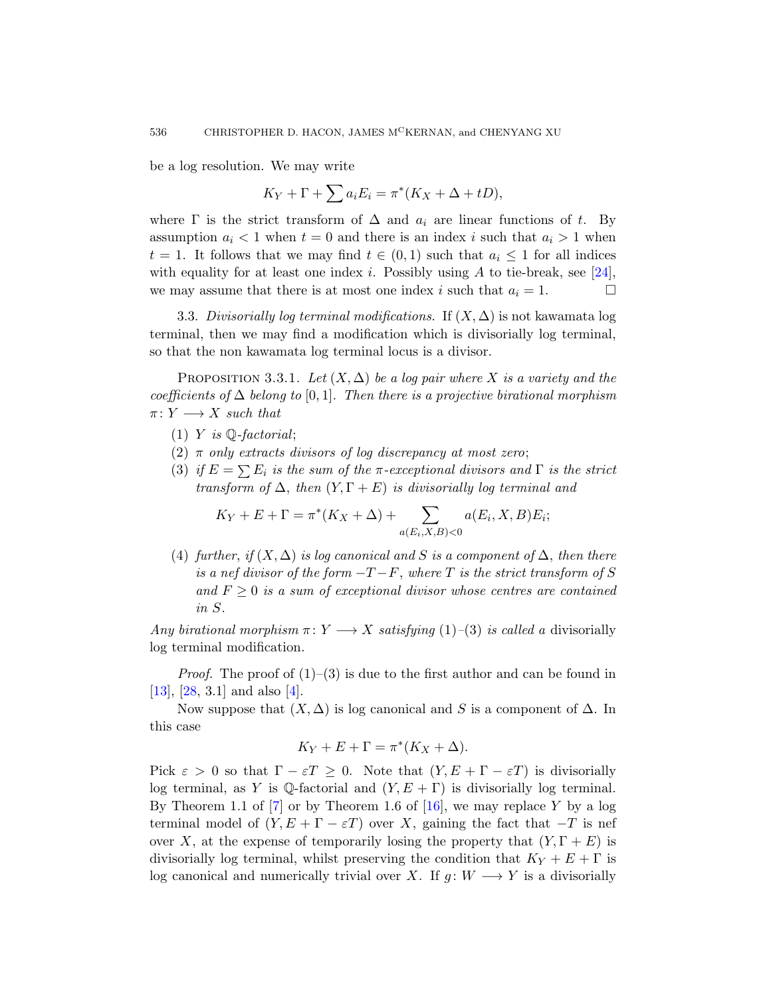be a log resolution. We may write

$$
K_Y + \Gamma + \sum a_i E_i = \pi^* (K_X + \Delta + tD),
$$

<span id="page-13-1"></span><span id="page-13-0"></span>where  $\Gamma$  is the strict transform of  $\Delta$  and  $a_i$  are linear functions of t. By assumption  $a_i < 1$  when  $t = 0$  and there is an index i such that  $a_i > 1$  when  $t = 1$ . It follows that we may find  $t \in (0,1)$  such that  $a_i \leq 1$  for all indices with equality for at least one index i. Possibly using A to tie-break, see [24], we may assume that there is at most one index i such that  $a_i = 1$ .

3.3. Divisorially log terminal modifications. If  $(X, \Delta)$  is not kawamata log terminal, then we may find a modification which is divisorially log terminal, so that the non kawamata log terminal locus is a divisor.

PROPOSITION 3.3.1. Let  $(X, \Delta)$  be a log pair where X is a variety and the coefficients of  $\Delta$  belong to [0,1]. Then there is a projective birational morphism  $\pi: Y \longrightarrow X$  such that

- (1) Y is  $\mathbb{Q}$ -factorial;
- (2)  $\pi$  only extracts divisors of log discrepancy at most zero;
- (3) if  $E = \sum E_i$  is the sum of the  $\pi$ -exceptional divisors and  $\Gamma$  is the strict transform of  $\Delta$ , then  $(Y, \Gamma + E)$  is divisorially log terminal and

$$
K_Y + E + \Gamma = \pi^*(K_X + \Delta) + \sum_{a(E_i, X, B) < 0} a(E_i, X, B) E_i;
$$

(4) further, if  $(X, \Delta)$  is log canonical and S is a component of  $\Delta$ , then there is a nef divisor of the form  $-T-F$ , where T is the strict transform of S and  $F \geq 0$  is a sum of exceptional divisor whose centres are contained in S.

Any birational morphism  $\pi: Y \longrightarrow X$  satisfying (1)–(3) is called a divisorially log terminal modification.

*Proof.* The proof of  $(1)$ – $(3)$  is due to the first author and can be found in [13], [28, 3.1] and also [\[4\].](#page-46-3)

Now suppose that  $(X, \Delta)$  is log canonical and S is a component of  $\Delta$ . In this case

$$
K_Y + E + \Gamma = \pi^*(K_X + \Delta).
$$

Pick  $\varepsilon > 0$  so that  $\Gamma - \varepsilon T \geq 0$ . Note that  $(Y, E + \Gamma - \varepsilon T)$  is divisorially log terminal, as Y is Q-factorial and  $(Y, E + \Gamma)$  is divisorially log terminal. By Theorem 1.1 of  $\begin{bmatrix} 7 \end{bmatrix}$  or by Theorem 1.6 of  $\begin{bmatrix} 16 \end{bmatrix}$ , we may replace Y by a log terminal model of  $(Y, E + \Gamma - \varepsilon T)$  over X, gaining the fact that  $-T$  is nef over X, at the expense of temporarily losing the property that  $(Y, \Gamma + E)$  is divisorially log terminal, whilst preserving the condition that  $K_Y + E + \Gamma$  is log canonical and numerically trivial over X. If  $g: W \longrightarrow Y$  is a divisorially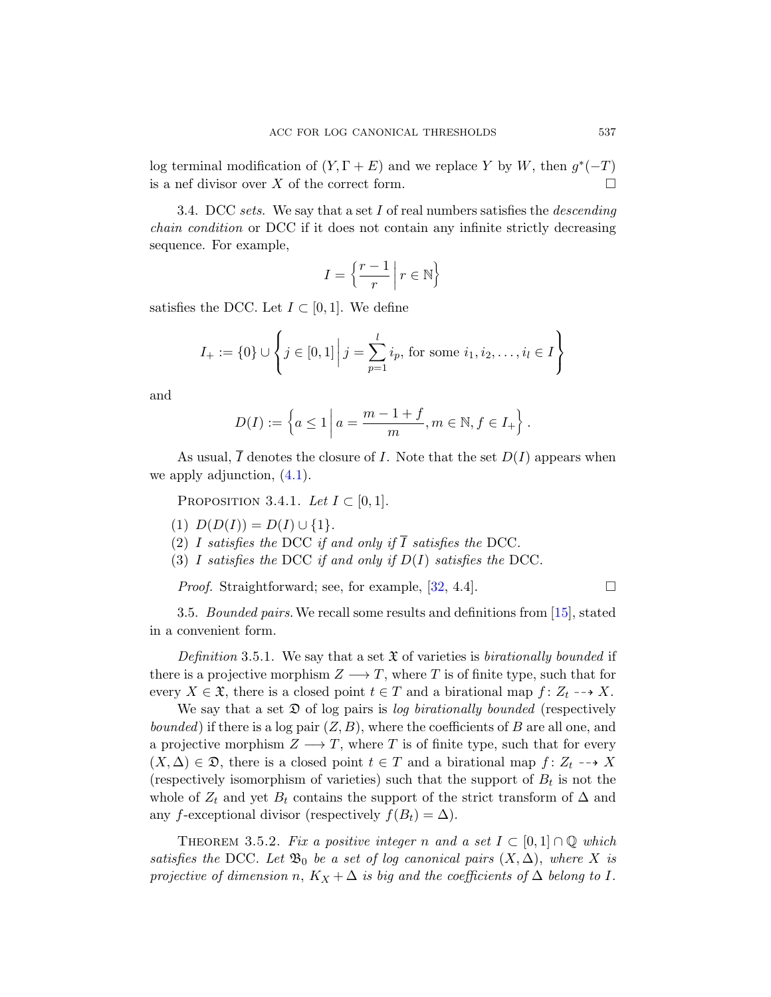log terminal modification of  $(Y, \Gamma + E)$  and we replace Y by W, then  $g^*(-T)$ is a nef divisor over X of the correct form.  $\Box$ 

3.4. DCC sets. We say that a set I of real numbers satisfies the *descending* chain condition or DCC if it does not contain any infinite strictly decreasing sequence. For example,

$$
I = \left\{ \frac{r-1}{r} \mid r \in \mathbb{N} \right\}
$$

satisfies the DCC. Let  $I \subset [0,1]$ . We define

$$
I_{+} := \{0\} \cup \left\{ j \in [0,1] \, \middle| \, j = \sum_{p=1}^{l} i_p, \, \text{for some } i_1, i_2, \dots, i_l \in I \right\}
$$

and

$$
D(I) := \left\{ a \le 1 \, \bigg| \, a = \frac{m-1+f}{m}, m \in \mathbb{N}, f \in I_+ \right\}.
$$

As usual,  $\overline{I}$  denotes the closure of I. Note that the set  $D(I)$  appears when we apply adjunction, ([4.1\)](#page-47-4).

PROPOSITION 3.4.1. Let  $I \subset [0,1]$ .

- (1)  $D(D(I)) = D(I) \cup \{1\}.$
- (2) I satisfies the DCC if and only if  $\overline{I}$  satisfies the DCC.
- (3) I satisfies the DCC if and only if  $D(I)$  satisfies the DCC.

*Proof.* Straightforward; see, for example,  $[32, 4.4]$ .

<span id="page-14-0"></span>3.5. *Bounded pairs*. We recall some results and definitions from [15], stated in a convenient form.

Definition 3.5.1. We say that a set  $\mathfrak X$  of varieties is birationally bounded if there is a projective morphism  $Z \longrightarrow T$ , where T is of finite type, such that for every  $X \in \mathfrak{X}$ , there is a closed point  $t \in T$  and a birational map  $f: Z_t \dashrightarrow X$ .

<span id="page-14-1"></span>We say that a set  $\mathfrak D$  of log pairs is log birationally bounded (respectively *bounded*) if there is a log pair  $(Z, B)$ , where the coefficients of B are all one, and a projective morphism  $Z \longrightarrow T$ , where T is of finite type, such that for every  $(X, \Delta) \in \mathfrak{D}$ , there is a closed point  $t \in T$  and a birational map  $f: Z_t \dashrightarrow X$ (respectively isomorphism of varieties) such that the support of  $B_t$  is not the whole of  $Z_t$  and yet  $B_t$  contains the support of the strict transform of  $\Delta$  and any f-exceptional divisor (respectively  $f(B_t) = \Delta$ ).

THEOREM 3.5.2. Fix a positive integer n and a set  $I \subset [0,1] \cap \mathbb{Q}$  which satisfies the DCC. Let  $\mathfrak{B}_0$  be a set of log canonical pairs  $(X, \Delta)$ , where X is projective of dimension n,  $K_X + \Delta$  is big and the coefficients of  $\Delta$  belong to I.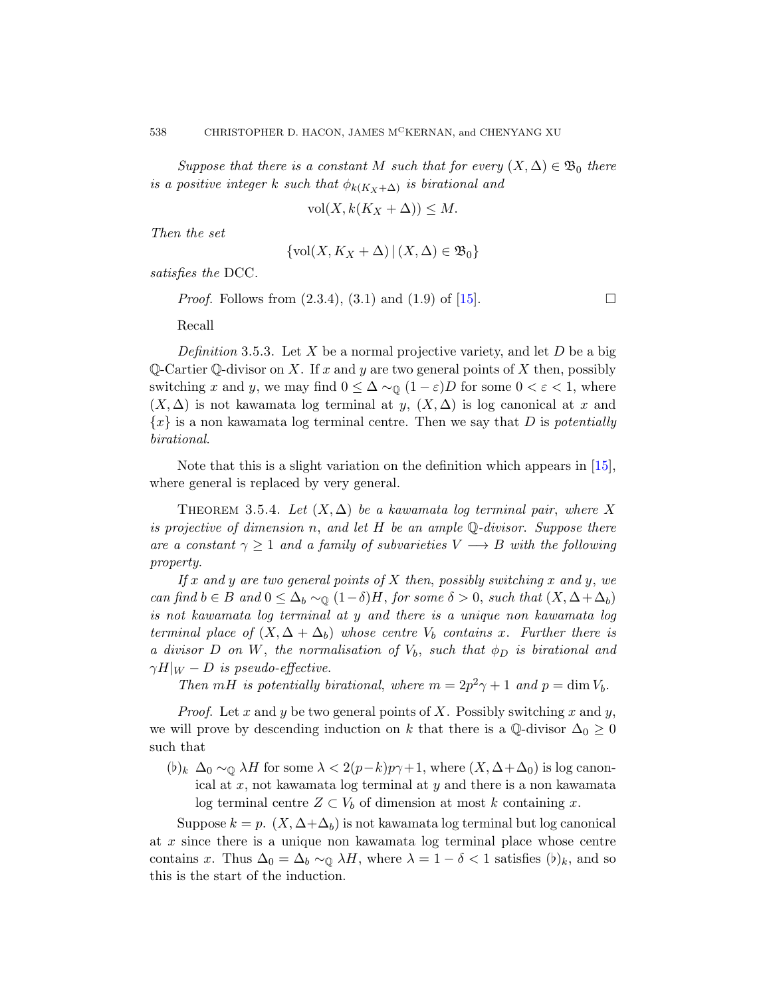Suppose that there is a constant M such that for every  $(X, \Delta) \in \mathfrak{B}_0$  there is a positive integer k such t[hat](#page-46-0)  $\phi_{k(K_X+\Delta)}$  is birational and

$$
\text{vol}(X, k(K_X + \Delta)) \le M.
$$

Then the set

$$
\{\text{vol}(X, K_X + \Delta) \,|\, (X, \Delta) \in \mathfrak{B}_0\}
$$

satisfies the DCC.

*Proof.* Follows from  $(2.3.4)$ ,  $(3.1)$  and  $(1.9)$  of [15].

Recall

Definition 3.5.3. Let X be a normal projectiv[e va](#page-46-0)riety, and let  $D$  be a big Q-Cartier Q-divisor on X. If x and y are two general points of X then, possibly switching x and y, we may find  $0 \leq \Delta \sim_{\mathbb{Q}} (1 - \varepsilon)D$  for some  $0 < \varepsilon < 1$ , where  $(X, \Delta)$  is not kawamata log terminal at y,  $(X, \Delta)$  is log canonical at x and  ${x}$  is a non kawamata log terminal centre. Then we say that D is *potentially* birational.

Note that this is a slight variation on the definition which appears in [15], where general is replaced by very general.

THEOREM 3.5.4. Let  $(X, \Delta)$  be a kawamata log terminal pair, where X is projective of dimension n, and let  $H$  be an ample  $\mathbb{Q}\text{-divisor}$ . Suppose there are a constant  $\gamma \geq 1$  and a family of subvarieties  $V \longrightarrow B$  with the following property.

If x and y are two general points of X then, possibly switching x and y, we can find  $b \in B$  and  $0 \leq \Delta_b \sim_{\mathbb{Q}} (1-\delta)H$ , for some  $\delta > 0$ , such that  $(X, \Delta + \Delta_b)$ is not kawamata log terminal at y and there is a unique non kawamata log terminal place of  $(X, \Delta + \Delta_b)$  whose centre  $V_b$  contains x. Further there is a divisor D on W, the normalisation of  $V_b$ , such that  $\phi_D$  is birational and  $\gamma H|_W - D$  is pseudo-effective.

Then mH is potentially birational, where  $m = 2p^2\gamma + 1$  and  $p = \dim V_b$ .

*Proof.* Let x and y be two general points of X. Possibly switching x and y, we will prove by descending induction on k that there is a Q-divisor  $\Delta_0 \geq 0$ such that

 $(b)_k \Delta_0 \sim_{\mathbb{Q}} \lambda H$  for some  $\lambda < 2(p-k)p\gamma+1$ , where  $(X, \Delta + \Delta_0)$  is log canonical at  $x$ , not kawamata log terminal at  $y$  and there is a non kawamata log terminal centre  $Z \subset V_b$  of dimension at most k containing x.

Suppose  $k = p$ .  $(X, \Delta + \Delta_b)$  is not kawamata log terminal but log canonical at x since there is a unique non kawamata log terminal place whose centre contains x. Thus  $\Delta_0 = \Delta_b \sim_{\mathbb{Q}} \lambda H$ , where  $\lambda = 1 - \delta < 1$  satisfies  $(b)_k$ , and so this is the start of the induction.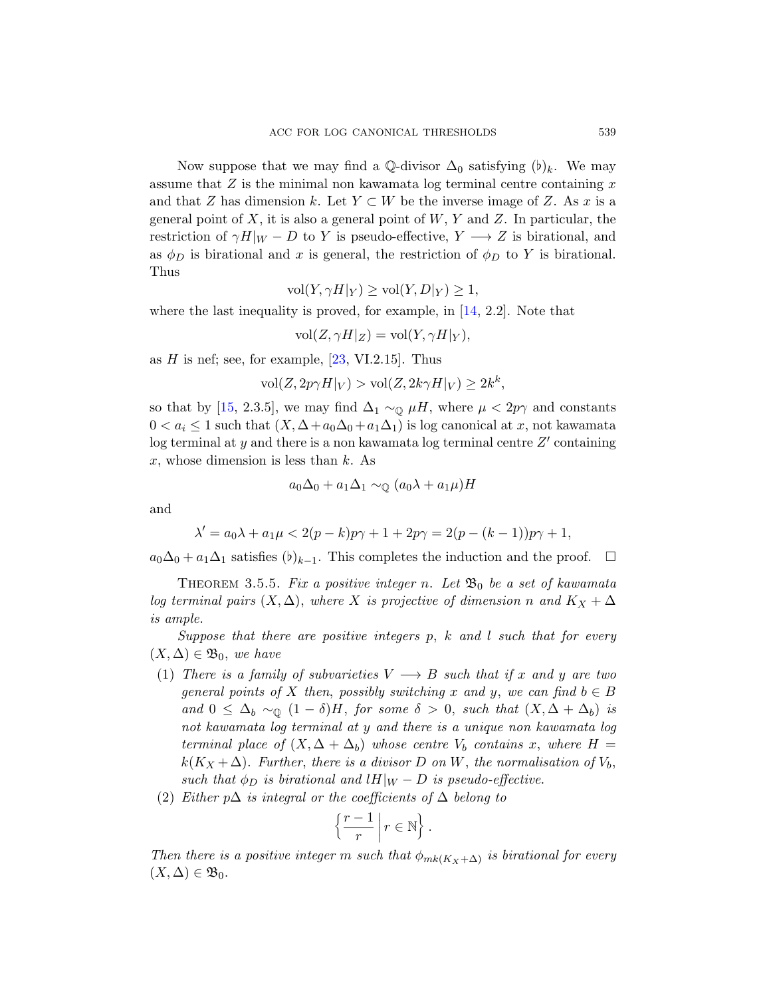Now suppose that we may find a Q-divisor  $\Delta_0$  satisfying  $(b)_k$ . We may assume that  $Z$  is the minimal non kawamata log terminal centre containing  $x$ and that Z has dimension k. [Le](#page-46-4)t  $Y \subset W$  be the inverse image of Z. As x is a general point of X, it is also a general point of  $W, Y$  and Z. In particular, the restriction of  $\gamma H|_W - D$  to Y is pseudo-effective,  $Y \longrightarrow Z$  is birational, and as  $\phi_D$  [is b](#page-47-8)irational and x is general, the restriction of  $\phi_D$  to Y is birational. Thus

$$
\text{vol}(Y, \gamma H|_Y) \ge \text{vol}(Y, D|_Y) \ge 1,
$$

where the last inequality is proved, for example, in [14, 2.2]. Note that

$$
\text{vol}(Z,\gamma H|_Z) = \text{vol}(Y,\gamma H|_Y),
$$

as  $H$  is nef; see, for example, [23, VI.2.15]. Thus

 $\text{vol}(Z, 2p\gamma H|_V) > \text{vol}(Z, 2k\gamma H|_V) \geq 2k^k,$ 

so that by [15, 2.3.5], we may find  $\Delta_1 \sim_{\mathbb{Q}} \mu H$ , where  $\mu < 2p\gamma$  and constants  $0 < a_i \leq 1$  such that  $(X, \Delta + a_0\Delta_0 + a_1\Delta_1)$  is log canonical at x, not kawamata log terminal at y and there is a non kawamata log terminal centre  $Z'$  containing x, whose dimension is less than  $k$ . As

$$
a_0\Delta_0 + a_1\Delta_1 \sim_{\mathbb{Q}} (a_0\lambda + a_1\mu)H
$$

<span id="page-16-0"></span>and

$$
\lambda'=a_0\lambda+a_1\mu<2(p-k)p\gamma+1+2p\gamma=2(p-(k-1))p\gamma+1,
$$

 $a_0\Delta_0 + a_1\Delta_1$  satisfies  $(b)_{k-1}$ . This completes the induction and the proof.  $\Box$ 

THEOREM 3.5.5. Fix a positive integer n. Let  $\mathfrak{B}_0$  be a set of kawamata log terminal pairs  $(X, \Delta)$ , where X is projective of dimension n and  $K_X + \Delta$ is ample.

Suppose that there are positive integers  $p$ ,  $k$  and  $l$  such that for every  $(X, \Delta) \in \mathfrak{B}_0$ , we have

- (1) There is a family of subvarieties  $V \longrightarrow B$  such that if x and y are two general points of X then, possibly switching x and y, we can find  $b \in B$ and  $0 \leq \Delta_b \sim_{\mathbb{Q}} (1 - \delta)H$ , for some  $\delta > 0$ , such that  $(X, \Delta + \Delta_b)$  is not kawamata log terminal at y and there is a unique non kawamata log terminal place of  $(X, \Delta + \Delta_b)$  whose centre  $V_b$  contains x, where  $H =$  $k(K_X + \Delta)$ . Further, there is a divisor D on W, the normalisation of  $V_b$ , such that  $\phi_D$  is birational and lH|w – D is pseudo-effective.
- (2) Either p $\Delta$  is integral or the coefficients of  $\Delta$  belong to

$$
\left\{\frac{r-1}{r}\,\middle|\, r\in\mathbb{N}\right\}.
$$

Then there is a positive integer m such that  $\phi_{mk(K_X+\Delta)}$  is birational for every  $(X, \Delta) \in \mathfrak{B}_0.$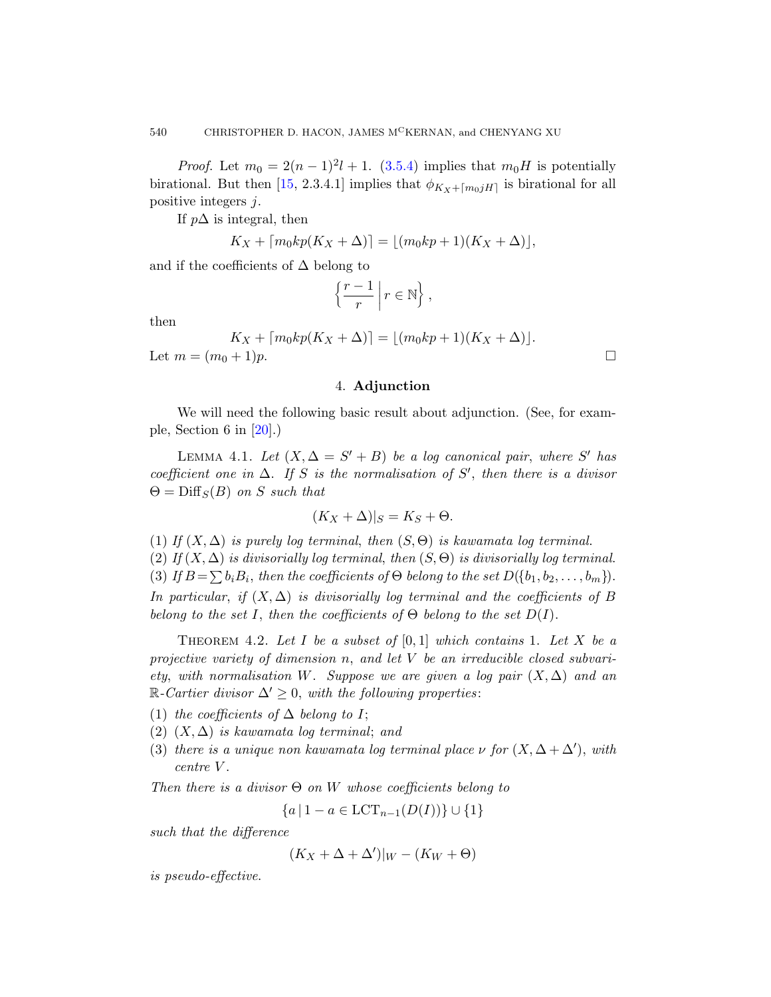*Proof.* Let  $m_0 = 2(n-1)^2 l + 1$ . (3.5.4) implies that  $m_0 H$  is potentially birational. But then [15, 2.3.4.1] implies that  $\phi_{K_X+\lceil m_0jH\rceil}$  is birational for all positive integers j.

If  $p\Delta$  is integral, then

$$
K_X + \lceil m_0 k p(K_X + \Delta) \rceil = \lfloor (m_0 k p + 1)(K_X + \Delta) \rfloor,
$$

and if the coefficients of  $\Delta$  belong to

$$
\left\{\frac{r-1}{r}\,\middle|\, r\in\mathbb{N}\right\},\
$$

then

<span id="page-17-0"></span>
$$
K_X + \lceil m_0 k p(K_X + \Delta) \rceil = \lfloor (m_0 k p + 1)(K_X + \Delta) \rfloor.
$$
  
Let  $m = (m_0 + 1)p$ .

# 4. Adjunction

We will need the following basic result about adjunction. (See, for example, Section 6 in  $[20]$ .)

LEMMA 4.1. Let  $(X, \Delta = S' + B)$  be a log canonical pair, where S' has coefficient one in  $\Delta$ . If S is the normalisation of S', then there is a divisor  $\Theta = \text{Diff}_S(B)$  on S such that

$$
(K_X + \Delta)|_S = K_S + \Theta.
$$

<span id="page-17-1"></span>(1) If  $(X, \Delta)$  is purely log terminal, then  $(S, \Theta)$  is kawamata log terminal.

(2) If  $(X, \Delta)$  is divisorially log terminal, then  $(S, \Theta)$  is divisorially log terminal. (3) If  $B = \sum b_i B_i$ , then the coefficients of  $\Theta$  belong to the set  $D({b_1, b_2, \ldots, b_m})$ . In particular, if  $(X, \Delta)$  is divisorially log terminal and the coefficients of B belong to the set I, then the coefficients of  $\Theta$  belong to the set  $D(I)$ .

THEOREM 4.2. Let I be a subset of  $[0,1]$  which contains 1. Let X be a projective variety of dimension n, and let  $V$  be an irreducible closed subvariety, with normalisation W. Suppose we are given a log pair  $(X, \Delta)$  and an  $\mathbb{R}\text{-}Cartier divisor \Delta' \geq 0$ , with the following properties:

- (1) the coefficients of  $\Delta$  belong to I;
- (2)  $(X, \Delta)$  is kawamata log terminal; and
- (3) there is a unique non kawamata log terminal place  $\nu$  for  $(X, \Delta + \Delta')$ , with centre V .

Then there is a divisor  $\Theta$  on W whose coefficients belong to

 ${a | 1 - a \in LCT_{n-1}(D(I))} \cup {1}$ 

such that the difference

$$
(K_X + \Delta + \Delta')|_W - (K_W + \Theta)
$$

is pseudo-effective.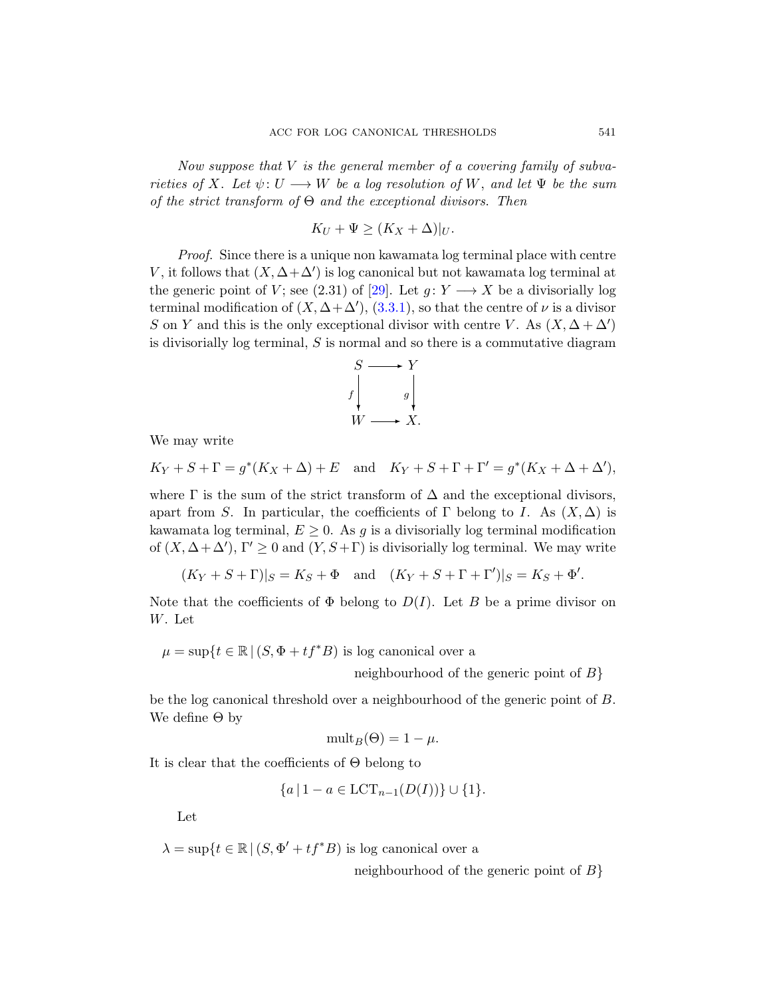Now suppose that  $V$  is the general member of a covering family of subva-rieties of X. [Let](#page-47-9)  $\psi: U \longrightarrow W$  be a log resolution of W, and let  $\Psi$  be the sum of the strict tr[ansfor](#page-13-1)m of  $\Theta$  and the exceptional divisors. Then

$$
K_U + \Psi \ge (K_X + \Delta)|_U.
$$

Proof. Since there is a unique non kawamata log terminal place with centre V, it follows that  $(X, \Delta + \Delta')$  is log canonical but not kawamata log terminal at the generic point of V; see (2.31) of [29]. Let  $g: Y \longrightarrow X$  be a divisorially log terminal modification of  $(X, \Delta + \Delta')$ , (3.3.1), so that the centre of  $\nu$  is a divisor S on Y and this is the only exceptional divisor with centre V. As  $(X, \Delta + \Delta')$ is divisorially log terminal, S is normal and so there is a commutative diagram



We may write

 $K_Y + S + \Gamma = g^*(K_X + \Delta) + E$  and  $K_Y + S + \Gamma + \Gamma' = g^*(K_X + \Delta + \Delta'),$ 

where  $\Gamma$  is the sum of the strict transform of  $\Delta$  and the exceptional divisors, apart from S. In particular, the coefficients of  $\Gamma$  belong to I. As  $(X, \Delta)$  is kawamata log terminal,  $E \geq 0$ . As g is a divisorially log terminal modification of  $(X, \Delta + \Delta')$ ,  $\Gamma' \geq 0$  and  $(Y, S + \Gamma)$  is divisorially log terminal. We may write

 $(K_Y + S + \Gamma)|_S = K_S + \Phi$  and  $(K_Y + S + \Gamma + \Gamma')|_S = K_S + \Phi'$ .

Note that the coefficients of  $\Phi$  belong to  $D(I)$ . Let B be a prime divisor on W. Let

 $\mu = \sup\{t \in \mathbb{R} \mid (S, \Phi + tf^*B) \text{ is log canonical over a }\}$ 

neighbourhood of the generic point of  $B$ }

be the log canonical threshold over a neighbourhood of the generic point of B. We define  $\Theta$  by

$$
\operatorname{mult}_B(\Theta) = 1 - \mu.
$$

It is clear that the coefficients of Θ belong to

$$
\{a \mid 1 - a \in \text{LCT}_{n-1}(D(I))\} \cup \{1\}.
$$

Let

 $\lambda = \sup\{t \in \mathbb{R} \mid (S, \Phi' + tf^*B) \text{ is log canonical over a }\}$ 

neighbourhood of the generic point of  $B$ }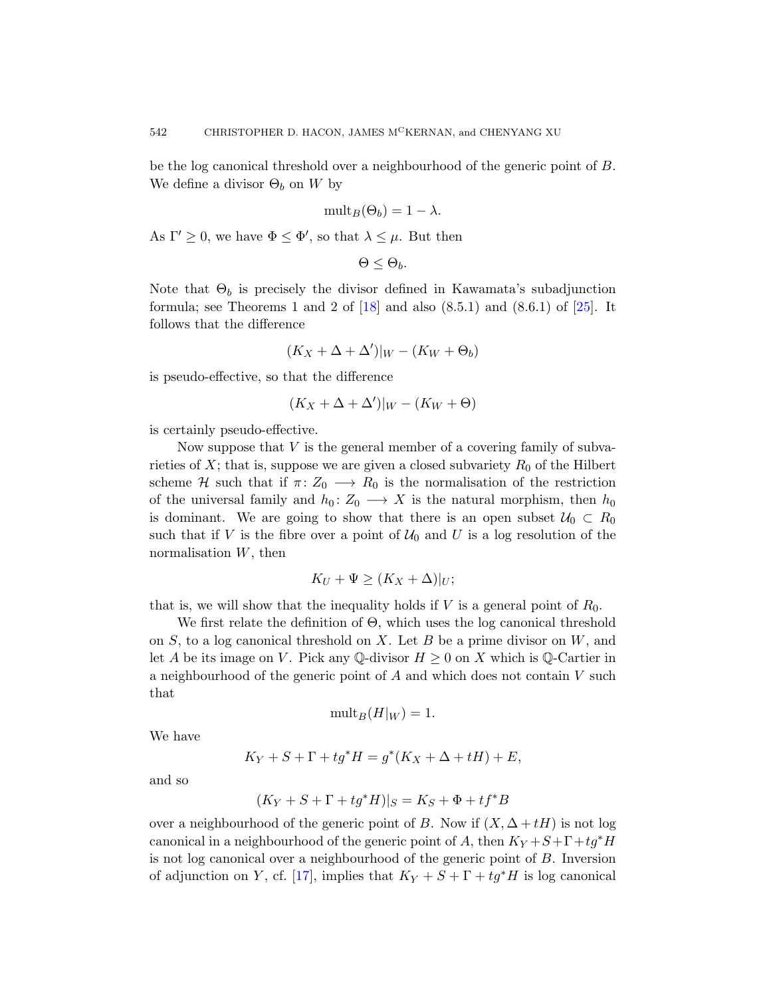be the log canonical threshold over a neighbourhood of the generic point of B. We define a [div](#page-46-5)isor  $\Theta_b$  on W by

$$
\mathrm{mult}_B(\Theta_b) = 1 - \lambda.
$$

As  $\Gamma' \geq 0$ , we have  $\Phi \leq \Phi'$ , so that  $\lambda \leq \mu$ . But then

$$
\Theta \leq \Theta_b.
$$

Note that  $\Theta_b$  is precisely the divisor defined in Kawamata's subadjunction formula; see Theorems 1 and 2 of  $[18]$  and also  $(8.5.1)$  and  $(8.6.1)$  of  $[25]$ . It follows that the difference

$$
(K_X+\Delta+\Delta')|_W-(K_W+\Theta_b)
$$

is pseudo-effective, so that the difference

$$
(K_X+\Delta+\Delta')|_W-(K_W+\Theta)
$$

is certainly pseudo-effective.

Now suppose that  $V$  is the general member of a covering family of subvarieties of X; that is, suppose we are given a closed subvariety  $R_0$  of the Hilbert scheme H such that if  $\pi: Z_0 \longrightarrow R_0$  is the normalisation of the restriction of the universal family and  $h_0: Z_0 \longrightarrow X$  is the natural morphism, then  $h_0$ is dominant. We are going to show that there is an open subset  $U_0 \subset R_0$ such that if V is the fibre over a point of  $\mathcal{U}_0$  and U is a log resolution of the normalisation  $W$ , then

$$
K_U + \Psi \ge (K_X + \Delta)|_U;
$$

that is, we will show that the inequality holds if V is a general point of  $R_0$ .

We first relate the definition of Θ, which uses the log canonical threshold on  $S$ , to a log canonical threshold on  $X$ . Let  $B$  be a prime divisor on  $W$ , and let A be its image on V. Pick any Q-divisor  $H \geq 0$  on X which is Q-Cartier in a neighbourhood of the generic point of  $A$  and which does not contain  $V$  such that

$$
\mathrm{mult}_B(H|_W) = 1.
$$

We have

$$
K_Y + S + \Gamma + tg^*H = g^*(K_X + \Delta + tH) + E,
$$

and so

$$
(K_Y + S + \Gamma + tg^*H)|_S = K_S + \Phi + tf^*B
$$

over a neighbourhood of the generic point of B. Now if  $(X, \Delta + tH)$  is not log canonical in a neighbourhood of the generic point of A, then  $K_Y + S + \Gamma + tg^*H$ is not log canonical over a neighbourhood of the generic point of B. Inversion of adjunction on Y, cf. [17], implies that  $K_Y + S + \Gamma + tg^*H$  is log canonical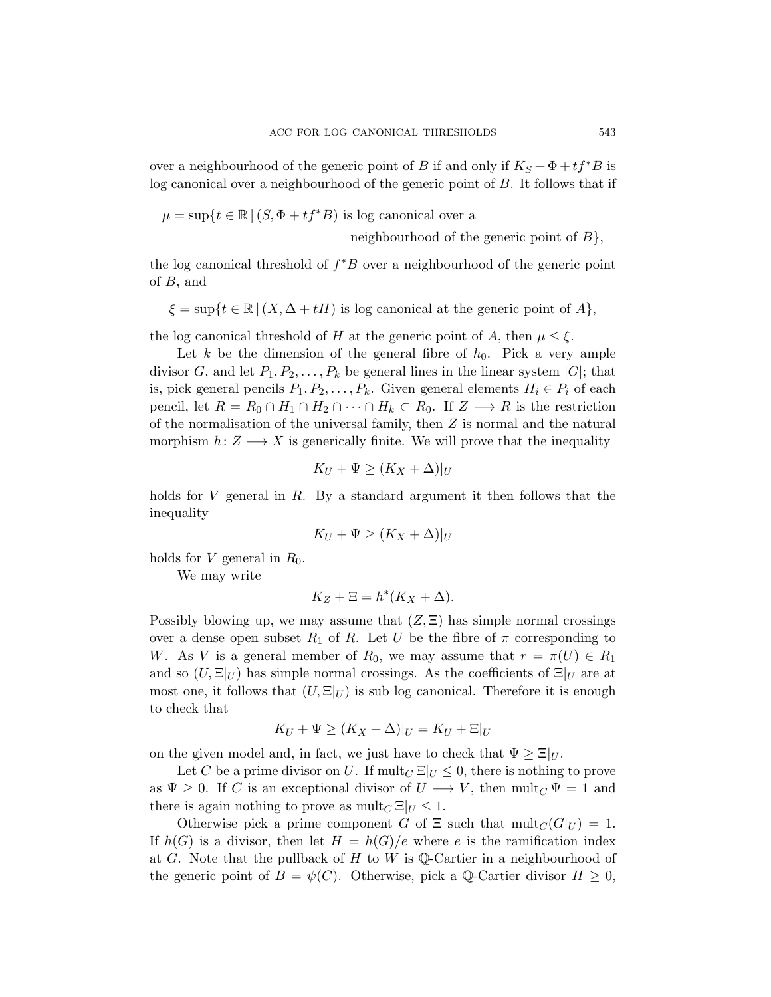over a neighbourhood of the generic point of B if and only if  $K_S + \Phi + tf^*B$  is log canonical over a neighbourhood of the generic point of B. It follows that if

$$
\mu = \sup \{ t \in \mathbb{R} \mid (S, \Phi + tf^*B) \text{ is log canonical over a } \}
$$

neighbourhood of the generic point of  $B$ ,

the log canonical threshold of  $f^*B$  over a neighbourhood of the generic point of B, and

 $\xi = \sup\{t \in \mathbb{R} \mid (X, \Delta + tH) \text{ is log canonical at the generic point of } A\},\$ 

the log canonical threshold of H at the generic point of A, then  $\mu \leq \xi$ .

Let k be the dimension of the general fibre of  $h_0$ . Pick a very ample divisor G, and let  $P_1, P_2, \ldots, P_k$  be general lines in the linear system  $|G|$ ; that is, pick general pencils  $P_1, P_2, \ldots, P_k$ . Given general elements  $H_i \in P_i$  of each pencil, let  $R = R_0 \cap H_1 \cap H_2 \cap \cdots \cap H_k \subset R_0$ . If  $Z \longrightarrow R$  is the restriction of the normalisation of the universal family, then Z is normal and the natural morphism  $h: Z \longrightarrow X$  is generically finite. We will prove that the inequality

$$
K_U + \Psi \ge (K_X + \Delta)|_U
$$

holds for V general in R. By a standard argument it then follows that the inequality

$$
K_U + \Psi \ge (K_X + \Delta)|_U
$$

holds for V general in  $R_0$ .

We may write

$$
K_Z + \Xi = h^*(K_X + \Delta).
$$

Possibly blowing up, we may assume that  $(Z, \Xi)$  has simple normal crossings over a dense open subset  $R_1$  of R. Let U be the fibre of  $\pi$  corresponding to W. As V is a general member of  $R_0$ , we may assume that  $r = \pi(U) \in R_1$ and so  $(U, \Xi|_U)$  has simple normal crossings. As the coefficients of  $\Xi|_U$  are at most one, it follows that  $(U, \Xi|_U)$  is sub log canonical. Therefore it is enough to check that

$$
K_U + \Psi \ge (K_X + \Delta)|_U = K_U + \Xi|_U
$$

on the given model and, in fact, we just have to check that  $\Psi \geq \Xi|_{U}$ .

Let C be a prime divisor on U. If  $\text{mult}_C \Xi|_U \leq 0$ , there is nothing to prove as  $\Psi \geq 0$ . If C is an exceptional divisor of  $U \longrightarrow V$ , then mult<sub>C</sub>  $\Psi = 1$  and there is again nothing to prove as  $\text{mult}_C \Xi|_U \leq 1$ .

Otherwise pick a prime component G of  $\Xi$  such that  $mult_C(G|_U) = 1$ . If  $h(G)$  is a divisor, then let  $H = h(G)/e$  where e is the ramification index at G. Note that the pullback of H to W is  $\mathbb{Q}\text{-Cartier}$  in a neighbourhood of the generic point of  $B = \psi(C)$ . Otherwise, pick a Q-Cartier divisor  $H \geq 0$ ,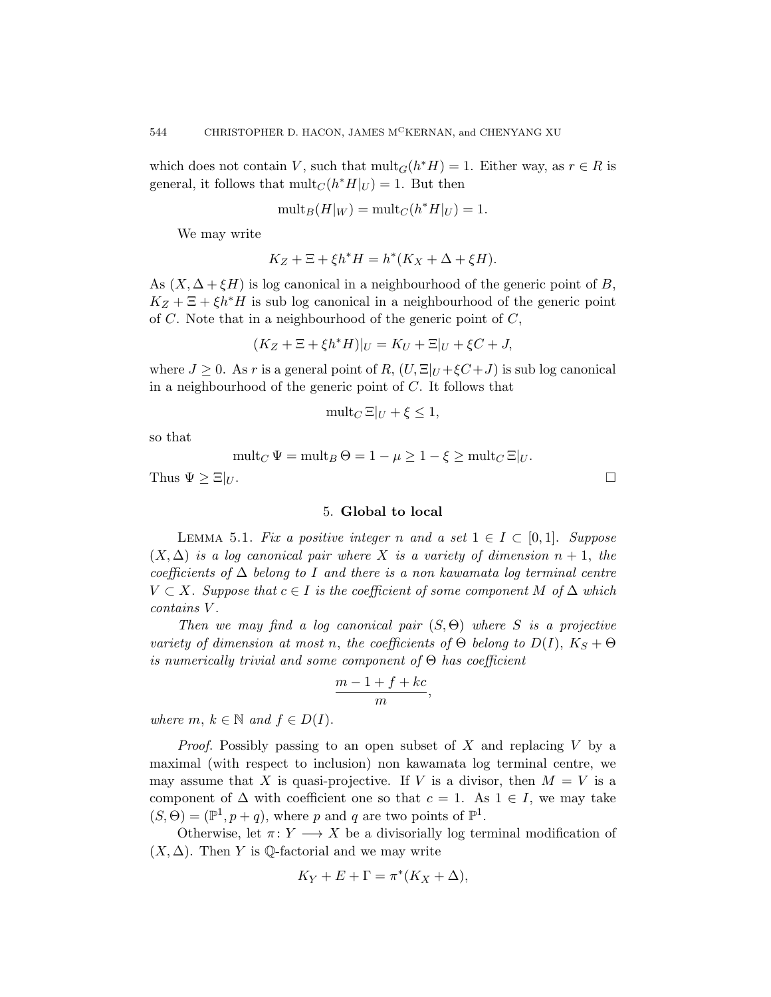which does not contain V, such that  $mult_G(h^*H) = 1$ . Either way, as  $r \in R$  is general, it follows that  $mult_C(h^*H|_U) = 1$ . But then

$$
\mathrm{mult}_B(H|_W) = \mathrm{mult}_C(h^*H|_U) = 1.
$$

We may write

$$
K_Z + \Xi + \xi h^* H = h^* (K_X + \Delta + \xi H).
$$

As  $(X, \Delta + \xi H)$  is log canonical in a neighbourhood of the generic point of B,  $K_Z + \Xi + \xi h^*H$  is sub log canonical in a neighbourhood of the generic point of  $C$ . Note that in a neighbourhood of the generic point of  $C$ ,

$$
(K_Z + \Xi + \xi h^* H)|_U = K_U + \Xi|_U + \xi C + J,
$$

where  $J \geq 0$ . As r is a general point of R,  $(U, \Xi)_U + \xi C + J$  is sub log canonical in a neighbourhood of the generic point of  $C$ . It follows that

$$
\operatorname{mult}_{C} \Xi|_{U} + \xi \le 1,
$$

so that

$$
\operatorname{mult}_C \Psi = \operatorname{mult}_B \Theta = 1 - \mu \ge 1 - \xi \ge \operatorname{mult}_C \Xi|_U.
$$

Thus  $\Psi \geq \Xi|_U$ .

#### 5. Global to local

<span id="page-21-1"></span><span id="page-21-0"></span>LEMMA 5.1. Fix a positive integer n and a set  $1 \in I \subset [0,1]$ . Suppose  $(X, \Delta)$  is a log canonical pair where X is a variety of dimension  $n + 1$ , the coefficients of  $\Delta$  belong to I and there is a non kawamata log terminal centre  $V \subset X$ . Suppose that  $c \in I$  is the coefficient of some component M of  $\Delta$  which contains V .

Then we may find a log canonical pair  $(S, \Theta)$  where S is a projective variety of dimension at most n, the coefficients of  $\Theta$  belong to  $D(I)$ ,  $K_S + \Theta$ is numerically trivial and some component of  $\Theta$  has coefficient

$$
\frac{m-1+f+kc}{m},
$$

where  $m, k \in \mathbb{N}$  and  $f \in D(I)$ .

*Proof.* Possibly passing to an open subset of  $X$  and replacing  $V$  by a maximal (with respect to inclusion) non kawamata log terminal centre, we may assume that X is quasi-projective. If V is a divisor, then  $M = V$  is a component of  $\Delta$  with coefficient one so that  $c = 1$ . As  $1 \in I$ , we may take  $(S, \Theta) = (\mathbb{P}^1, p+q)$ , where p and q are two points of  $\mathbb{P}^1$ .

Otherwise, let  $\pi: Y \longrightarrow X$  be a divisorially log terminal modification of  $(X, \Delta)$ . Then Y is Q-factorial and we may write

$$
K_Y + E + \Gamma = \pi^*(K_X + \Delta),
$$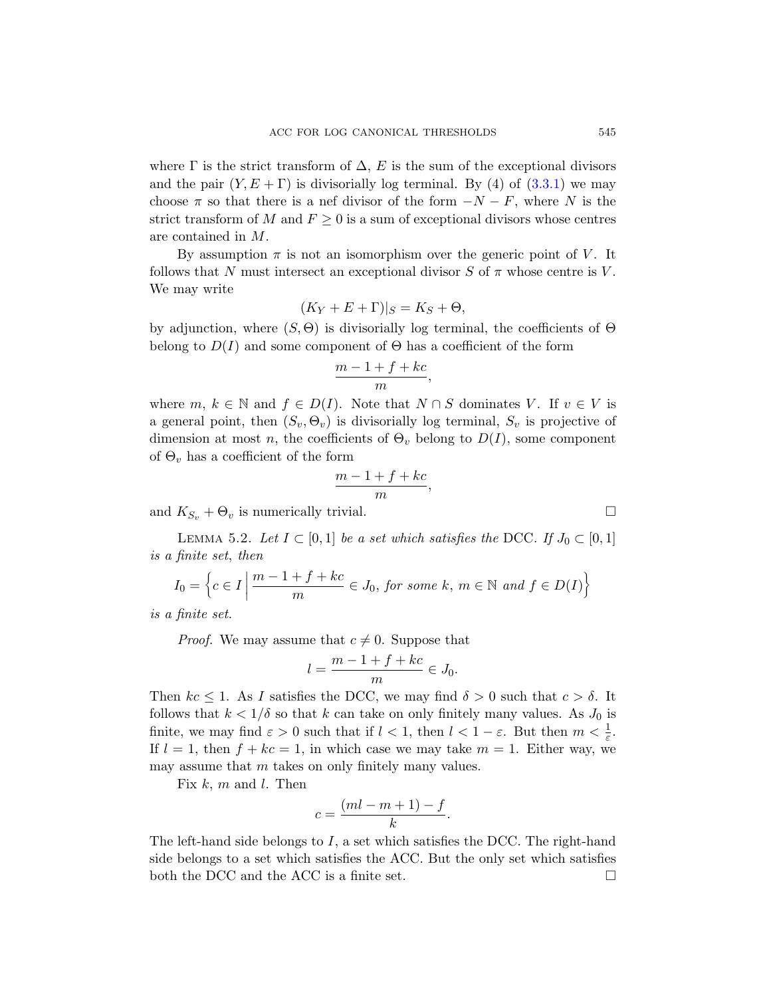where  $\Gamma$  is the strict transform of  $\Delta$ , E is the sum of the exceptional divisors and the pair  $(Y, E + \Gamma)$  is divisorially log terminal. By (4) of (3.3.1) we may choose  $\pi$  so that there is a nef divisor of the form  $-N-F$ , where N is the strict transform of M and  $F \geq 0$  is a sum of exceptional divisors whose centres are contained in M.

By assumption  $\pi$  is not an isomorphism over the generic point of V. It follows that N must intersect an exceptional divisor S of  $\pi$  whose centre is V. We may write

$$
(K_Y + E + \Gamma)|_S = K_S + \Theta,
$$

by adjunction, where  $(S, \Theta)$  is divisorially log terminal, the coefficients of  $\Theta$ belong to  $D(I)$  and some component of  $\Theta$  has a coefficient of the form

$$
\frac{m-1+f+kc}{m},
$$

<span id="page-22-0"></span>where m,  $k \in \mathbb{N}$  and  $f \in D(I)$ . Note that  $N \cap S$  dominates V. If  $v \in V$  is a general point, then  $(S_v, \Theta_v)$  is divisorially log terminal,  $S_v$  is projective of dimension at most n, the coefficients of  $\Theta_v$  belong to  $D(I)$ , some component of  $\Theta_v$  has a coefficient of the form

$$
\frac{m-1+f+kc}{m},
$$

and  $K_{S_v} + \Theta_v$  is numerically trivial.

LEMMA 5.2. Let  $I \subset [0,1]$  be a set which satisfies the DCC. If  $J_0 \subset [0,1]$ is a finite set, then

$$
I_0 = \left\{ c \in I \mid \frac{m-1+f+kc}{m} \in J_0, \text{ for some } k, m \in \mathbb{N} \text{ and } f \in D(I) \right\}
$$

is a finite set.

*Proof.* We may assume that  $c \neq 0$ . Suppose that

$$
l = \frac{m-1+f+kc}{m} \in J_0.
$$

Then  $kc \leq 1$ . As I satisfies the DCC, we may find  $\delta > 0$  such that  $c > \delta$ . It follows that  $k < 1/\delta$  so that k can take on only finitely many values. As  $J_0$  is finite, we may find  $\varepsilon > 0$  such that if  $l < 1$ , then  $l < 1 - \varepsilon$ . But then  $m < \frac{1}{\varepsilon}$ . If  $l = 1$ , then  $f + kc = 1$ , in which case we may take  $m = 1$ . Either way, we may assume that  $m$  takes on only finitely many values.

Fix  $k, m$  and  $l$ . Then

$$
c = \frac{(ml - m + 1) - f}{k}.
$$

The left-hand side belongs to I, a set which satisfies the DCC. The right-hand side belongs to a set which satisfies the ACC. But the only set which satisfies both the DCC and the ACC is a finite set.  $\Box$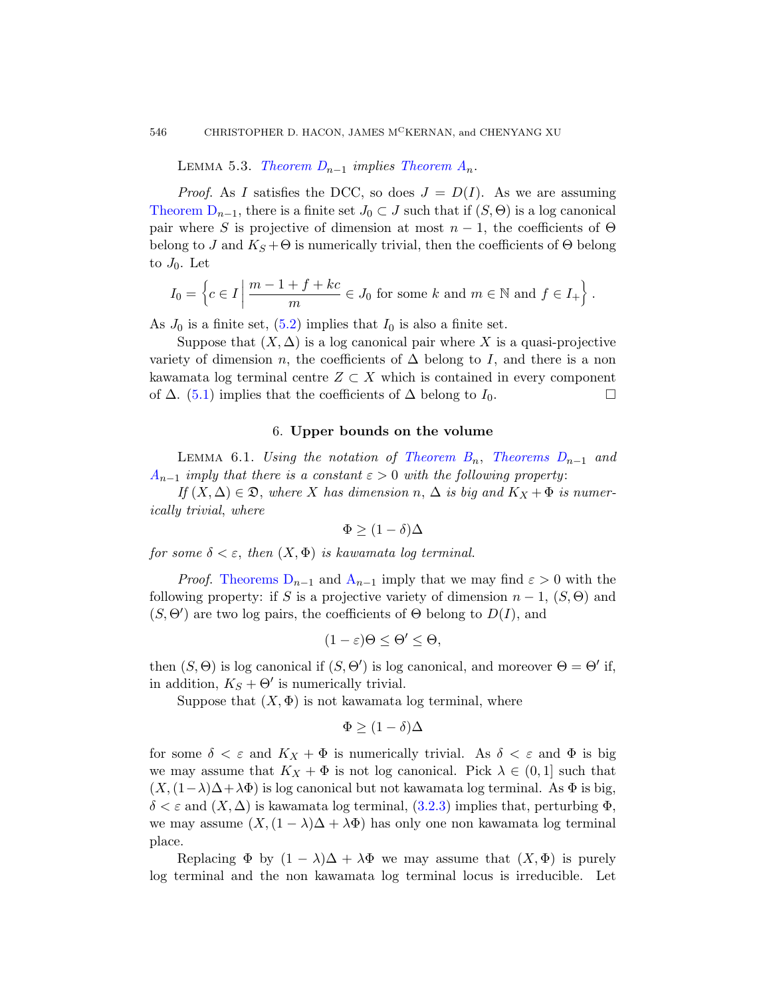LEMMA 5.3. Theorem  $D_{n-1}$  implies Theorem  $A_n$ .

<span id="page-23-1"></span>*Proof.* As I satisfies the DCC, so does  $J = D(I)$ . As we are assuming [Th](#page-22-0)eorem  $D_{n-1}$ , there is a finite set  $J_0 \subset J$  such that if  $(S, \Theta)$  is a log canonical pair where S is projective of dimension at most  $n-1$ , the coefficients of  $\Theta$ belong to J and  $K_S + \Theta$  is numerically trivial, then the coefficients of  $\Theta$  belong to  $J_0$ . Let

$$
I_0 = \left\{ c \in I \mid \frac{m-1+f+kc}{m} \in J_0 \text{ for some } k \text{ and } m \in \mathbb{N} \text{ and } f \in I_+ \right\}.
$$

<span id="page-23-0"></span>As  $J_0$  is a finite set,  $(5.2)$  implies that  $I_0$  is also a finite set.

<span id="page-23-2"></span>Suppose that  $(X, \Delta)$  is a log [canonical pai](#page-5-2)r where X is a quasi-projective variety of dimension n, the coefficients of  $\Delta$  belong to I, and there is a non kawamata log terminal centre  $Z \subset X$  which is contained in every component of  $\Delta$ . (5.1) implies that the coefficients of  $\Delta$  belong to  $I_0$ . □

#### 6. Upper bounds on the volume

LEMMA 6.1. Using the notation of Theorem  $B_n$ , Theorems  $D_{n-1}$  and  $A_{n-1}$  $A_{n-1}$  im[ply](#page-4-1) that there is a constant  $\varepsilon > 0$  with the following property:

If  $(X, \Delta) \in \mathfrak{D}$ , where X has dimension n,  $\Delta$  is big and  $K_X + \Phi$  is numerically trivial, where

$$
\Phi \ge (1 - \delta)\Delta
$$

for some  $\delta < \varepsilon$ , then  $(X, \Phi)$  is kawamata log terminal.

*Proof.* Theorems  $D_{n-1}$  and  $A_{n-1}$  imply that we may find  $\varepsilon > 0$  with the following property: if S is a projective variety of dimension  $n-1$ ,  $(S, \Theta)$  and  $(S, \Theta')$  are two log pairs, the coefficients of  $\Theta$  belong to  $D(I)$ , and

$$
(1-\varepsilon)\Theta \leq \Theta' \leq \Theta,
$$

then  $(S, \Theta)$  is log canonical if  $(S, \Theta')$  is log canonical, and moreover  $\Theta = \Theta'$  if, in addition,  $K_S + \Theta'$  is numerically trivial.

Suppose that  $(X, \Phi)$  is not kawamata log terminal, where

$$
\Phi \ge (1 - \delta)\Delta
$$

for some  $\delta < \varepsilon$  and  $K_X + \Phi$  is numerically trivial. As  $\delta < \varepsilon$  and  $\Phi$  is big we may assume that  $K_X + \Phi$  is not log canonical. Pick  $\lambda \in (0,1]$  such that  $(X,(1-\lambda)\Delta+\lambda\Phi)$  is log canonical but not kawamata log terminal. As  $\Phi$  is big,  $\delta < \varepsilon$  and  $(X, \Delta)$  is kawamata log terminal, (3.2.3) implies that, perturbing  $\Phi$ , we may assume  $(X,(1 - \lambda)\Delta + \lambda\Phi)$  has only one non kawamata log terminal place.

Replacing  $\Phi$  by  $(1 - \lambda)\Delta + \lambda \Phi$  we may assume that  $(X, \Phi)$  is purely log terminal and the non kawamata log terminal locus is irreducible. Let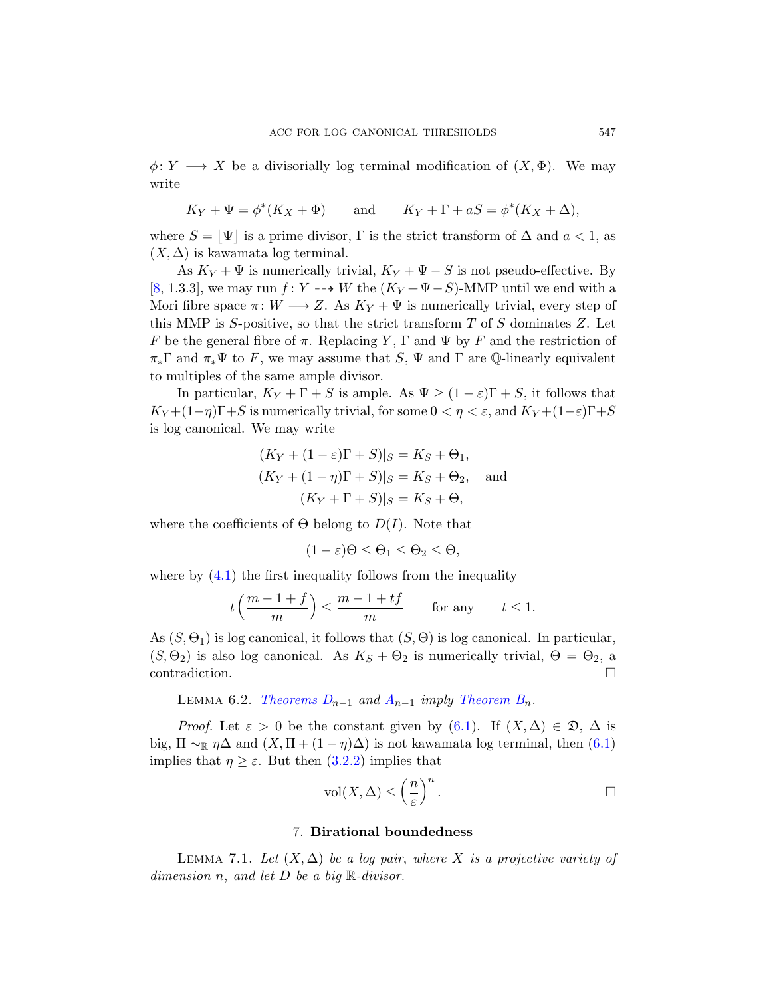$\phi \colon Y \longrightarrow X$  be a divisorially log terminal modification of  $(X, \Phi)$ . We may write

$$
K_Y + \Psi = \phi^*(K_X + \Phi)
$$
 and  $K_Y + \Gamma + aS = \phi^*(K_X + \Delta)$ ,

where  $S = |\Psi|$  is a prime divisor, Γ is the strict transform of  $\Delta$  and  $a < 1$ , as  $(X, \Delta)$  is kawamata log terminal.

As  $K_Y + \Psi$  is numerically trivial,  $K_Y + \Psi - S$  is not pseudo-effective. By [8, 1.3.3], we may run f: Y  $-\rightarrow$  W the  $(K_Y + \Psi - S)$ -MMP until we end with a Mori fibre space  $\pi: W \longrightarrow Z$ . As  $K_Y + \Psi$  is numerically trivial, every step of this MMP is S-positive, so that the strict transform  $T$  of  $S$  dominates  $Z$ . Let F be the general fibre of  $\pi$ . Replacing Y,  $\Gamma$  and  $\Psi$  by F and the restriction of  $\pi_*\Gamma$  and  $\pi_*\Psi$  to F, we may assume that S,  $\Psi$  and  $\Gamma$  are  $\mathbb Q$ -linearly equivalent to multiples of the same ample divisor.

In particular,  $K_Y + \Gamma + S$  is ample. As  $\Psi \ge (1 - \varepsilon)\Gamma + S$ , it follows that  $K_Y + (1-\eta)\Gamma + S$  is numerically trivial, for some  $0 < \eta < \varepsilon$ , and  $K_Y + (1-\varepsilon)\Gamma + S$ is log canonical. We may write

$$
(K_Y + (1 - \varepsilon)\Gamma + S)|_S = K_S + \Theta_1,
$$
  
\n
$$
(K_Y + (1 - \eta)\Gamma + S)|_S = K_S + \Theta_2, \text{ and }
$$
  
\n
$$
(K_Y + \Gamma + S)|_S = K_S + \Theta,
$$

where the coefficients of  $\Theta$  belong to  $D(I)$ . Note that

$$
(1 - \varepsilon)\Theta \le \Theta_1 \le \Theta_2 \le \Theta,
$$

<span id="page-24-1"></span>where by  $(4.1)$  the first inequality follows from the inequality

$$
t\left(\frac{m-1+f}{m}\right) \le \frac{m-1+tf}{m} \quad \text{for any} \quad t \le 1.
$$

As  $(S, \Theta_1)$  is [log c](#page-23-2)anonical, it follows that  $(S, \Theta)$  is log canonical. In particular,  $(S, \Theta_2)$  [is als](#page-12-1)o log canonical. As  $K_S + \Theta_2$  is numerically trivial,  $\Theta = \Theta_2$ , a contradiction.

LEMMA 6.2. Theorems  $D_{n-1}$  and  $A_{n-1}$  imply Theorem  $B_n$ .

<span id="page-24-2"></span><span id="page-24-0"></span>*Proof.* Let  $\varepsilon > 0$  be the constant given by  $(6.1)$ . If  $(X, \Delta) \in \mathfrak{D}, \Delta$  is big,  $\Pi \sim_{\mathbb{R}} \eta \Delta$  and  $(X, \Pi + (1 - \eta) \Delta)$  is not kawamata log terminal, then  $(6.1)$ implies that  $\eta \geq \varepsilon$ . But then  $(3.2.2)$  implies that

$$
\mathrm{vol}(X,\Delta)\leq \left(\frac{n}{\varepsilon}\right)^n.
$$

# 7. Birational boundedness

LEMMA 7.1. Let  $(X, \Delta)$  be a log pair, where X is a projective variety of dimension n, and let  $D$  be a big  $\mathbb R$ -divisor.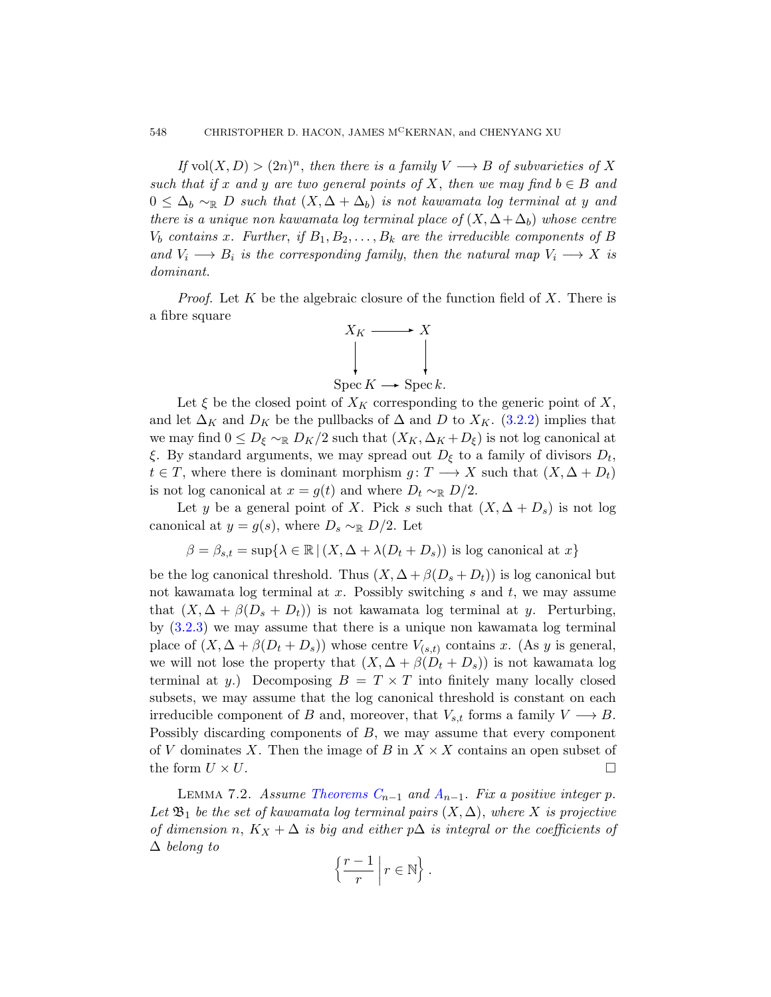If vol $(X, D) > (2n)^n$ , then there is a family  $V \longrightarrow B$  of subvarieties of X such that if x and y are two general points of X, then we may find  $b \in B$  and  $0 \leq \Delta_b \sim_{\mathbb{R}} D$  such that  $(X, \Delta + \Delta_b)$  is not kawamata log terminal at y and there is a unique non kawamata log terminal place of  $(X, \Delta + \Delta_b)$  whose centre  $V_b$  contains x. Further, if  $B_1, B_2, \ldots, B_k$  are the irreducible components of B and  $V_i \longrightarrow B_i$  is the corresponding family, then the natural map  $V_i \longrightarrow X$  is dominant.

*Proof.* Let K be the algebraic [closure](#page-12-1) of the function field of X. There is a fibre square



Let  $\xi$  be the closed point of  $X_K$  corresponding to the generic point of X, and let  $\Delta_K$  and  $D_K$  be the pullbacks of  $\Delta$  and D to  $X_K$ . (3.2.2) implies that we may find  $0 \leq D_{\xi} \sim \mathbb{R} D_K/2$  such that  $(X_K, \Delta_K + D_{\xi})$  is not log canonical at ξ. By standard arguments, we may spread out  $D_{\xi}$  to a family of divisors  $D_{t}$ ,  $t \in T$ , where there is dominant morphism  $g: T \longrightarrow X$  such that  $(X, \Delta + D_t)$ is not log canonical at  $x = g(t)$  and where  $D_t \sim_{\mathbb{R}} D/2$ .

Let y be a general point of X. Pick s such that  $(X, \Delta + D_s)$  is not log canonical at  $y = g(s)$ , where  $D_s \sim_{\mathbb{R}} D/2$ . Let

$$
\beta = \beta_{s,t} = \sup \{ \lambda \in \mathbb{R} \mid (X, \Delta + \lambda (D_t + D_s)) \text{ is log canonical at } x \}
$$

be the log canonical threshold. Thus  $(X, \Delta + \beta(D_s + D_t))$  is log canonical but not kawamata log terminal at x. Possibly switching s and t, we may assume that  $(X, \Delta + \beta(D_s + D_t))$  is not kawamata log terminal at y. Perturbing, by (3.2.3) we may assume that there is a unique non kawamata log terminal place of  $(X, \Delta + \beta(D_t + D_s))$  whose centre  $V_{(s,t)}$  contains x. (As y is general, we will not lose the property that  $(X, \Delta + \beta(D_t + D_s))$  is not kawamata log ter[minal at](#page-5-1) y.) Decom[po](#page-4-1)sing  $B = T \times T$  into finitely many locally closed subsets, we may assume that the log canonical threshold is constant on each irreducible component of B and, moreover, that  $V_{s,t}$  forms a family  $V \longrightarrow B$ . Possibly discarding components of B, we may assume that every component of V dominates X. Then the image of B in  $X \times X$  contains an open subset of the form  $U \times U$ .

LEMMA 7.2. Assume Theorems  $C_{n-1}$  and  $A_{n-1}$ . Fix a positive integer p. Let  $\mathfrak{B}_1$  be the set of kawamata log terminal pairs  $(X, \Delta)$ , where X is projective of dimension n,  $K_X + \Delta$  is big and either p $\Delta$  is integral or the coefficients of ∆ belong to

$$
\left\{\frac{r-1}{r}\,\middle|\, r\in\mathbb{N}\right\}.
$$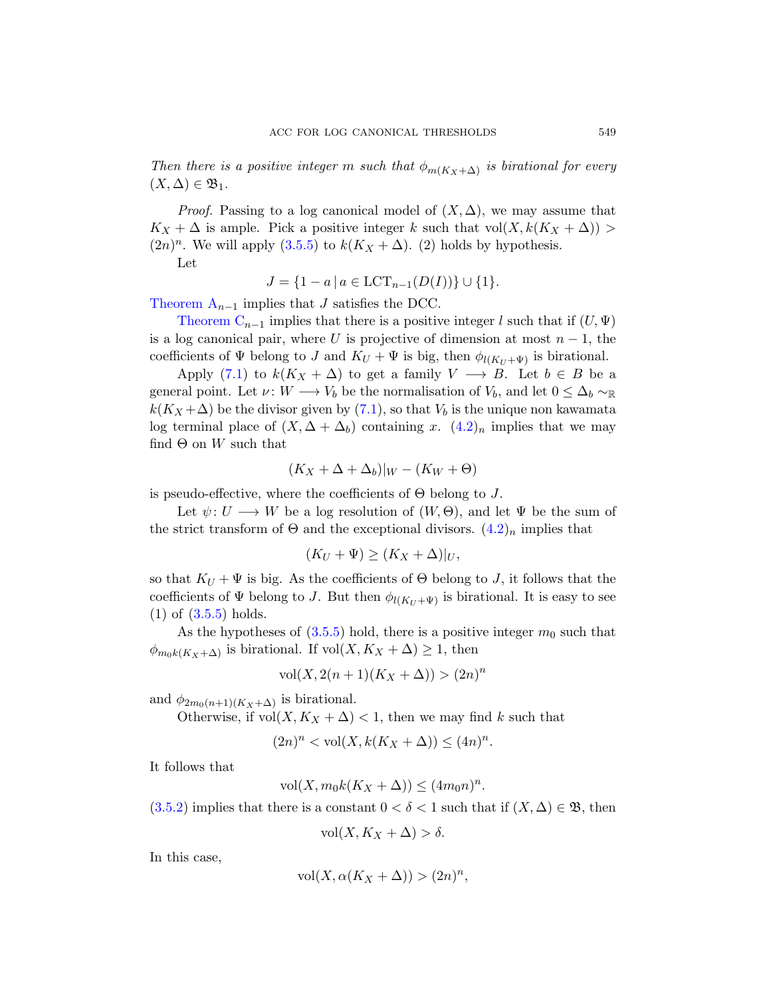Then there is a positive integer m such that  $\phi_{m(K_X+\Delta)}$  is birational for every  $(X, \Delta) \in \mathfrak{B}_1.$ 

*Proof.* Passing to a log canonical model of  $(X, \Delta)$ , we may assume that  $K_X + \Delta$  is ample. Pick a positive integer k such that vol $(X, k(K_X + \Delta))$  $(2n)^n$ . We will apply  $(3.5.5)$  to  $k(K_X + \Delta)$ . (2) holds by hypothesis.

Let

$$
J = \{1 - a \mid a \in \text{LCT}_{n-1}(D(I))\} \cup \{1\}.
$$

Theorem  $A_{n-1}$  implies that J satisfies the DCC.

Theorem  $C_{n-1}$  implies [that](#page-17-1) there is a positive integer l such that if  $(U, \Psi)$ is a log canonical pair, where U is projective of dimension at most  $n-1$ , the coefficients of  $\Psi$  belong to J and  $K_U + \Psi$  is big, then  $\phi_{l(K_U + \Psi)}$  is birational.

Apply (7.1) to  $k(K_X + \Delta)$  to get a family  $V \longrightarrow B$ . Let  $b \in B$  be a general point. Let  $\nu: W \longrightarrow V_b$  be the normalisation of  $V_b$ , and let  $0 \leq \Delta_b \sim_{\mathbb{R}}$  $k(K_X + \Delta)$  be the divisor given by (7.1), so that  $V_b$  is the unique non kawamata log terminal place of  $(X, \Delta + \Delta_b)$  containing x.  $(4.2)_n$  implies that we may find  $\Theta$  on W such that

$$
(K_X + \Delta + \Delta_b)|_W - (K_W + \Theta)
$$

is pseudo-effective, where the coefficients of  $\Theta$  belong to J.

Let  $\psi: U \longrightarrow W$  be a log resolution of  $(W, \Theta)$ , and let  $\Psi$  be the sum of the [strict](#page-16-0) transform of  $\Theta$  and the exceptional divisors.  $(4.2)_n$  implies that

$$
(K_U + \Psi) \ge (K_X + \Delta)|_U,
$$

so that  $K_U + \Psi$  is big. As the coefficients of  $\Theta$  belong to J, it follows that the coefficients of  $\Psi$  belong to J. But then  $\phi_{l(K_U + \Psi)}$  is birational. It is easy to see (1) of (3.5.5) holds.

As the hypotheses of  $(3.5.5)$  hold, there is a positive integer  $m_0$  such that  $\phi_{m_0k(K_X+\Delta)}$  is birational. If vol $(X, K_X+\Delta) \geq 1$ , then

$$
vol(X, 2(n + 1)(K_X + \Delta)) > (2n)^n
$$

and  $\phi_{2m_0(n+1)(K_X+\Delta)}$  is birational.

Otherwise, if  $vol(X, K_X + \Delta) < 1$ , then we may find k such that

$$
(2n)^n < \text{vol}(X, k(K_X + \Delta)) \le (4n)^n.
$$

It follows that

$$
\text{vol}(X, m_0 k(K_X + \Delta)) \le (4m_0 n)^n.
$$

 $(3.5.2)$  implies that there is a constant  $0 < \delta < 1$  such that if  $(X, \Delta) \in \mathfrak{B}$ , then

$$
vol(X, K_X + \Delta) > \delta.
$$

In this case,

$$
vol(X, \alpha(K_X + \Delta)) > (2n)^n,
$$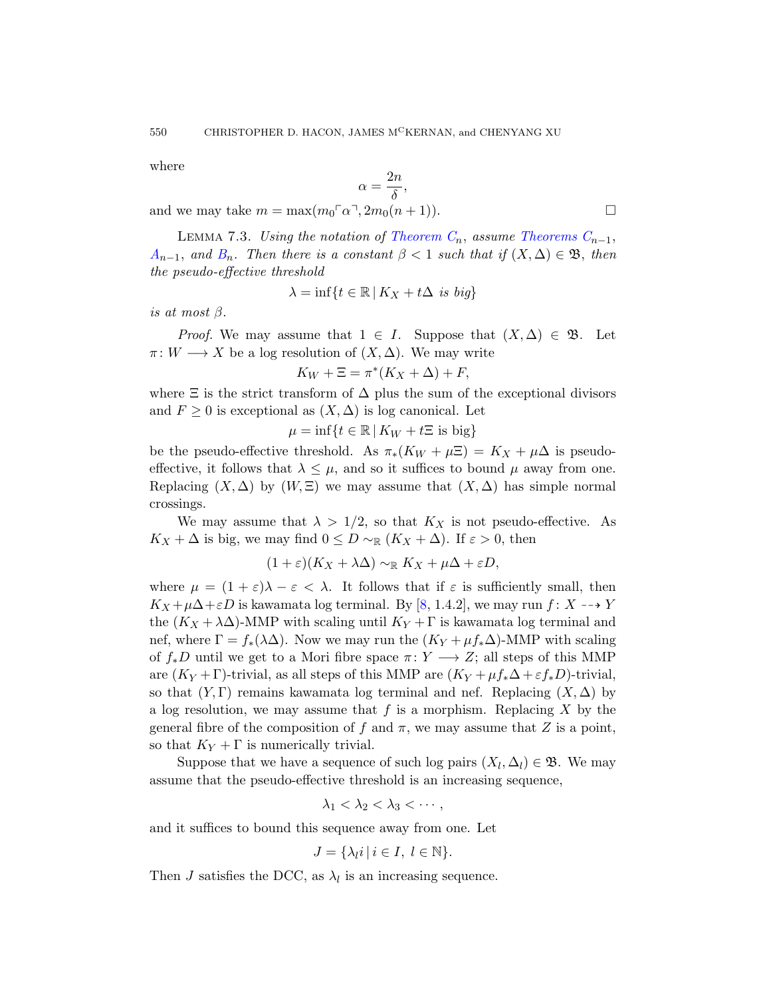<span id="page-27-0"></span>where

$$
\alpha = \frac{2n}{\delta},
$$

and we may take  $m = \max(m_0 \lceil \alpha \rceil, 2m_0(n + 1)).$ 

LEMMA 7.3. Using the notation of Theorem  $C_n$ , assume Theorems  $C_{n-1}$ ,  $A_{n-1}$ , and  $B_n$ . Then there is a constant  $\beta < 1$  such that if  $(X, \Delta) \in \mathfrak{B}$ , then the pseudo-effective threshold

$$
\lambda = \inf\{t \in \mathbb{R} \,|\, K_X + t\Delta \text{ is big}\}
$$

is at most  $\beta$ .

*Proof.* We may assume that  $1 \in I$ . Suppose that  $(X, \Delta) \in \mathfrak{B}$ . Let  $\pi: W \longrightarrow X$  be a log resolution of  $(X, \Delta)$ . We may write

$$
K_W + \Xi = \pi^*(K_X + \Delta) + F,
$$

where  $\Xi$  is the strict transform of  $\Delta$  plus the sum of the exceptional divisors and  $F \geq 0$  is exceptional as  $(X, \Delta)$  is log canonical. Let

$$
\mu = \inf\{t \in \mathbb{R} \,|\, K_W + t\Xi \text{ is big}\}
$$

be the pseudo-effective threshold. As  $\pi_*(K_W + \mu \Xi) = K_X + \mu \Delta$  is pseudoeffective, it follows that  $\lambda \leq \mu$ , and so it suffices to bound  $\mu$  away from one. Replacing  $(X, \Delta)$  by  $(W, \Xi)$  we may assume that  $(X, \Delta)$  has simple normal crossings.

We may assume that  $\lambda > 1/2$ , so that  $K_X$  is not pseudo-effective. As  $K_X + \Delta$  is big, we may find  $0 \leq D \sim_{\mathbb{R}} (K_X + \Delta)$ . If  $\varepsilon > 0$ , then

$$
(1+\varepsilon)(K_X+\lambda\Delta)\sim_{\mathbb{R}} K_X+\mu\Delta+\varepsilon D,
$$

where  $\mu = (1 + \varepsilon)\lambda - \varepsilon < \lambda$ . It follows that if  $\varepsilon$  is sufficiently small, then  $K_X + \mu\Delta + \varepsilon D$  is kawamata log terminal. By [8, 1.4.2], we may run  $f: X \dashrightarrow Y$ the  $(K_X + \lambda \Delta)$ -MMP with scaling until  $K_Y + \Gamma$  is kawamata log terminal and nef, where  $\Gamma = f_*(\lambda \Delta)$ . Now we may run the  $(K_Y + \mu f_* \Delta)$ -MMP with scaling of  $f_*D$  until we get to a Mori fibre space  $\pi: Y \longrightarrow Z$ ; all steps of this MMP are  $(K_Y + \Gamma)$ -trivial, as all steps of this MMP are  $(K_Y + \mu f_*\Delta + \varepsilon f_*D)$ -trivial, so that  $(Y, \Gamma)$  remains kawamata log terminal and nef. Replacing  $(X, \Delta)$  by a log resolution, we may assume that  $f$  is a morphism. Replacing  $X$  by the general fibre of the composition of f and  $\pi$ , we may assume that Z is a point, so that  $K_Y + \Gamma$  is numerically trivial.

Suppose that we have a sequence of such log pairs  $(X_l, \Delta_l) \in \mathfrak{B}$ . We may assume that the pseudo-effective threshold is an increasing sequence,

$$
\lambda_1 < \lambda_2 < \lambda_3 < \cdots,
$$

and it suffices to bound this sequence away from one. Let

$$
J = \{ \lambda_l i \mid i \in I, \ l \in \mathbb{N} \}.
$$

Then J satisfies the DCC, as  $\lambda_l$  is an increasing sequence.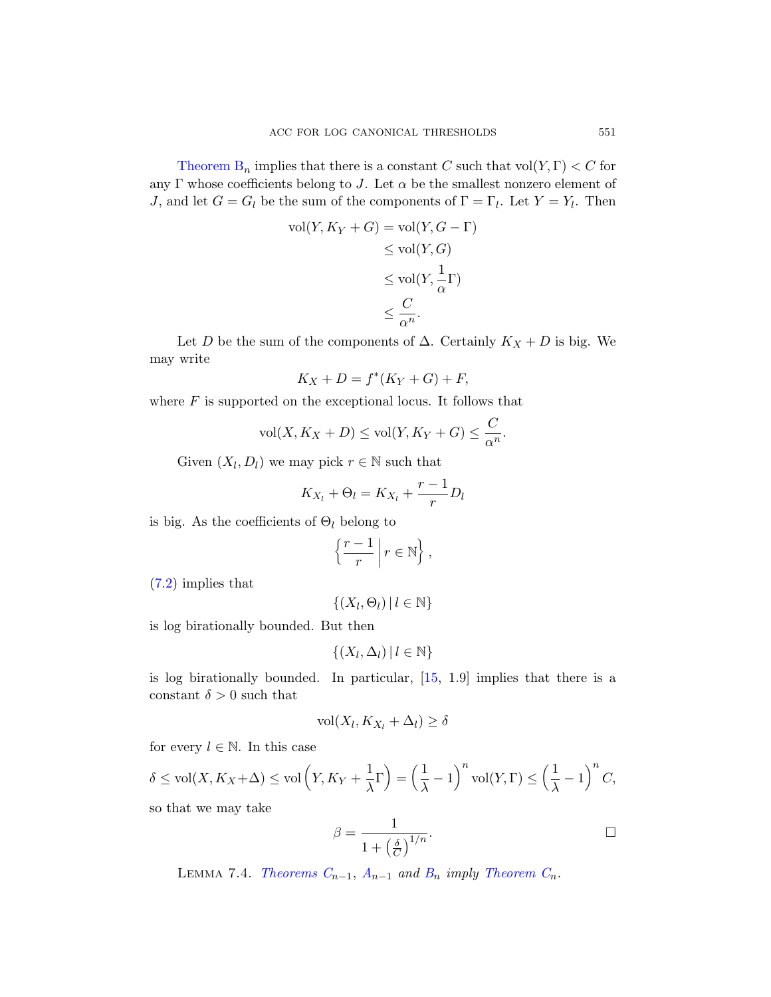Theorem  $B_n$  implies that there is a constant C such that  $\text{vol}(Y, \Gamma) < C$  for any Γ whose coefficients belong to J. Let  $\alpha$  be the smallest nonzero element of *J*, and let  $G = G_l$  be the sum of the components of  $\Gamma = \Gamma_l$ . Let  $Y = Y_l$ . Then

$$
\text{vol}(Y, K_Y + G) = \text{vol}(Y, G - \Gamma)
$$
  
\n
$$
\leq \text{vol}(Y, G)
$$
  
\n
$$
\leq \text{vol}(Y, \frac{1}{\alpha} \Gamma)
$$
  
\n
$$
\leq \frac{C}{\alpha^n}.
$$

Let D be the sum of the components of  $\Delta$ . Certainly  $K_X + D$  is big. We may write

$$
K_X + D = f^*(K_Y + G) + F,
$$

where  $F$  is supported on the exceptional locus. It follows that

$$
\text{vol}(X, K_X + D) \le \text{vol}(Y, K_Y + G) \le \frac{C}{\alpha^n}.
$$

Given  $(X_l, D_l)$  we may pick  $r \in \mathbb{N}$  such that

$$
K_{X_l} + \Theta_l = K_{X_l} + \frac{r-1}{r} D_l
$$

is big. As the coefficients of  $\Theta_l$  belong to

$$
\left\{\frac{r-1}{r}\,\middle|\, r\in\mathbb{N}\right\},\
$$

(7.2) implies that

$$
\{(X_l, \Theta_l) \, | \, l \in \mathbb{N}\}
$$

is log birationally bounded. But then

$$
\{(X_l, \Delta_l) \, | \, l \in \mathbb{N}\}
$$

is log birationally bounded. In particular, [15, 1.9] implies that there is a constant  $\delta > 0$  such that

$$
\text{vol}(X_l, K_{X_l} + \Delta_l) \ge \delta
$$

<span id="page-28-0"></span>for every  $l \in \mathbb{N}$ . In this case

$$
\delta \le \text{vol}(X, K_X + \Delta) \le \text{vol}\left(Y, K_Y + \frac{1}{\lambda}\Gamma\right) = \left(\frac{1}{\lambda} - 1\right)^n \text{vol}(Y, \Gamma) \le \left(\frac{1}{\lambda} - 1\right)^n C,
$$

so that we may take

$$
\beta = \frac{1}{1 + \left(\frac{\delta}{C}\right)^{1/n}}.
$$

LEMMA 7.4. Theorems  $C_{n-1}$ ,  $A_{n-1}$  and  $B_n$  imply Theorem  $C_n$ .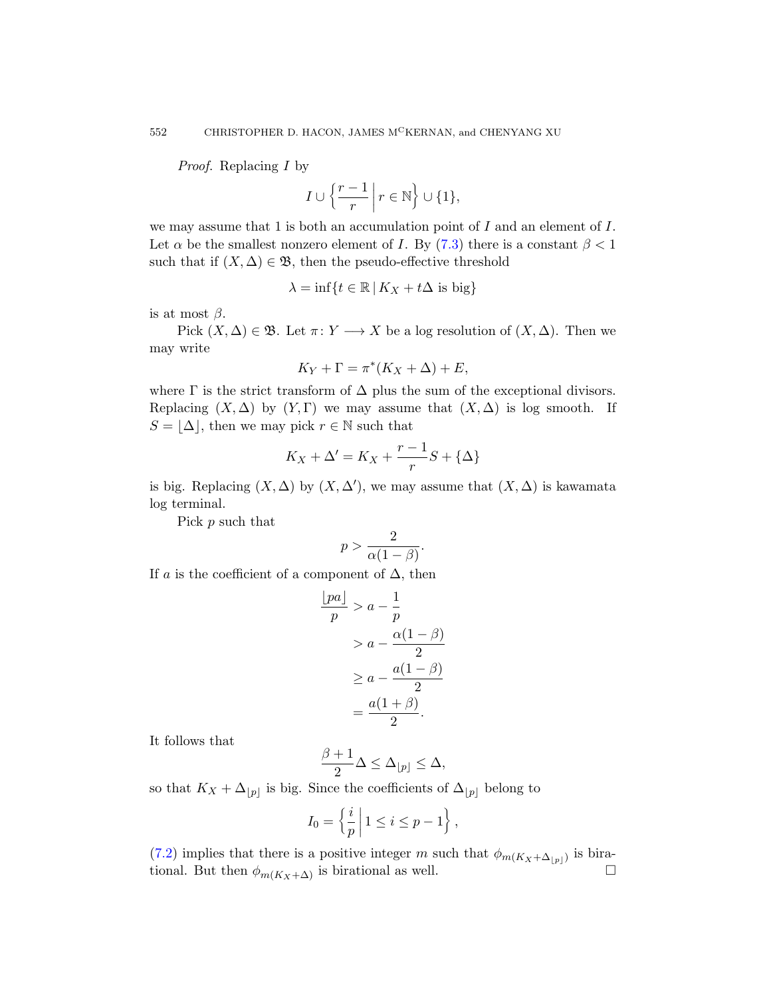Proof. Replacing I by

$$
I \cup \left\{ \frac{r-1}{r} \mid r \in \mathbb{N} \right\} \cup \{1\},\
$$

we may assume that 1 is both an accumulation point of  $I$  and an element of  $I$ . Let  $\alpha$  be the smallest nonzero element of I. By (7.3) there is a constant  $\beta < 1$ such that if  $(X, \Delta) \in \mathfrak{B}$ , then the pseudo-effective threshold

$$
\lambda = \inf\{t \in \mathbb{R} \,|\, K_X + t\Delta \text{ is big}\}
$$

is at most  $\beta$ .

Pick  $(X, \Delta) \in \mathfrak{B}$ . Let  $\pi: Y \longrightarrow X$  be a log resolution of  $(X, \Delta)$ . Then we may write

$$
K_Y + \Gamma = \pi^*(K_X + \Delta) + E,
$$

where  $\Gamma$  is the strict transform of  $\Delta$  plus the sum of the exceptional divisors. Replacing  $(X, \Delta)$  by  $(Y, \Gamma)$  we may assume that  $(X, \Delta)$  is log smooth. If  $S = |\Delta|$ , then we may pick  $r \in \mathbb{N}$  such that

$$
K_X+\Delta'=K_X+\frac{r-1}{r}S+\{\Delta\}
$$

is big. Replacing  $(X, \Delta)$  by  $(X, \Delta')$ , we may assume that  $(X, \Delta)$  is kawamata log terminal.

Pick p such that

$$
p > \frac{2}{\alpha(1-\beta)}.
$$

If a is the coefficient of a component of  $\Delta$ , then

$$
\frac{\lfloor pa \rfloor}{p} > a - \frac{1}{p} \\
> a - \frac{\alpha(1 - \beta)}{2} \\
> a - \frac{a(1 - \beta)}{2} \\
> \frac{a(1 + \beta)}{2}.
$$

It follows that

$$
\frac{\beta+1}{2}\Delta \leq \Delta_{\lfloor p\rfloor} \leq \Delta,
$$

so that  $K_X + \Delta_{|p|}$  is big. Since the coefficients of  $\Delta_{|p|}$  belong to

$$
I_0 = \left\{ \frac{i}{p} \mid 1 \le i \le p - 1 \right\},\,
$$

(7.2) implies that there is a positive integer m such that  $\phi_{m(K_X+\Delta_{|p|})}$  is birational. But then  $\phi_{m(K_X+\Delta)}$  is birational as well.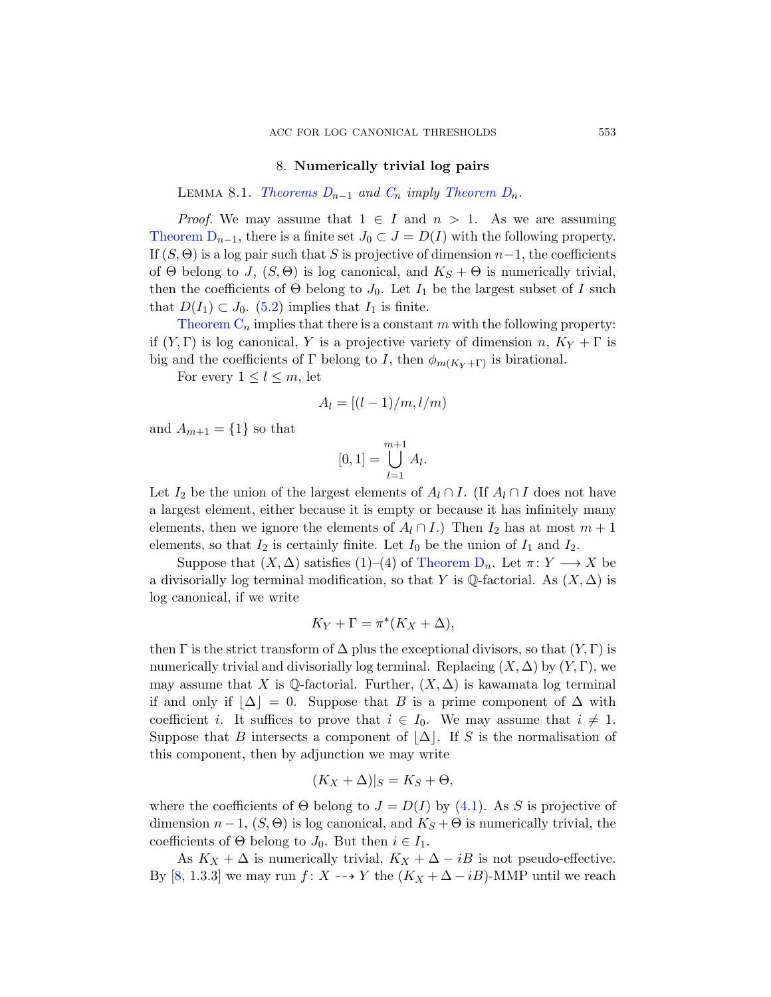# 8. Numerically trivial log pairs

<span id="page-30-0"></span>LEMMA 8.1. Theorems  $D_{n-1}$  and  $C_n$  imply Theorem  $D_n$ .

<span id="page-30-1"></span>*Proof.* We may assume that  $1 \in I$  and  $n > 1$ . As we are assuming Theorem  $D_{n-1}$ , there is a finite set  $J_0 \subset J = D(I)$  with the following property. If  $(S, \Theta)$  is a log pair such that S is projective of dimension  $n-1$ , the coefficients of  $\Theta$  belong to J,  $(S, \Theta)$  is log canonical, and  $K_S + \Theta$  is numerically trivial, then the coefficients of  $\Theta$  belong to  $J_0$ . Let  $I_1$  be the largest subset of I such that  $D(I_1) \subset J_0$ . (5.2) implies that  $I_1$  is finite.

Theorem  $C_n$  implies that there is a constant m with the following property: if  $(Y, \Gamma)$  is log canonical, Y is a projective variety of dimension n,  $K_Y + \Gamma$  is big and the coefficients of Γ belong to I, then  $\phi_{m(K_Y+\Gamma)}$  is birational.

For every  $1 \leq l \leq m$ , let

$$
A_l = \left[ (l-1)/m, l/m \right)
$$

and  $A_{m+1} = \{1\}$  so that

$$
[0,1] = \bigcup_{l=1}^{m+1} A_l.
$$

Let  $I_2$  be the union of the largest elements of  $A_l \cap I$ . (If  $A_l \cap I$  does not have a largest element, either because it is empty or because it has infinitely many elements, then we ignore the elements of  $A_l \cap I$ .) Then  $I_2$  has at most  $m + 1$ elements, so that  $I_2$  is certainly finite. Let  $I_0$  be the union of  $I_1$  and  $I_2$ .

Suppose that  $(X, \Delta)$  satisfies  $(1)–(4)$  of Theorem  $D_n$ . Let  $\pi: Y \longrightarrow X$  be a divisorially log terminal modification, so that Y is  $\mathbb Q$ -factorial. As  $(X, \Delta)$  is log canonical, if we write

$$
K_Y + \Gamma = \pi^*(K_X + \Delta),
$$

then  $\Gamma$  is the strict transform of  $\Delta$  plus the exceptional divisors, so that  $(Y, \Gamma)$  is numerically trivial and divisorially log terminal. Replacing  $(X, \Delta)$  by  $(Y, \Gamma)$ , we may assume that X is Q-factorial. Further,  $(X, \Delta)$  is kawamata log terminal if and only if  $|\Delta| = 0$ . S[uppo](#page-17-0)se that B is a prime component of  $\Delta$  with coefficient *i*. It suffices to prove that  $i \in I_0$ . We may assume that  $i \neq 1$ . Suppose that B intersects a component of  $\Delta$ . If S is the normalisation of this component, then by adjunction we may write

$$
(K_X + \Delta)|_S = K_S + \Theta,
$$

where the coefficients of  $\Theta$  belong to  $J = D(I)$  by (4.1). As S is projective of dimension  $n-1$ ,  $(S, \Theta)$  is log canonical, and  $K_S + \Theta$  is numerically trivial, the coefficients of  $\Theta$  belong to  $J_0$ . But then  $i \in I_1$ .

As  $K_X + \Delta$  is numerically trivial,  $K_X + \Delta - iB$  is not pseudo-effective. By [8, 1.3.3] we may run f: X  $\rightarrow$  Y the  $(K_X + \Delta - iB)$ -MMP until we reach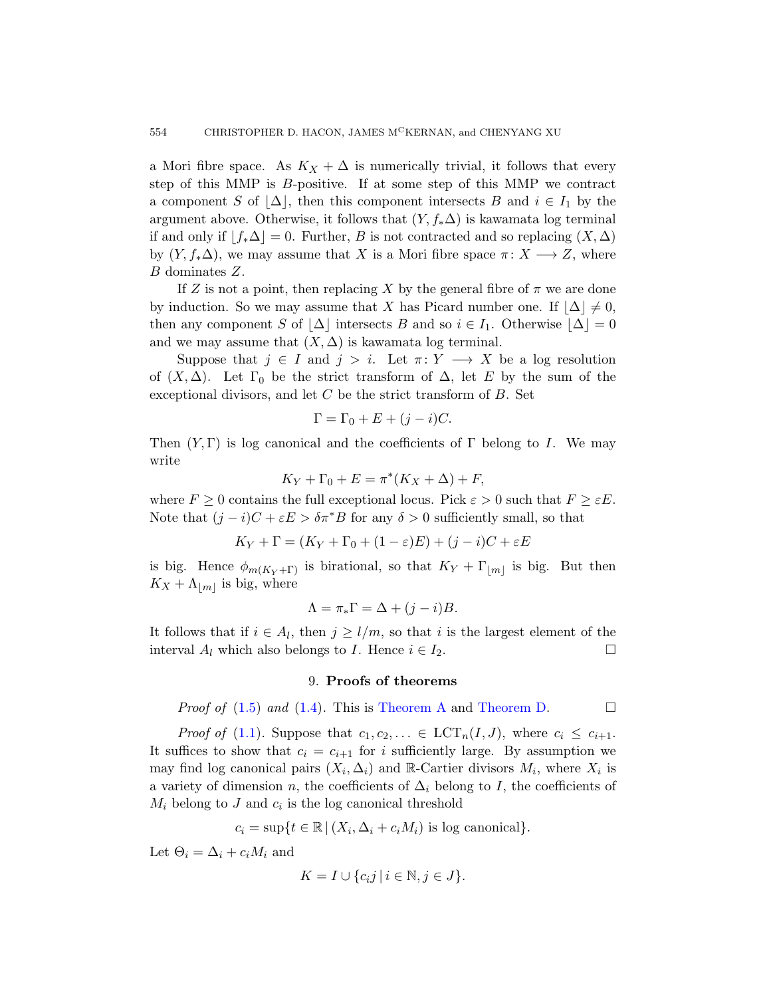a Mori fibre space. As  $K_X + \Delta$  is numerically trivial, it follows that every step of this MMP is B-positive. If at some step of this MMP we contract a component S of  $\Delta$ , then this component intersects B and  $i \in I_1$  by the argument above. Otherwise, it follows that  $(Y, f_*\Delta)$  is kawamata log terminal if and only if  $f_*\Delta$  = 0. Further, B is not contracted and so replacing  $(X, \Delta)$ by  $(Y, f_*\Delta)$ , we may assume that X is a Mori fibre space  $\pi: X \longrightarrow Z$ , where B dominates Z.

If Z is not a point, then replacing X by the general fibre of  $\pi$  we are done by induction. So we may assume that X has Picard number one. If  $|\Delta| \neq 0$ , then any component S of  $\Delta$  intersects B and so  $i \in I_1$ . Otherwise  $\Delta = 0$ and we may assume that  $(X, \Delta)$  is kawamata log terminal.

Suppose that  $j \in I$  and  $j > i$ . Let  $\pi: Y \longrightarrow X$  be a log resolution of  $(X, \Delta)$ . Let  $\Gamma_0$  be the strict transform of  $\Delta$ , let E by the sum of the exceptional divisors, and let  $C$  be the strict transform of  $B$ . Set

$$
\Gamma = \Gamma_0 + E + (j - i)C.
$$

Then  $(Y, \Gamma)$  is log canonical and the coefficients of  $\Gamma$  belong to I. We may write

$$
K_Y + \Gamma_0 + E = \pi^* (K_X + \Delta) + F,
$$

where  $F \geq 0$  contains the full exceptional locus. Pick  $\varepsilon > 0$  such that  $F \geq \varepsilon E$ . Note that  $(j - i)C + \varepsilon E > \delta \pi^* B$  for any  $\delta > 0$  sufficiently small, so that

$$
K_Y + \Gamma = (K_Y + \Gamma_0 + (1 - \varepsilon)E) + (j - i)C + \varepsilon E
$$

<span id="page-31-0"></span>is big. Hence  $\phi_{m(K_Y+\Gamma)}$  is birational, so that  $K_Y+\Gamma_{\lfloor m\rfloor}$  is big. But then  $K_X + \Lambda_{|m|}$  $K_X + \Lambda_{|m|}$  $K_X + \Lambda_{|m|}$  is [big, where](#page-4-1)

$$
\Lambda = \pi_* \Gamma = \Delta + (j - i)B.
$$

It follows that if  $i \in A_l$ , then  $j \geq l/m$ , so that i is the largest element of the interval  $A_l$  which also belongs to I. Hence  $i \in I_2$ .

#### 9. Proofs of theorems

*Proof of* (1.5) and (1.4). This is Theorem A and Theorem D.

*Proof of* (1.1). Suppose that  $c_1, c_2, \ldots \in \text{LCT}_n(I, J)$ , where  $c_i \leq c_{i+1}$ . It suffices to show that  $c_i = c_{i+1}$  for i sufficiently large. By assumption we may find log canonical pairs  $(X_i, \Delta_i)$  and R-Cartier divisors  $M_i$ , where  $X_i$  is a variety of dimension n, the coefficients of  $\Delta_i$  belong to I, the coefficients of  $M_i$  belong to J and  $c_i$  is the log canonical threshold

$$
c_i = \sup\{t \in \mathbb{R} \mid (X_i, \Delta_i + c_i M_i) \text{ is log canonical}\}.
$$

Let  $\Theta_i = \Delta_i + c_i M_i$  and

$$
K = I \cup \{c_i j \mid i \in \mathbb{N}, j \in J\}.
$$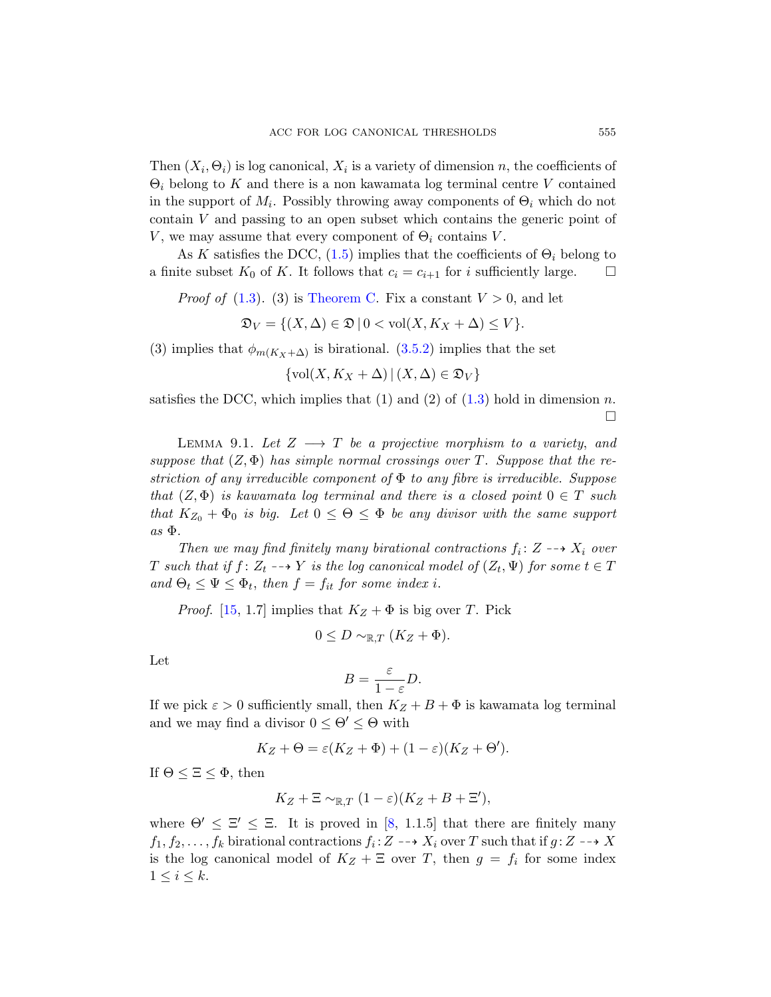Then  $(X_i, \Theta_i)$  is log canonical,  $X_i$  is a variety of dimension n, the coefficients of  $\Theta_i$  [belong to](#page-5-1) K and there is a non kawamata log terminal centre V contained in the support of  $M_i$ . Possibly throwing away components of  $\Theta_i$  which do not contain V and passing to an open subset which contains the generic point of V, we may assume [that](#page-14-1) every component of  $\Theta_i$  contains V.

As K satisfies the DCC,  $(1.5)$  implies that the coefficients of  $\Theta_i$  belong to a finite subset  $K_0$  of K. It follows that  $c_i = c_{i+1}$  for i sufficiently large.  $\square$ 

*Proof of* (1.3). (3) is Th[eore](#page-1-1)m C. Fix a constant  $V > 0$ , and let

 $\mathfrak{D}_V = \{ (X, \Delta) \in \mathfrak{D} \mid 0 < \text{vol}(X, K_X + \Delta) \leq V \}.$ 

<span id="page-32-0"></span>(3) implies that  $\phi_{m(K_X+\Delta)}$  is birational. (3.5.2) implies that the set

$$
\{\text{vol}(X, K_X + \Delta) \,|\, (X, \Delta) \in \mathfrak{D}_V\}
$$

satisfies the DCC, which implies that  $(1)$  and  $(2)$  of  $(1.3)$  hold in dimension n.  $\Box$ 

LEMMA 9.1. Let  $Z \longrightarrow T$  be a projective morphism to a variety, and suppose that  $(Z, \Phi)$  has simple normal crossings over T. Suppose that the restriction of any irreducible component of  $\Phi$  to any fibre is irreducible. Suppose that  $(Z, \Phi)$  is kawamata log terminal and there is a closed point  $0 \in T$  such that  $K_{Z_0} + \Phi_0$  is big. Let  $0 \le \Theta \le \Phi$  be any divisor with the same support  $as \Phi$ .

Then we may find finitely many birational contractions  $f_i: Z \dashrightarrow X_i$  over T such that if  $f: Z_t \dashrightarrow Y$  is the log canonical model of  $(Z_t, \Psi)$  for some  $t \in T$ and  $\Theta_t \leq \Psi \leq \Phi_t$ , then  $f = f_{it}$  for some index i.

*Proof.* [15, 1.7] implies that  $K_Z + \Phi$  is big over T. Pick

$$
0 \le D \sim_{\mathbb{R},T} (K_Z + \Phi).
$$

Let

$$
B = \frac{\varepsilon}{1 - \varepsilon} D.
$$

If we pick  $\varepsilon > 0$  [su](#page-46-6)fficiently small, then  $K_Z + B + \Phi$  is kawamata log terminal and we may find a divisor  $0 \leq \Theta' \leq \Theta$  with

$$
K_Z + \Theta = \varepsilon (K_Z + \Phi) + (1 - \varepsilon)(K_Z + \Theta').
$$

If  $\Theta \leq \Xi \leq \Phi$ , then

$$
K_Z + \Xi \sim_{\mathbb{R},T} (1 - \varepsilon)(K_Z + B + \Xi'),
$$

where  $\Theta' \leq \Xi' \leq \Xi$ . It is proved in [8, 1.1.5] that there are finitely many  $f_1, f_2, \ldots, f_k$  birational contractions  $f_i: Z \dashrightarrow X_i$  over T such that if  $g: Z \dashrightarrow X$ is the log canonical model of  $K_Z + \Xi$  over T, then  $g = f_i$  for some index  $1 \leq i \leq k$ .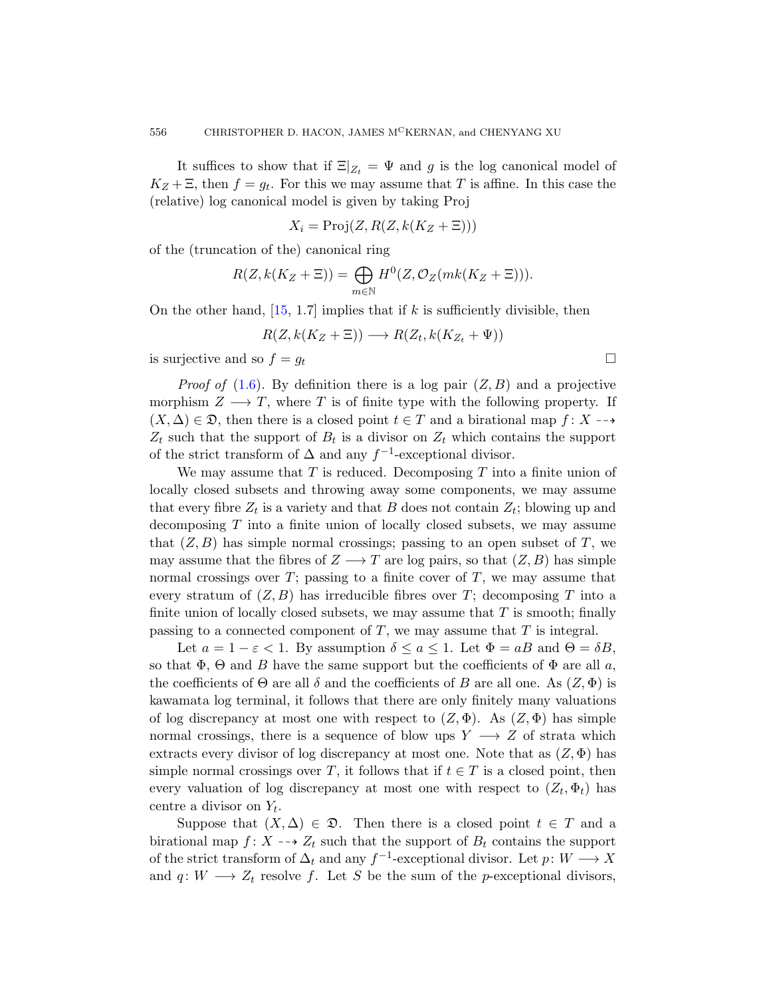It suffices to show that if  $\Xi|_{Z_t} = \Psi$  and g is the log canonical model of  $K_Z + \Xi$ , then  $f = g_t$ . For this we may assume that T is affine. In this case the [\(](#page-46-0)relative) log canonical model is given by taking Proj

$$
X_i = \text{Proj}(Z, R(Z, k(K_Z + \Xi)))
$$

of the (truncation of the) canonical ring

$$
R(Z, k(K_Z + \Xi)) = \bigoplus_{m \in \mathbb{N}} H^0(Z, \mathcal{O}_Z(mk(K_Z + \Xi))).
$$

On the other hand,  $[15, 1.7]$  implies that if k is sufficiently divisible, then

$$
R(Z, k(K_Z + \Xi)) \longrightarrow R(Z_t, k(K_{Z_t} + \Psi))
$$

is surjective and so  $f = g_t$ 

*Proof of* (1.6). By definition there is a log pair  $(Z, B)$  and a projective morphism  $Z \longrightarrow T$ , where T is of finite type with the following property. If  $(X, \Delta) \in \mathfrak{D}$ , then there is a closed point  $t \in T$  and a birational map  $f: X \dashrightarrow$  $Z_t$  such that the support of  $B_t$  is a divisor on  $Z_t$  which contains the support of the strict transform of  $\Delta$  and any  $f^{-1}$ -exceptional divisor.

We may assume that  $T$  is reduced. Decomposing  $T$  into a finite union of locally closed subsets and throwing away some components, we may assume that every fibre  $Z_t$  is a variety and that B does not contain  $Z_t$ ; blowing up and decomposing  $T$  into a finite union of locally closed subsets, we may assume that  $(Z, B)$  has simple normal crossings; passing to an open subset of T, we may assume that the fibres of  $Z \longrightarrow T$  are log pairs, so that  $(Z, B)$  has simple normal crossings over  $T$ ; passing to a finite cover of  $T$ , we may assume that every stratum of  $(Z, B)$  has irreducible fibres over T; decomposing T into a finite union of locally closed subsets, we may assume that  $T$  is smooth; finally passing to a connected component of  $T$ , we may assume that  $T$  is integral.

Let  $a = 1 - \varepsilon < 1$ . By assumption  $\delta \le a \le 1$ . Let  $\Phi = aB$  and  $\Theta = \delta B$ , so that  $\Phi$ ,  $\Theta$  and B have the same support but the coefficients of  $\Phi$  are all a, the coefficients of  $\Theta$  are all  $\delta$  and the coefficients of B are all one. As  $(Z, \Phi)$  is kawamata log terminal, it follows that there are only finitely many valuations of log discrepancy at most one with respect to  $(Z, \Phi)$ . As  $(Z, \Phi)$  has simple normal crossings, there is a sequence of blow ups  $Y \longrightarrow Z$  of strata which extracts every divisor of log discrepancy at most one. Note that as  $(Z, \Phi)$  has simple normal crossings over T, it follows that if  $t \in T$  is a closed point, then every valuation of log discrepancy at most one with respect to  $(Z_t, \Phi_t)$  has centre a divisor on  $Y_t$ .

Suppose that  $(X, \Delta) \in \mathfrak{D}$ . Then there is a closed point  $t \in T$  and a birational map  $f: X \dashrightarrow Z_t$  such that the support of  $B_t$  contains the support of the strict transform of  $\Delta_t$  and any  $f^{-1}$ -exceptional divisor. Let  $p: W \longrightarrow X$ and  $q: W \longrightarrow Z_t$  resolve f. Let S be the sum of the p-exceptional divisors,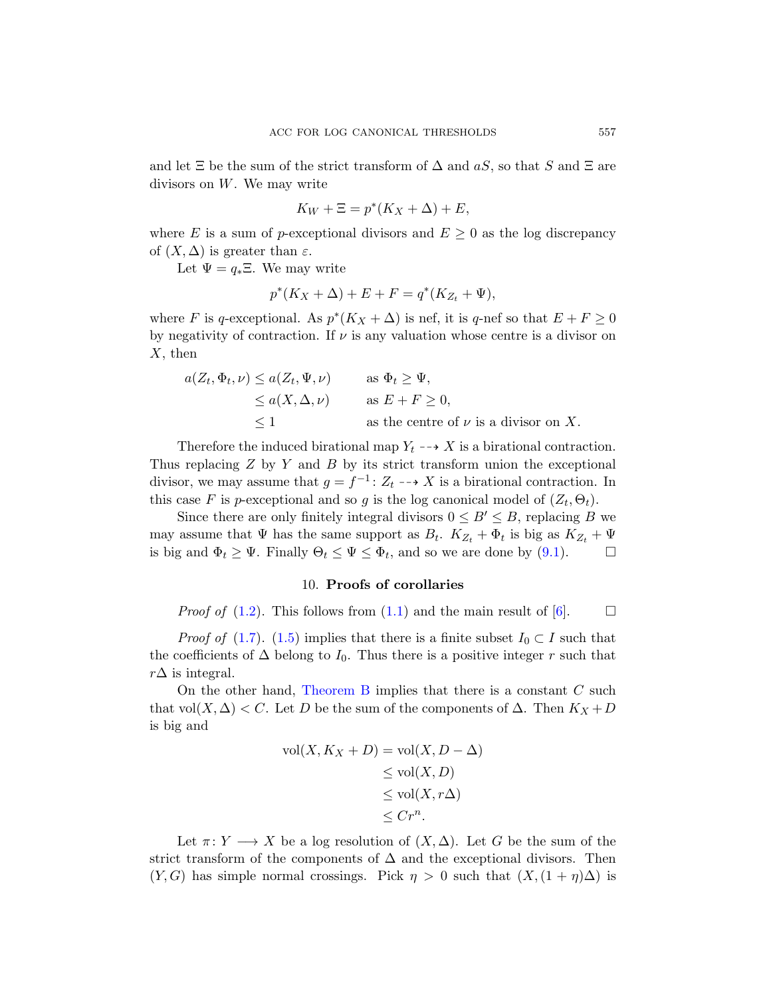and let  $\Xi$  be the sum of the strict transform of  $\Delta$  and  $aS$ , so that S and  $\Xi$  are divisors on W. We may write

$$
K_W + \Xi = p^*(K_X + \Delta) + E,
$$

where E is a sum of p-exceptional divisors and  $E \geq 0$  as the log discrepancy of  $(X, \Delta)$  is greater than  $\varepsilon$ .

Let  $\Psi = q_* \Xi$ . We may write

$$
p^*(K_X + \Delta) + E + F = q^*(K_{Z_t} + \Psi),
$$

where F is q-exceptional. As  $p^*(K_X + \Delta)$  is nef, it is q-nef so that  $E + F \geq 0$ by negativity of contraction. If  $\nu$  is any valuation whose centre is a divisor on  $X$ , then

$$
a(Z_t, \Phi_t, \nu) \le a(Z_t, \Psi, \nu) \qquad \text{as } \Phi_t \ge \Psi,
$$
  
\n
$$
\le a(X, \Delta, \nu) \qquad \text{as } E + F \ge 0,
$$
  
\n
$$
\le 1 \qquad \text{as the centre of } \nu \text{ is a divisor on } X.
$$

<span id="page-34-0"></span>Therefore the induced birational map  $Y_t \dashrightarrow X$  $Y_t \dashrightarrow X$  is a birational contraction. Thus replacing  $Z$  by  $Y$  and  $B$  by its strict transform union the exceptional divisor, we may assume that  $g = f^{-1}$ :  $Z_t$  -- $\rightarrow$  X is a birational contraction. In this case F is p-[exce](#page-1-0)ptionaland so g is the l[og](#page-46-7) canonical model of  $(Z_t, \Theta_t)$ .

Since there are only finitely integral divisors  $0 \leq B' \leq B$ , replacing B we [m](#page-2-0)ay assume that  $\Psi$  has the same support as  $B_t$ .  $K_{Z_t} + \Phi_t$  is big as  $K_{Z_t} + \Psi$ is big and  $\Phi_t \geq \Psi$ . Finally  $\Theta_t \leq \Psi \leq \Phi_t$ , and so we are done by (9.1).

#### 10. Proofs of corollaries

*Proof of* (1.2). This follows from (1.1) and the main result of [6].  $\Box$ 

*Proof of* (1.7). (1.5) implies that there is a finite subset  $I_0 \subset I$  such that the coefficients of  $\Delta$  belong to  $I_0$ . Thus there is a positive integer r such that  $r\Delta$  is integral.

On the other hand, Theorem B implies that there is a constant C such that vol $(X, \Delta) < C$ . Let D be the sum of the components of  $\Delta$ . Then  $K_X + D$ is big and

$$
\text{vol}(X, K_X + D) = \text{vol}(X, D - \Delta)
$$
  
\n
$$
\leq \text{vol}(X, D)
$$
  
\n
$$
\leq \text{vol}(X, r\Delta)
$$
  
\n
$$
\leq Cr^n.
$$

Let  $\pi: Y \longrightarrow X$  be a log resolution of  $(X, \Delta)$ . Let G be the sum of the strict transform of the components of  $\Delta$  and the exceptional divisors. Then  $(Y, G)$  has simple normal crossings. Pick  $\eta > 0$  such that  $(X, (1 + \eta)\Delta)$  is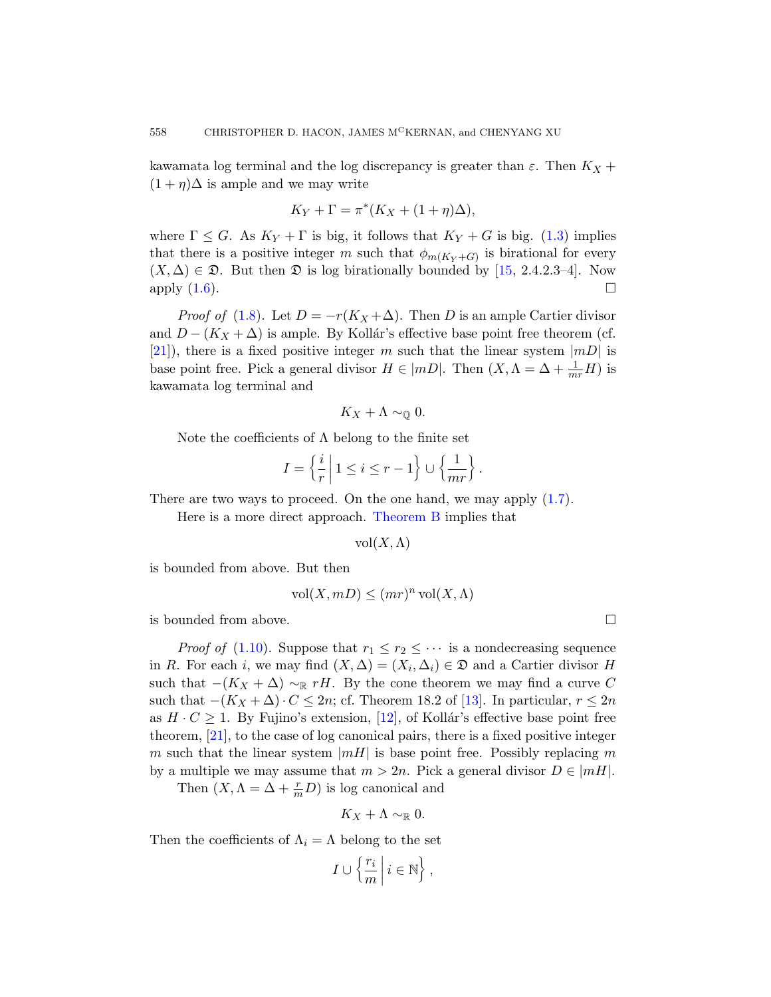kawamata log terminal and the log [dis](#page-46-0)crepancy is greater than  $\varepsilon$ . Then  $K_X$  +  $(1 + \eta)\Delta$  is ample and we may write

$$
K_Y + \Gamma = \pi^* (K_X + (1 + \eta) \Delta),
$$

where  $\Gamma \leq G$ . As  $K_Y + \Gamma$  is big, it follows that  $K_Y + G$  is big. (1.3) implies that there is a positive integer m such that  $\phi_{m(K_Y+G)}$  is birational for every  $(X, \Delta) \in \mathfrak{D}$ . But then  $\mathfrak{D}$  is log birationally bounded by [15, 2.4.2.3–4]. Now apply  $(1.6)$ .

*Proof of* (1.8). Let  $D = -r(K_X + \Delta)$ . Then D is an ample Cartier divisor and  $D - (K_X + \Delta)$  is ample. By Kollár's effective base point free theorem (cf.  $[21]$ , there is a fixed positive integer m such that the linear system  $|mD|$  is base point free. Pick a general divisor  $H \in |mD|$ . Then  $(X, \Lambda = \Delta + \frac{1}{mr}H)$  is kawamata log terminal and

$$
K_X+\Lambda\sim_{\mathbb{Q}}0.
$$

Note the coefficients of  $\Lambda$  belong to the finite set

$$
I = \left\{ \frac{i}{r} \mid 1 \leq i \leq r - 1 \right\} \cup \left\{ \frac{1}{mr} \right\}.
$$

There are two ways to proceed. On the one hand, we may apply  $(1.7)$ .

Here is a more direct approach. Theorem B implies that

 $vol(X,\Lambda)$ 

is bounded from above. But then

$$
\text{vol}(X, mD) \le (mr)^n \text{vol}(X, \Lambda)
$$

is bounded fro[m a](#page-46-9)bove.

*Proof of* (1.10). Suppose that  $r_1 \leq r_2 \leq \cdots$  is a nondecreasing sequence in R. For each *i*, we may find  $(X, \Delta) = (X_i, \Delta_i) \in \mathfrak{D}$  and a Cartier divisor H such that  $-(K_X + \Delta) \sim_{\mathbb{R}} rH$ . By the cone theorem we may find a curve C such that  $-(K_X + \Delta) \cdot C \leq 2n$ ; cf. Theorem 18.2 of [13]. In particular,  $r \leq 2n$ as  $H \cdot C \geq 1$ . By Fujino's extension, [12], of Kollár's effective base point free theorem, [21], to the case of log canonical pairs, there is a fixed positive integer m such that the linear system  $|mH|$  is base point free. Possibly replacing m by a multiple we may assume that  $m > 2n$ . Pick a general divisor  $D \in |mH|$ .

Then  $(X, \Lambda = \Delta + \frac{r}{m}D)$  is log canonical and

$$
K_X+\Lambda\sim_{\mathbb{R}}0.
$$

Then the coefficients of  $\Lambda_i = \Lambda$  belong to the set

$$
I \cup \left\{ \frac{r_i}{m} \, \middle| \, i \in \mathbb{N} \right\},\
$$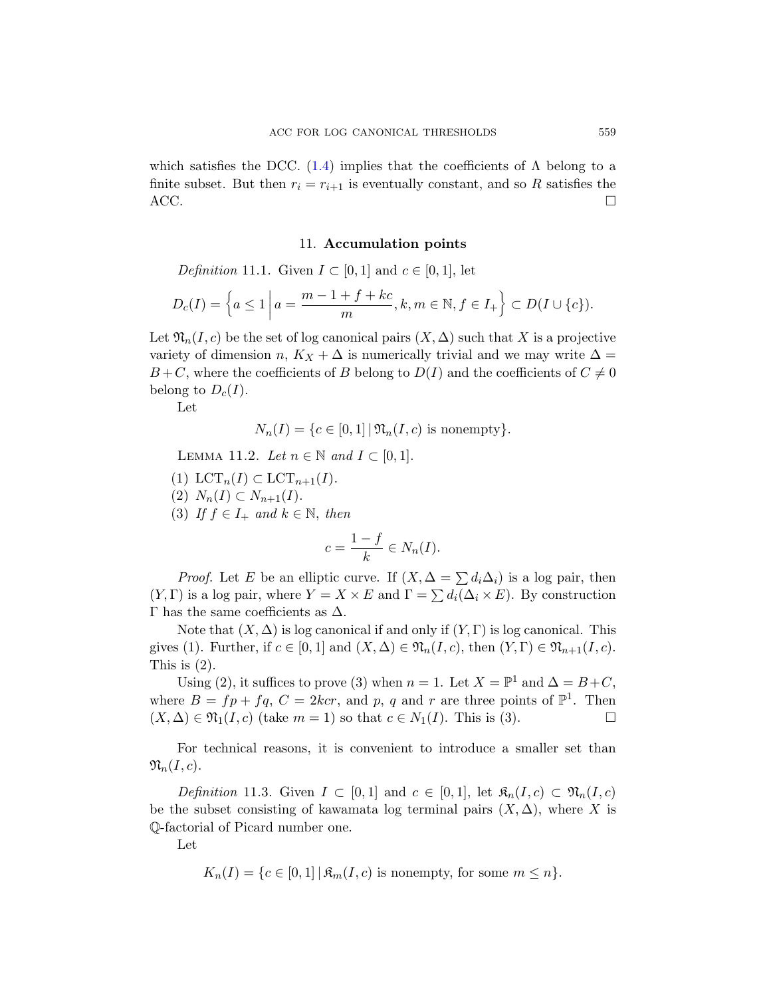<span id="page-36-0"></span>which satisfies the DCC.  $(1.4)$  implies that the coefficients of  $\Lambda$  belong to a finite subset. But then  $r_i = r_{i+1}$  is eventually constant, and so R satisfies the  $\overline{ACC}$ .

#### 11. Accumulation points

Definition 11.1. Given  $I \subset [0,1]$  and  $c \in [0,1]$ , let

$$
D_c(I) = \left\{ a \le 1 \, \bigg| \, a = \frac{m-1+f+kc}{m}, k, m \in \mathbb{N}, f \in I_+ \right\} \subset D(I \cup \{c\}).
$$

<span id="page-36-1"></span>Let  $\mathfrak{N}_n(I, c)$  be the set of log canonical pairs  $(X, \Delta)$  such that X is a projective variety of dimension n,  $K_X + \Delta$  is numerically trivial and we may write  $\Delta =$  $B+C$ , where the coefficients of B belong to  $D(I)$  and the coefficients of  $C\neq 0$ belong to  $D_c(I)$ .

Let

$$
N_n(I) = \{c \in [0,1] | \mathfrak{N}_n(I,c) \text{ is nonempty}\}.
$$

LEMMA 11.2. Let  $n \in \mathbb{N}$  and  $I \subset [0,1]$ .

- (1)  $LCT_n(I) \subset LCT_{n+1}(I)$ .
- (2)  $N_n(I) \subset N_{n+1}(I)$ .

(3) If  $f \in I_+$  and  $k \in \mathbb{N}$ , then

$$
c = \frac{1 - f}{k} \in N_n(I).
$$

*Proof.* Let E be an elliptic curve. If  $(X, \Delta = \sum d_i \Delta_i)$  is a log pair, then  $(Y, \Gamma)$  is a log pair, where  $Y = X \times E$  and  $\Gamma = \sum d_i(\Delta_i \times E)$ . By construction Γ has the same coefficients as  $Δ$ .

Note that  $(X, \Delta)$  is log canonical if and only if  $(Y, \Gamma)$  is log canonical. This gives (1). Further, if  $c \in [0,1]$  and  $(X,\Delta) \in \mathfrak{N}_n(I,c)$ , then  $(Y,\Gamma) \in \mathfrak{N}_{n+1}(I,c)$ . This is (2).

Using (2), it suffices to prove (3) when  $n = 1$ . Let  $X = \mathbb{P}^1$  and  $\Delta = B + C$ , where  $B = fp + fq$ ,  $C = 2kcr$ , and p, q and r are three points of  $\mathbb{P}^1$ . Then  $(X, \Delta) \in \mathfrak{N}_1(I, c)$  (take  $m = 1$ ) so that  $c \in N_1(I)$ . This is (3).

For technical reasons, it is convenient to introduce a smaller set than  $\mathfrak{N}_n(I,c).$ 

Definition 11.3. Given  $I \subset [0,1]$  and  $c \in [0,1]$ , let  $\mathfrak{K}_n(I,c) \subset \mathfrak{N}_n(I,c)$ be the subset consisting of kawamata log terminal pairs  $(X, \Delta)$ , where X is Q-factorial of Picard number one.

Let

$$
K_n(I) = \{c \in [0,1] \mid \mathfrak{K}_m(I,c) \text{ is nonempty, for some } m \le n\}.
$$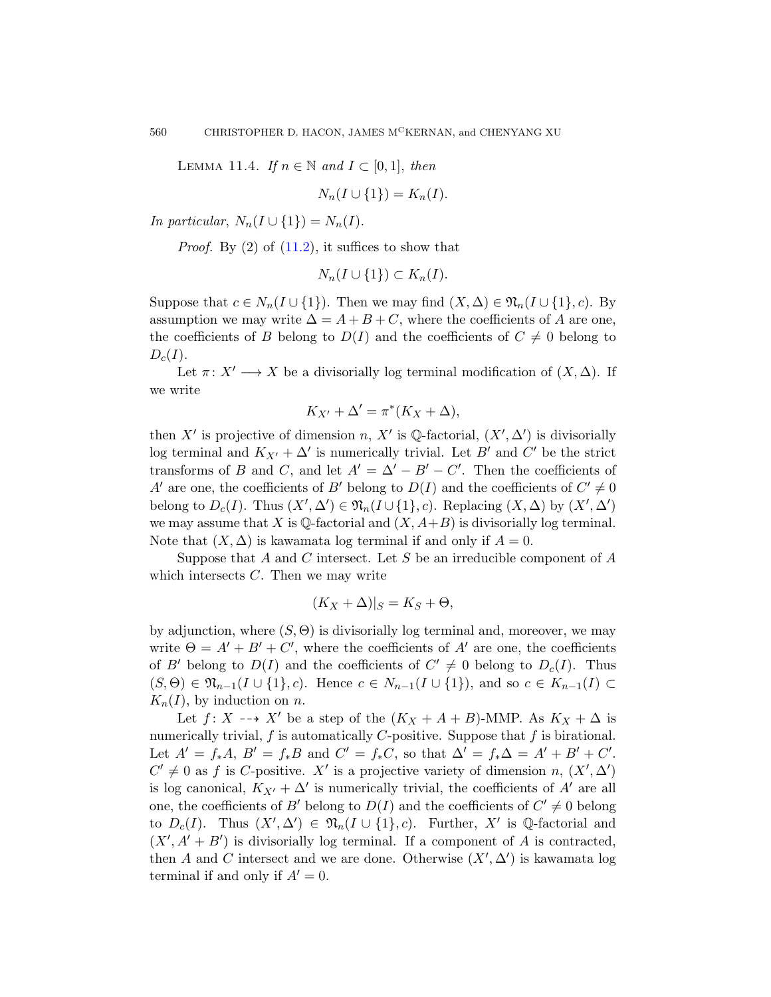LEMMA 11.4. If  $n \in \mathbb{N}$  and  $I \subset [0,1]$ , then

$$
N_n(I \cup \{1\}) = K_n(I).
$$

In particular,  $N_n(I \cup \{1\}) = N_n(I)$ .

*Proof.* By  $(2)$  of  $(11.2)$ , it suffices to show that

$$
N_n(I\cup\{1\})\subset K_n(I).
$$

Suppose that  $c \in N_n(I \cup \{1\})$ . Then we may find  $(X, \Delta) \in \mathfrak{N}_n(I \cup \{1\}, c)$ . By assumption we may write  $\Delta = A + B + C$ , where the coefficients of A are one, the coefficients of B belong to  $D(I)$  and the coefficients of  $C \neq 0$  belong to  $D_c(I)$ .

Let  $\pi: X' \longrightarrow X$  be a divisorially log terminal modification of  $(X, \Delta)$ . If we write

$$
K_{X'} + \Delta' = \pi^*(K_X + \Delta),
$$

then X' is projective of dimension n, X' is Q-factorial,  $(X', \Delta')$  is divisorially log terminal and  $K_{X'} + \Delta'$  is numerically trivial. Let  $B'$  and  $C'$  be the strict transforms of B and C, and let  $A' = \Delta' - B' - C'$ . Then the coefficients of A' are one, the coefficients of B' belong to  $D(I)$  and the coefficients of  $C' \neq 0$ belong to  $D_c(I)$ . Thus  $(X', \Delta') \in \mathfrak{N}_n(I \cup \{1\}, c)$ . Replacing  $(X, \Delta)$  by  $(X', \Delta')$ we may assume that X is Q-factorial and  $(X, A+B)$  is divisorially log terminal. Note that  $(X, \Delta)$  is kawamata log terminal if and only if  $A = 0$ .

Suppose that A and C intersect. Let S be an irreducible component of  $A$ which intersects  $C$ . Then we may write

$$
(K_X + \Delta)|_S = K_S + \Theta,
$$

by adjunction, where  $(S, \Theta)$  is divisorially log terminal and, moreover, we may write  $\Theta = A' + B' + C'$ , where the coefficients of A' are one, the coefficients of B' belong to  $D(I)$  and the coefficients of  $C' \neq 0$  belong to  $D_c(I)$ . Thus  $(S, \Theta) \in \mathfrak{N}_{n-1}(I \cup \{1\}, c)$ . Hence  $c \in N_{n-1}(I \cup \{1\})$ , and so  $c \in K_{n-1}(I)$  $K_n(I)$ , by induction on n.

Let  $f: X \dashrightarrow X'$  be a step of the  $(K_X + A + B)$ -MMP. As  $K_X + \Delta$  is numerically trivial,  $f$  is automatically  $C$ -positive. Suppose that  $f$  is birational. Let  $A' = f_*A$ ,  $B' = f_*B$  and  $C' = f_*C$ , so that  $\Delta' = f_*\Delta = A' + B' + C'$ .  $C' \neq 0$  as f is C-positive. X' is a projective variety of dimension n,  $(X', \Delta')$ is log canonical,  $K_{X'} + \Delta'$  is numerically trivial, the coefficients of A' are all one, the coefficients of B' belong to  $D(I)$  and the coefficients of  $C' \neq 0$  belong to  $D_c(I)$ . Thus  $(X', \Delta') \in \mathfrak{N}_n(I \cup \{1\}, c)$ . Further, X' is Q-factorial and  $(X', A' + B')$  is divisorially log terminal. If a component of A is contracted, then A and C intersect and we are done. Otherwise  $(X', \Delta')$  is kawamata log terminal if and only if  $A'=0$ .

<span id="page-37-0"></span>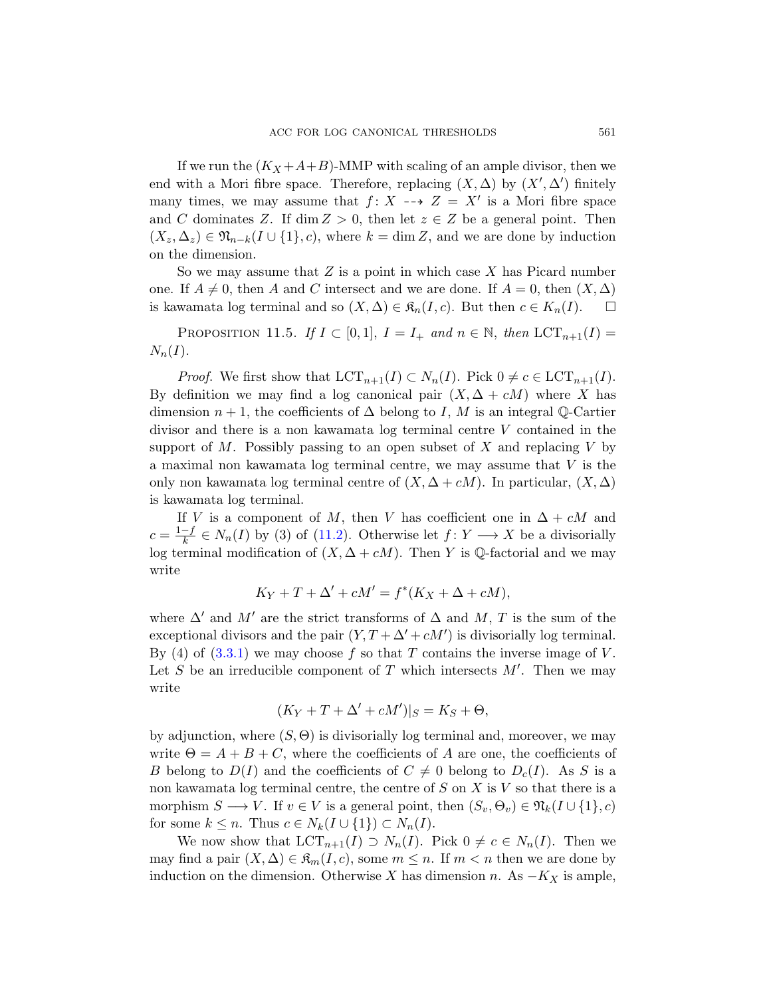<span id="page-38-0"></span>If we run the  $(K_X + A + B)$ -MMP with scaling of an ample divisor, then we end with a Mori fibre space. Therefore, replacing  $(X, \Delta)$  by  $(X', \Delta')$  finitely many times, we may assume that  $f: X \dashrightarrow Z = X'$  is a Mori fibre space and C dominates Z. If dim  $Z > 0$ , then let  $z \in Z$  be a general point. Then  $(X_z, \Delta_z) \in \mathfrak{N}_{n-k}(I \cup \{1\}, c)$ , where  $k = \dim Z$ , and we are done by induction on the dimension.

So we may assume that Z is a point in which case X has Picard number one. If  $A \neq 0$ , then A and C intersect and we are done. If  $A = 0$ , then  $(X, \Delta)$ is kawamata log terminal and so  $(X, \Delta) \in \mathfrak{K}_n(I, c)$ . But then  $c \in K_n(I)$ .  $\square$ 

PROPOSITION 11.5. If  $I \subset [0,1], I = I_+$  and  $n \in \mathbb{N}$ , then  $LCT_{n+1}(I) =$  $N_n(I)$ .

*Proof.* We first show that  $LCT_{n+1}(I) \subset N_n(I)$ . Pick  $0 \neq c \in LCT_{n+1}(I)$ . By definition we may find a log canonical pair  $(X, \Delta + cM)$  where X has dimension  $n + 1$ , the coefficients of  $\Delta$  belong to I, M is an integral Q-Cartier divis[or an](#page-36-1)d there is a non kawamata log terminal centre V contained in the support of M. Possibly passing to an open subset of X and replacing V by a maximal non kawamata log terminal centre, we may assume that V is the only non kawamata log terminal centre of  $(X, \Delta + cM)$ . In particular,  $(X, \Delta)$ is kawamata log terminal.

If V is a component of M, then V has coefficient one in  $\Delta + cM$  and  $c = \frac{1-f}{k}$  $\frac{-f}{k} \in N_n(I)$  by (3) of (11.2). Otherwise let  $f: Y \longrightarrow X$  be a divisorially log terminal modification of  $(X, \Delta + cM)$ . Then Y is Q-factorial and we may write

$$
K_Y + T + \Delta' + cM' = f^*(K_X + \Delta + cM),
$$

where  $\Delta'$  and M' are the strict transforms of  $\Delta$  and M, T is the sum of the exceptional divisors and the pair  $(Y, T + \Delta' + cM')$  is divisorially log terminal. By (4) of  $(3.3.1)$  we may choose f so that T contains the inverse image of V. Let S be an irreducible component of T which intersects  $M'$ . Then we may write

$$
(K_Y + T + \Delta' + cM')|_S = K_S + \Theta,
$$

by adjunction, where  $(S, \Theta)$  is divisorially log terminal and, moreover, we may write  $\Theta = A + B + C$ , where the coefficients of A are one, the coefficients of B belong to  $D(I)$  and the coefficients of  $C \neq 0$  belong to  $D_c(I)$ . As S is a non kawamata log terminal centre, the centre of  $S$  on  $X$  is  $V$  so that there is a morphism  $S \longrightarrow V$ . If  $v \in V$  is a general point, then  $(S_v, \Theta_v) \in \mathfrak{N}_k(I \cup \{1\}, c)$ for some  $k \leq n$ . Thus  $c \in N_k(I \cup \{1\}) \subset N_n(I)$ .

We now show that  $LCT_{n+1}(I) \supset N_n(I)$ . Pick  $0 \neq c \in N_n(I)$ . Then we may find a pair  $(X, \Delta) \in \mathfrak{K}_m(I, c)$ , some  $m \leq n$ . If  $m < n$  then we are done by induction on the dimension. Otherwise X has dimension n. As  $-K_X$  is ample,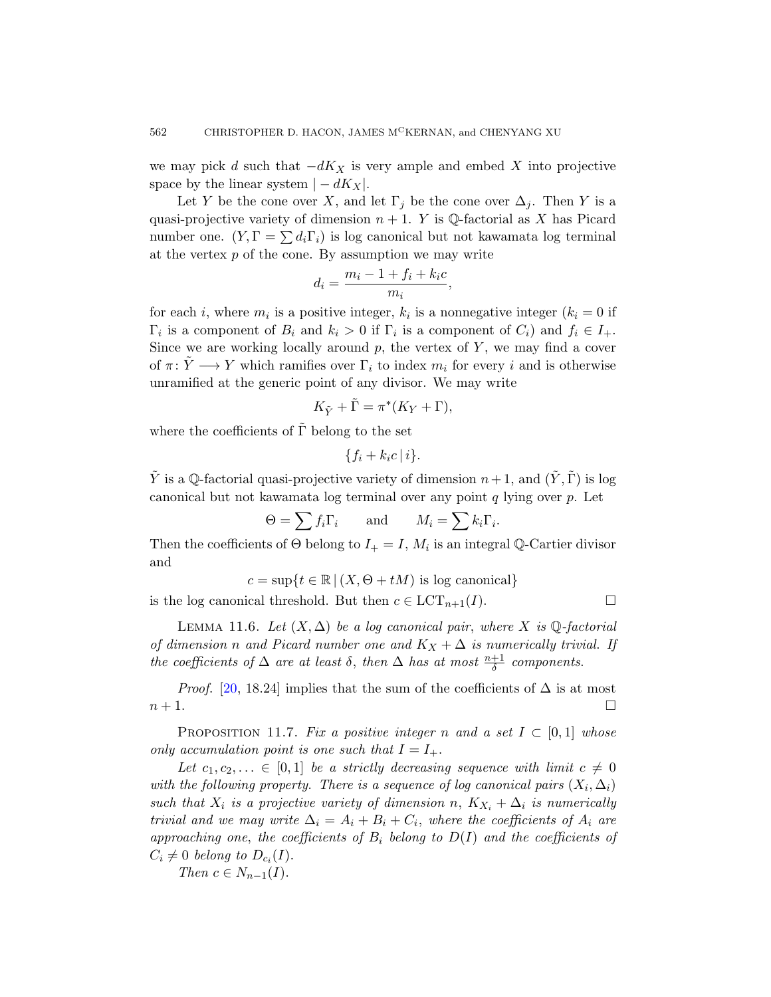we may pick d such that  $-dK_X$  is very ample and embed X into projective space by the linear system  $|-dK_X|$ .

Let Y be the cone over X, and let  $\Gamma_i$  be the cone over  $\Delta_i$ . Then Y is a quasi-projective variety of dimension  $n + 1$ . Y is Q-factorial as X has Picard number one.  $(Y, \Gamma = \sum d_i \Gamma_i)$  is log canonical but not kawamata log terminal at the vertex  $p$  of the cone. By assumption we may write

$$
d_i = \frac{m_i - 1 + f_i + k_i c}{m_i},
$$

for each *i*, where  $m_i$  is a positive integer,  $k_i$  is a nonnegative integer  $(k_i = 0$  if  $\Gamma_i$  is a component of  $B_i$  and  $k_i > 0$  if  $\Gamma_i$  is a component of  $C_i$ ) and  $f_i \in I_+$ . Since we are working locally around  $p$ , the vertex of  $Y$ , we may find a cover of  $\pi: Y \longrightarrow Y$  which ramifies over  $\Gamma_i$  to index  $m_i$  for every i and is otherwise unramified at the generic point of any divisor. We may write

$$
K_{\tilde{Y}} + \tilde{\Gamma} = \pi^*(K_Y + \Gamma),
$$

where the coefficients of  $\tilde{\Gamma}$  belong to the set

$$
\{f_i+k_ic\,|\,i\}.
$$

<span id="page-39-1"></span>Y is a Q-factorial quasi-projective variety of dimension  $n+1$ , and  $(Y, \Gamma)$  is log canonical but not kawamata log terminal over any point  $q$  lying over  $p$ . Let

$$
\Theta = \sum f_i \Gamma_i \quad \text{and} \quad M_i = \sum k_i \Gamma_i.
$$

Then the coefficients of  $\Theta$  belong to  $I_+ = I$ ,  $M_i$  is an integral Q-Cartier divisor and

$$
c = \sup\{t \in \mathbb{R} \mid (X, \Theta + tM) \text{ is log canonical}\}\
$$

<span id="page-39-0"></span>is the log canonical threshold. But then  $c \in \text{LCT}_{n+1}(I)$ .

LEMMA 11.6. Let  $(X, \Delta)$  be a log canonical pair, where X is Q-factorial of dimension n and Picard number one and  $K_X + \Delta$  is numerically trivial. If the coefficients of  $\Delta$  are at least  $\delta$ , then  $\Delta$  has at most  $\frac{n+1}{\delta}$  components.

*Proof.* [20, 18.24] implies that the sum of the coefficients of  $\Delta$  is at most  $n+1$ .

PROPOSITION 11.7. Fix a positive integer n and a set  $I \subset [0,1]$  whose only accumulation point is one such that  $I = I_{+}$ .

Let  $c_1, c_2, \ldots \in [0,1]$  be a strictly decreasing sequence with limit  $c \neq 0$ with the following property. There is a sequence of log canonical pairs  $(X_i, \Delta_i)$ such that  $X_i$  is a projective variety of dimension n,  $K_{X_i} + \Delta_i$  is numerically trivial and we may write  $\Delta_i = A_i + B_i + C_i$ , where the coefficients of  $A_i$  are approaching one, the coefficients of  $B_i$  belong to  $D(I)$  and the coefficients of  $C_i \neq 0$  belong to  $D_{c_i}(I)$ .

Then  $c \in N_{n-1}(I)$ .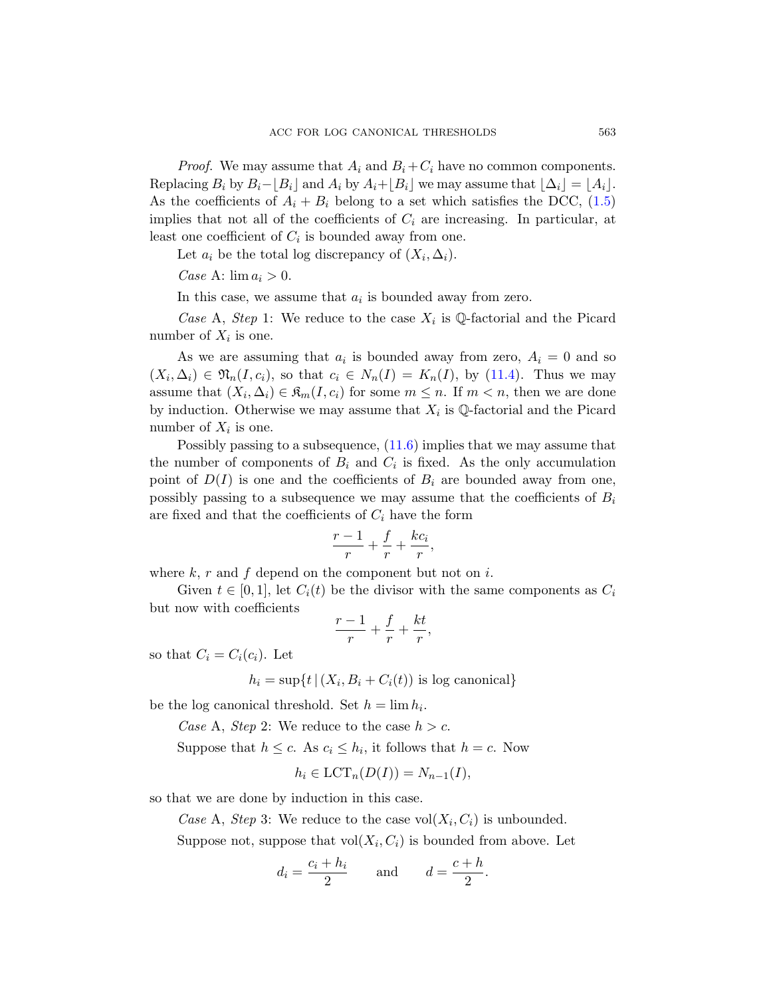*Proof.* We may assume that  $A_i$  and  $B_i + C_i$  have no common components. Replacing  $B_i$  by  $B_i-\vert B_i\vert$  and  $A_i$  by  $A_i+\vert B_i\vert$  we may assume that  $\vert \Delta_i\vert =\vert A_i\vert$ . As the coefficients of  $A_i + B_i$  belong to a set which satisfies the DCC, (1.5) implies that not all of the coefficients of  $C_i$  are increasing. In particular, at least one coefficient of  $C_i$  is bounded away from one.

Let  $a_i$  be the total log discre[pancy](#page-37-0) of  $(X_i, \Delta_i)$ .

Case A:  $\lim a_i > 0$ .

In this case, we assume that  $a_i$  is bounded away from zero.

Case A, Step 1: We reduce to the case  $X_i$  is Q-factorial and the Picard number of  $X_i$  is [one.](#page-39-1)

As we are assuming that  $a_i$  is bounded away from zero,  $A_i = 0$  and so  $(X_i, \Delta_i) \in \mathfrak{N}_n(I, c_i)$ , so that  $c_i \in N_n(I) = K_n(I)$ , by (11.4). Thus we may assume that  $(X_i, \Delta_i) \in \mathfrak{K}_m(I, c_i)$  for some  $m \leq n$ . If  $m < n$ , then we are done by induction. Otherwise we may assume that  $X_i$  is Q-factorial and the Picard number of  $X_i$  is one.

Possibly passing to a subsequence, (11.6) implies that we may assume that the number of components of  $B_i$  and  $C_i$  is fixed. As the only accumulation point of  $D(I)$  is one and the coefficients of  $B_i$  are bounded away from one, possibly passing to a subsequence we may assume that the coefficients of  $B_i$ are fixed and that the coefficients of  $C_i$  have the form

$$
\frac{r-1}{r} + \frac{f}{r} + \frac{kc_i}{r},
$$

where  $k, r$  and  $f$  depend on the component but not on  $i$ .

Given  $t \in [0, 1]$ , let  $C_i(t)$  be the divisor with the same components as  $C_i$ but now with coefficients

$$
\frac{r-1}{r} + \frac{f}{r} + \frac{kt}{r},
$$

so that  $C_i = C_i(c_i)$ . Let

 $h_i = \sup\{t \mid (X_i, B_i + C_i(t)) \text{ is log canonical}\}\$ 

be the log canonical threshold. Set  $h = \lim h_i$ .

Case A, Step 2: We reduce to the case  $h > c$ .

Suppose that  $h \leq c$ . As  $c_i \leq h_i$ , it follows that  $h = c$ . Now

$$
h_i \in \text{LCT}_n(D(I)) = N_{n-1}(I),
$$

so that we are done by induction in this case.

Case A, Step 3: We reduce to the case  $vol(X_i, C_i)$  is unbounded.

Suppose not, suppose that  $vol(X_i, C_i)$  is bounded from above. Let

$$
d_i = \frac{c_i + h_i}{2} \quad \text{and} \quad d = \frac{c + h}{2}.
$$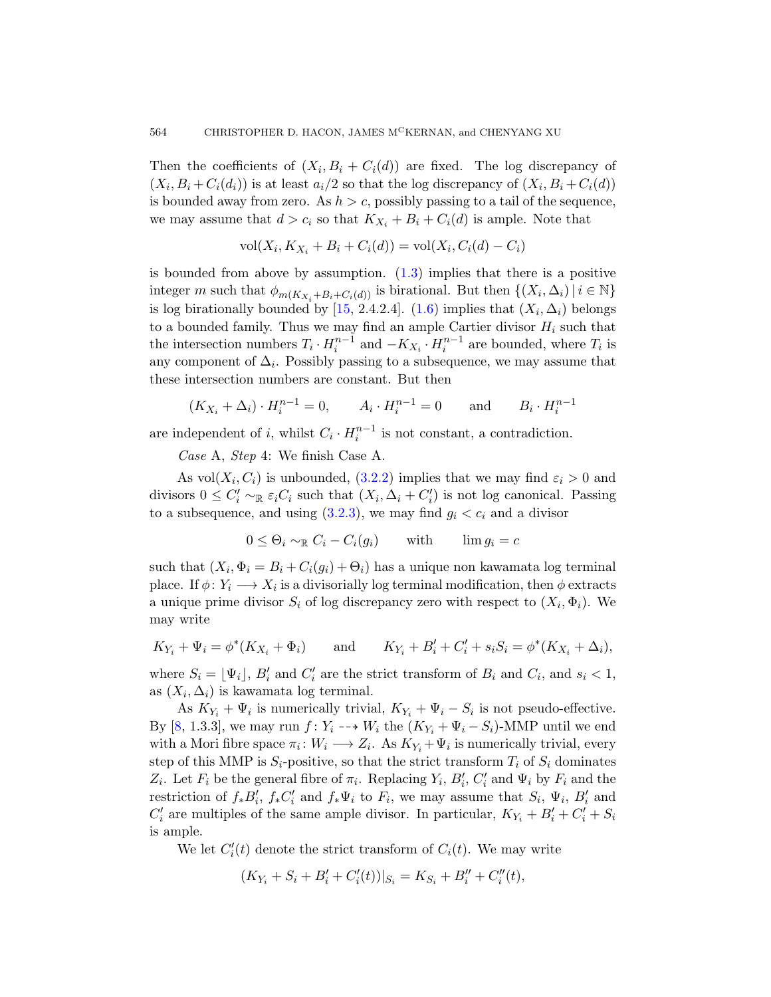Then the coefficie[nts](#page-1-1) of  $(X_i, B_i + C_i(d))$  are fixed. The log discrepancy of  $(X_i, B_i + C_i(d_i))$  is at least  $a_i/2$  so that the log discrepancy of  $(X_i, B_i + C_i(d))$ is boun[ded](#page-46-0) away fro[m zer](#page-3-0)o. As  $h > c$ , possibly passing to a tail of the sequence, we may assume that  $d > c_i$  so that  $K_{X_i} + B_i + C_i(d)$  is ample. Note that

$$
vol(X_i, K_{X_i} + B_i + C_i(d)) = vol(X_i, C_i(d) - C_i)
$$

is bounded from above by assumption.  $(1.3)$  implies that there is a positive integer m such that  $\phi_{m(K_{X_i}+B_i+C_i(d))}$  is birational. But then  $\{(X_i,\Delta_i) | i \in \mathbb{N}\}\$ is log birationally bounded by [15, 2.4.2.4]. (1.6) implies that  $(X_i, \Delta_i)$  belongs to a bounded family. Thus we may find an ample Cartier divisor  $H_i$  such that the intersection numbers  $T_i \cdot H_i^{n-1}$  and  $-K_{X_i} \cdot H_i^{n-1}$  are bounded, where  $T_i$  is any compo[nent of](#page-12-1)  $\Delta_i$ . Possibly passing to a subsequence, we may assume that these intersection numbers are constant. But then

$$
(K_{X_i} + \Delta_i) \cdot H_i^{n-1} = 0
$$
,  $A_i \cdot H_i^{n-1} = 0$  and  $B_i \cdot H_i^{n-1}$ 

are independent of i, whilst  $C_i \cdot H_i^{n-1}$  is not constant, a contradiction.

Case A, Step 4: We finish Case A.

As vol $(X_i, C_i)$  is unbounded,  $(3.2.2)$  implies that we may find  $\varepsilon_i > 0$  and divisors  $0 \leq C'_i \sim_{\mathbb{R}} \varepsilon_i C_i$  such that  $(X_i, \Delta_i + C'_i)$  is not log canonical. Passing to a subsequence, and using  $(3.2.3)$ , we may find  $g_i < c_i$  and a divisor

$$
0 \leq \Theta_i \sim_{\mathbb{R}} C_i - C_i(g_i) \quad \text{with} \quad \lim g_i = c
$$

such that  $(X_i, \Phi_i = B_i + C_i(g_i) + \Theta_i)$  has a unique non kawamata log terminal place. If  $\phi: Y_i \longrightarrow X_i$  is a divisorially log terminal modification, then  $\phi$  extracts a unique prime divisor  $S_i$  of log discrepancy zero with respect to  $(X_i, \Phi_i)$ . We may write

$$
K_{Y_i} + \Psi_i = \phi^*(K_{X_i} + \Phi_i)
$$
 and  $K_{Y_i} + B'_i + C'_i + s_i S_i = \phi^*(K_{X_i} + \Delta_i),$ 

where  $S_i = [\Psi_i]$ ,  $B'_i$  and  $C'_i$  are the strict transform of  $B_i$  and  $C_i$ , and  $s_i < 1$ , as  $(X_i, \Delta_i)$  is kawamata log terminal.

As  $K_{Y_i} + \Psi_i$  is numerically trivial,  $K_{Y_i} + \Psi_i - S_i$  is not pseudo-effective. By [8, 1.3.3], we may run  $f: Y_i \dashrightarrow W_i$  the  $(K_{Y_i} + \Psi_i - S_i)$ -MMP until we end with a Mori fibre space  $\pi_i: W_i \longrightarrow Z_i$ . As  $K_{Y_i} + \Psi_i$  is numerically trivial, every step of this MMP is  $S_i$ -positive, so that the strict transform  $T_i$  of  $S_i$  dominates Z<sub>i</sub>. Let  $F_i$  be the general fibre of  $\pi_i$ . Replacing  $Y_i$ ,  $B'_i$ ,  $C'_i$  and  $\Psi_i$  by  $F_i$  and the restriction of  $f_*B'_i$ ,  $f_*C'_i$  and  $f_*\Psi_i$  to  $F_i$ , we may assume that  $S_i$ ,  $\Psi_i$ ,  $B'_i$  and  $C_i'$  are multiples of the same ample divisor. In particular,  $K_{Y_i} + B_i' + C_i' + S_i$ is ample.

We let  $C_i'(t)$  denote the strict transform of  $C_i(t)$ . We may write

$$
(K_{Y_i} + S_i + B'_i + C'_i(t))|_{S_i} = K_{S_i} + B''_i + C''_i(t),
$$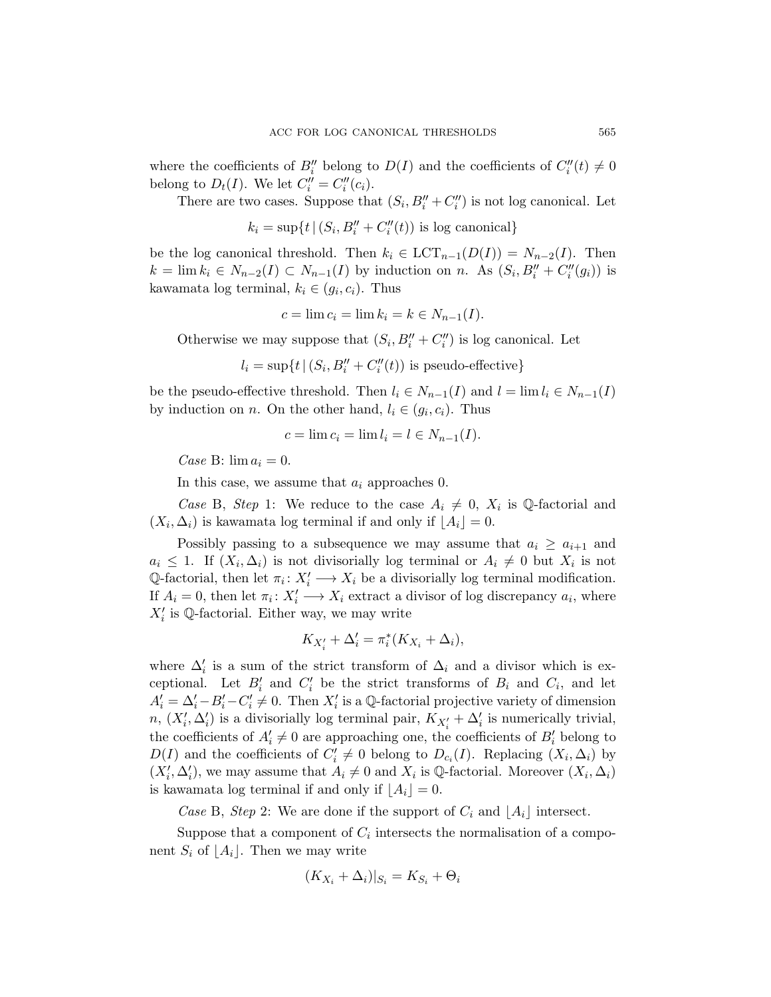where the coefficients of  $B_i''$  belong to  $D(I)$  and the coefficients of  $C_i''(t) \neq 0$ belong to  $D_t(I)$ . We let  $C_i'' = C_i''(c_i)$ .

There are two cases. Suppose that  $(S_i, B_i'' + C_i'')$  is not log canonical. Let

$$
k_i = \sup\{t \mid (S_i, B_i'' + C_i''(t)) \text{ is log canonical}\}\
$$

be the log canonical threshold. Then  $k_i \in \text{LCT}_{n-1}(D(I)) = N_{n-2}(I)$ . Then  $k = \lim k_i \in N_{n-2}(I) \subset N_{n-1}(I)$  by induction on n. As  $(S_i, B_i'' + C_i''(g_i))$  is kawamata log terminal,  $k_i \in (g_i, c_i)$ . Thus

$$
c = \lim c_i = \lim k_i = k \in N_{n-1}(I).
$$

Otherwise we may suppose that  $(S_i, B_i'' + C_i'')$  is log canonical. Let

 $l_i = \sup\{t \mid (S_i, B_i'' + C_i''(t)) \text{ is pseudo-effective}\}\$ 

be the pseudo-effective threshold. Then  $l_i \in N_{n-1}(I)$  and  $l = \lim l_i \in N_{n-1}(I)$ by induction on *n*. On the other hand,  $l_i \in (g_i, c_i)$ . Thus

$$
c = \lim c_i = \lim l_i = l \in N_{n-1}(I).
$$

Case B:  $\lim a_i = 0$ .

In this case, we assume that  $a_i$  approaches 0.

Case B, Step 1: We reduce to the case  $A_i \neq 0$ ,  $X_i$  is Q-factorial and  $(X_i, \Delta_i)$  is kawamata log terminal if and only if  $\lfloor A_i \rfloor = 0$ .

Possibly passing to a subsequence we may assume that  $a_i \ge a_{i+1}$  and  $a_i \leq 1$ . If  $(X_i, \Delta_i)$  is not divisorially log terminal or  $A_i \neq 0$  but  $X_i$  is not Q-factorial, then let  $\pi_i: X_i' \longrightarrow X_i$  be a divisorially log terminal modification. If  $A_i = 0$ , then let  $\pi_i \colon X_i' \longrightarrow X_i$  extract a divisor of log discrepancy  $a_i$ , where  $X_i'$  is Q-factorial. Either way, we may write

$$
K_{X_i'} + \Delta_i' = \pi_i^*(K_{X_i} + \Delta_i),
$$

where  $\Delta_i'$  is a sum of the strict transform of  $\Delta_i$  and a divisor which is exceptional. Let  $B'_i$  and  $C'_i$  be the strict transforms of  $B_i$  and  $C_i$ , and let  $A'_i = \Delta'_i - B'_i - C'_i \neq 0$ . Then  $X'_i$  is a Q-factorial projective variety of dimension n,  $(X'_i, \Delta'_i)$  is a divisorially log terminal pair,  $K_{X'_i} + \Delta'_i$  is numerically trivial, the coefficients of  $A_i' \neq 0$  are approaching one, the coefficients of  $B_i'$  belong to  $D(I)$  and the coefficients of  $C_i' \neq 0$  belong to  $D_{c_i}(I)$ . Replacing  $(X_i, \Delta_i)$  by  $(X'_i, \Delta'_i)$ , we may assume that  $A_i \neq 0$  and  $X_i$  is  $\mathbb Q$ -factorial. Moreover  $(X_i, \Delta_i)$ is kawamata log terminal if and only if  $|A_i| = 0$ .

Case B, Step 2: We are done if the support of  $C_i$  and  $|A_i|$  intersect.

Suppose that a component of  $C_i$  intersects the normalisation of a component  $S_i$  of  $|A_i|$ . Then we may write

$$
(K_{X_i} + \Delta_i)|_{S_i} = K_{S_i} + \Theta_i
$$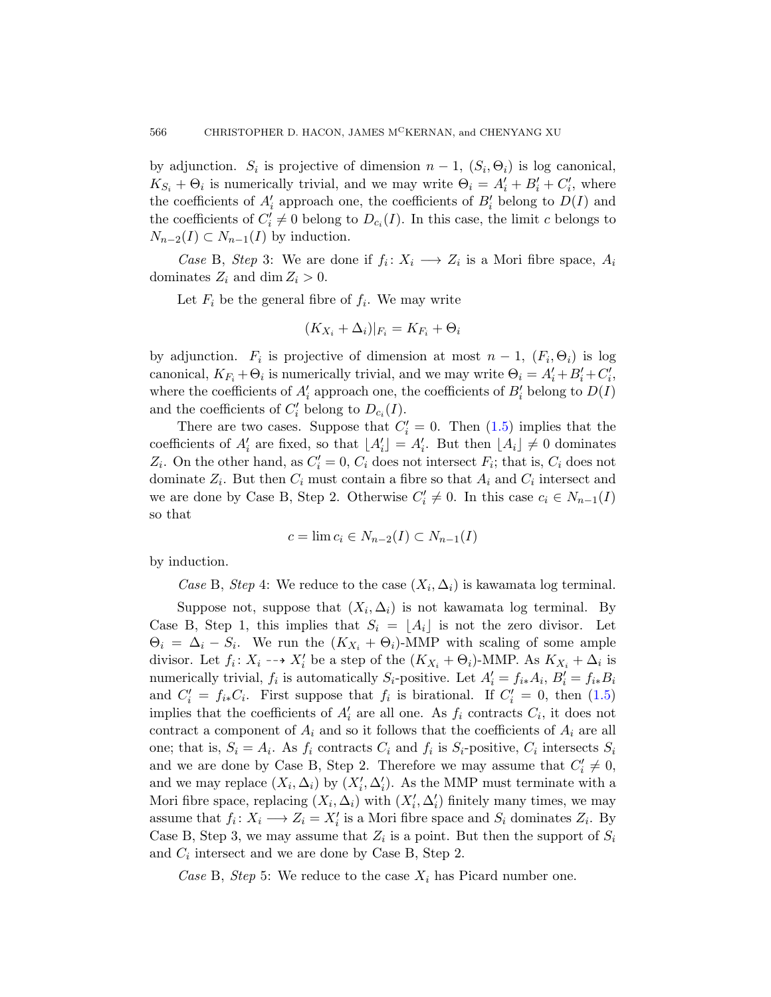by adjunction.  $S_i$  is projective of dimension  $n-1$ ,  $(S_i, \Theta_i)$  is log canonical,  $K_{S_i} + \Theta_i$  is numerically trivial, and we may write  $\Theta_i = A'_i + B'_i + C'_i$ , where the coefficients of  $A_i'$  approach one, the coefficients of  $B_i'$  belong to  $D(I)$  and the coefficients of  $C_i' \neq 0$  belong to  $D_{c_i}(I)$ . In this case, the limit c belongs to  $N_{n-2}(I) \subset N_{n-1}(I)$  by induction.

*Case* B, *Step* 3: We are done if  $f_i: X_i \longrightarrow Z_i$  is a Mori fibre space,  $A_i$ dominates  $Z_i$  and dim  $Z_i > 0$ .

Let  $F_i$  be the general fibre of  $f_i$ . We may write

$$
(K_{X_i} + \Delta_i)|_{F_i} = K_{F_i} + \Theta_i
$$

by adjunction.  $F_i$  is projective of dimension at most  $n-1$ ,  $(F_i, \Theta_i)$  is log canonical,  $K_{F_i} + \Theta_i$  is numerically trivial, and we may write  $\Theta_i = A'_i + B'_i + C'_i$ , where the coefficients of  $A'_i$  approach one, the coefficients of  $B'_i$  belong to  $D(I)$ and the coefficients of  $C_i'$  belong to  $D_{c_i}(I)$ .

There are two cases. Suppose that  $C_i' = 0$ . Then  $(1.5)$  implies that the coefficients of  $A'_i$  are fixed, so that  $A'_i = A'_i$ . But then  $A_i \neq 0$  dominates  $Z_i$ . On the other hand, as  $C'_i = 0$ ,  $C_i$  does not intersect  $F_i$ ; that is,  $C_i$  does not dominate  $Z_i$ . But then  $C_i$  must contain a fibre so that  $A_i$  and  $C_i$  intersect and we are done by Case B, Step 2. Otherwise  $C'_i \neq 0$ . In this case  $c_i \in N_{n-1}(I)$ so that

$$
c = \lim c_i \in N_{n-2}(I) \subset N_{n-1}(I)
$$

by induction.

Case B, Step 4: We reduce to the case  $(X_i, \Delta_i)$  is kawamata log terminal.

Suppose not, suppose that  $(X_i, \Delta_i)$  is not kawamata log terminal. By Case B, Step 1, this implies that  $S_i = \lfloor A_i \rfloor$  is not the zero divisor. Let  $\Theta_i = \Delta_i - S_i$ . We run the  $(K_{X_i} + \Theta_i)$ -MMP with scaling of some ample divisor. Let  $f_i: X_i \dashrightarrow X'_i$  be a step of the  $(K_{X_i} + \Theta_i)$ -MMP. As  $K_{X_i} + \Delta_i$  is numerically trivial,  $f_i$  is automatically  $S_i$ -positive. Let  $A'_i = f_{i*}A_i$ ,  $B'_i = f_{i*}B_i$ and  $C_i' = f_{i*}C_i$ . First suppose that  $f_i$  is birational. If  $C_i' = 0$ , then (1.5) implies that the coefficients of  $A_i'$  are all one. As  $f_i$  contracts  $C_i$ , it does not contract a component of  $A_i$  and so it follows that the coefficients of  $A_i$  are all one; that is,  $S_i = A_i$ . As  $f_i$  contracts  $C_i$  and  $f_i$  is  $S_i$ -positive,  $C_i$  intersects  $S_i$ and we are done by Case B, Step 2. Therefore we may assume that  $C_i' \neq 0$ , and we may replace  $(X_i, \Delta_i)$  by  $(X'_i, \Delta'_i)$ . As the MMP must terminate with a Mori fibre space, replacing  $(X_i, \Delta_i)$  with  $(X'_i, \Delta'_i)$  finitely many times, we may assume that  $f_i: X_i \longrightarrow Z_i = X'_i$  is a Mori fibre space and  $S_i$  dominates  $Z_i$ . By Case B, Step 3, we may assume that  $Z_i$  is a point. But then the support of  $S_i$ and  $C_i$  intersect and we are done by Case B, Step 2.

Case B, Step 5: We reduce to the case  $X_i$  has Picard number one.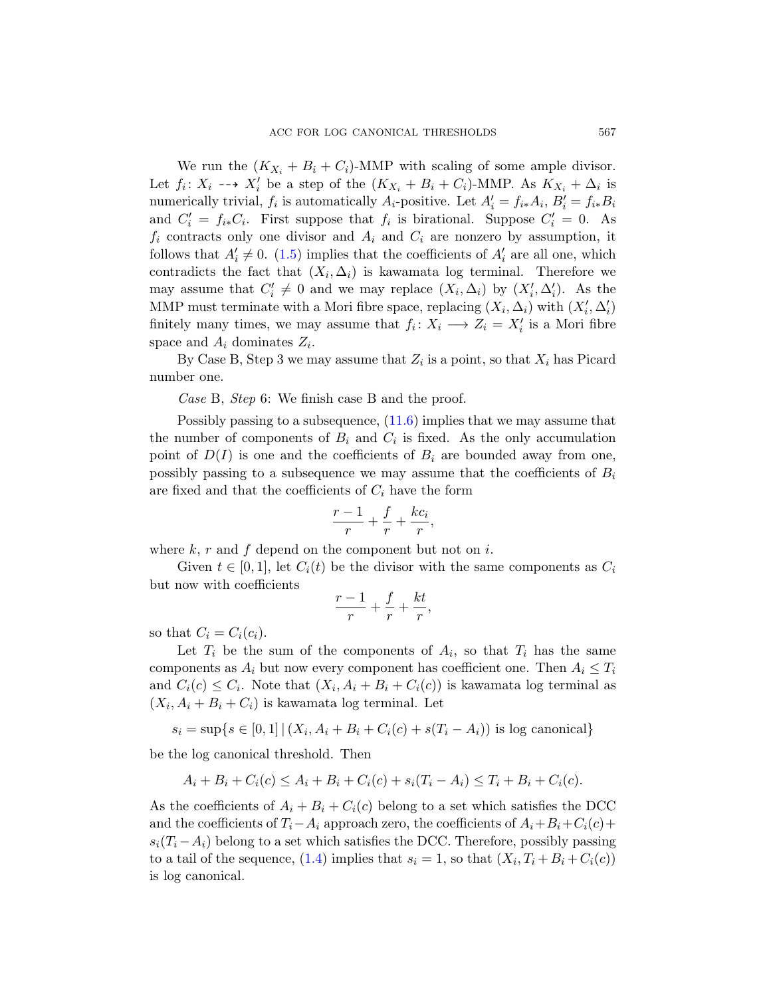We run the  $(K_{X_i} + B_i + C_i)$ -MMP with scaling of some ample divisor. Let  $f_i: X_i \dashrightarrow X'_i$  be a step of the  $(K_{X_i} + B_i + C_i)$ -MMP. As  $K_{X_i} + \Delta_i$  is numerically trivial,  $f_i$  is automatically  $A_i$ -positive. Let  $A'_i = f_{i*}A_i$ ,  $B'_i = f_{i*}B_i$ and  $C_i' = f_{i*}C_i$ . First suppose that  $f_i$  is birational. Suppose  $C_i' = 0$ . As  $f_i$  contracts only one divisor and  $A_i$  and  $C_i$  are nonzero by assumption, it follows that  $A'_i \neq 0$ . (1.5) implies that the coefficients of  $A'_i$  are all one, which contradicts the fact that  $(X_i, \Delta_i)$  is kawamata log terminal. Therefore we may assume that  $C'_i \neq 0$  and we may replace  $(X_i, \Delta_i)$  by  $(X'_i, \Delta'_i)$ . As the MMP must ter[minate](#page-39-1) with a Mori fibre space, replacing  $(X_i, \Delta_i)$  with  $(X'_i, \Delta'_i)$ finitely many times, we may assume that  $f_i: X_i \longrightarrow Z_i = X'_i$  is a Mori fibre space and  $A_i$  dominates  $Z_i$ .

By Case B, Step 3 we may assume that  $Z_i$  is a point, so that  $X_i$  has Picard number one.

Case B, Step 6: We finish case B and the proof.

Possibly passing to a subsequence, (11.6) implies that we may assume that the number of components of  $B_i$  and  $C_i$  is fixed. As the only accumulation point of  $D(I)$  is one and the coefficients of  $B_i$  are bounded away from one, possibly passing to a subsequence we may assume that the coefficients of  $B_i$ are fixed and that the coefficients of  $C_i$  have the form

$$
\frac{r-1}{r} + \frac{f}{r} + \frac{kc_i}{r},
$$

where  $k, r$  and  $f$  depend on the component but not on i.

Given  $t \in [0,1]$ , let  $C_i(t)$  be the divisor with the same components as  $C_i$ but now with coefficients

$$
\frac{r-1}{r} + \frac{f}{r} + \frac{kt}{r},
$$

so that  $C_i = C_i(c_i)$ .

Let  $T_i$  be the sum of the components of  $A_i$ , so that  $T_i$  has the same components as  $A_i$  but now every component has coefficient one. Then  $A_i \leq T_i$ and  $C_i(c) \leq C_i$ . Note that  $(X_i, A_i + B_i + C_i(c))$  is kawamata log terminal as  $(X_i, A_i + B_i + C_i)$  is kawamata log terminal. Let

$$
s_i = \sup\{s \in [0,1] | (X_i, A_i + B_i + C_i(c) + s(T_i - A_i)) \text{ is log canonical}\}\
$$

be [the](#page-2-1) log canonical threshold. Then

$$
A_i + B_i + C_i(c) \le A_i + B_i + C_i(c) + s_i(T_i - A_i) \le T_i + B_i + C_i(c).
$$

As the coefficients of  $A_i + B_i + C_i(c)$  belong to a set which satisfies the DCC and the coefficients of  $T_i-A_i$  approach zero, the coefficients of  $A_i+B_i+C_i(c)+$  $s_i(T_i - A_i)$  belong to a set which satisfies the DCC. Therefore, possibly passing to a tail of the sequence, (1.4) implies that  $s_i = 1$ , so that  $(X_i, T_i + B_i + C_i(c))$ is log canonical.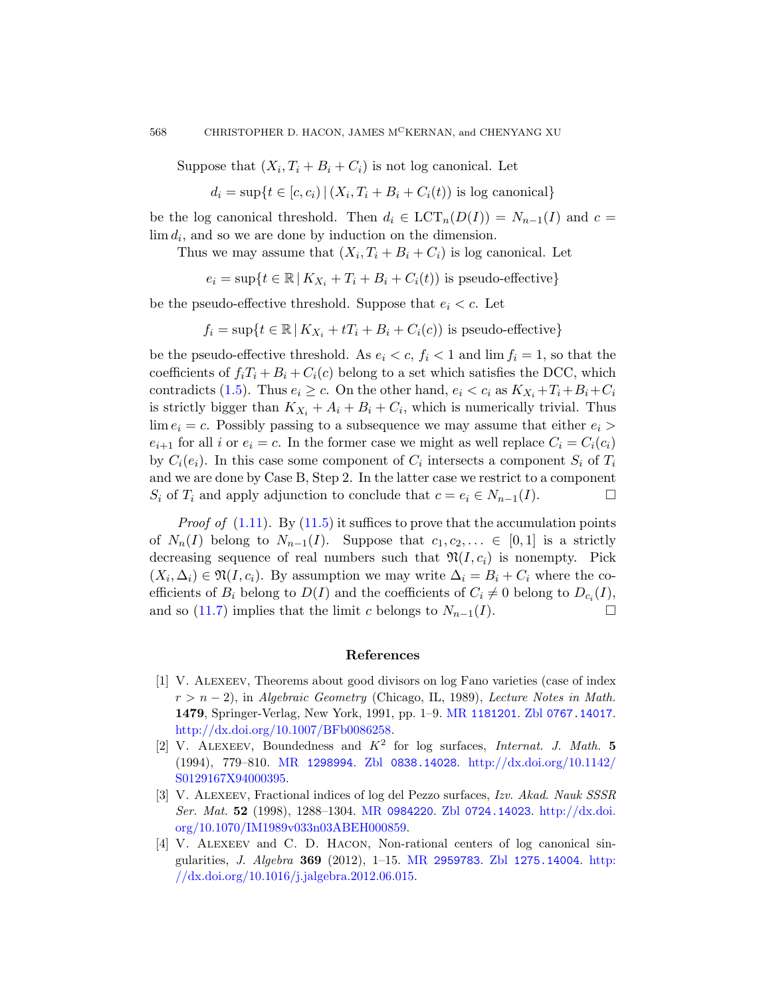Suppose that  $(X_i, T_i + B_i + C_i)$  is not log canonical. Let

$$
d_i = \sup\{t \in [c, c_i) \mid (X_i, T_i + B_i + C_i(t)) \text{ is log canonical}\}\
$$

be the log canonical threshold. Then  $d_i \in LCT_n(D(I)) = N_{n-1}(I)$  and  $c =$  $\lim d_i$ , and so we are done by induction on the dimension.

Thus we may assume that  $(X_i, T_i + B_i + C_i)$  is log canonical. Let

 $e_i = \sup\{t \in \mathbb{R} \mid K_{X_i} + T_i + B_i + C_i(t)\}\$ is pseudo-effective}

be the pseudo-effective threshold. Suppose that  $e_i < c$ . Let

$$
f_i = \sup\{t \in \mathbb{R} \mid K_{X_i} + tT_i + B_i + C_i(c)\}\
$$
is pseudo-effective $\}$ 

be the pseudo-effective threshold. As  $e_i < c, f_i < 1$  and  $\lim f_i = 1$ , so that the coefficients of  $f_i T_i + B_i + C_i(c)$  belong to a set which satisfies the DCC, which contradicts (1.5). Thus  $e_i \geq c$ . On the other hand,  $e_i < c_i$  as  $K_{X_i} + T_i + B_i + C_i$ is [strict](#page-38-0)ly bigger than  $K_{X_i} + A_i + B_i + C_i$ , which is numerically trivial. Thus  $\lim e_i = c$ . Possibly passing to a subsequence we may assume that either  $e_i >$  $e_{i+1}$  for all i or  $e_i = c$ . In the former case we might as well replace  $C_i = C_i(c_i)$ by  $C_i(e_i)$ . In this case some component of  $C_i$  intersects a component  $S_i$  of  $T_i$ and we are done by Case B, Step 2. In the latter case we restrict to a component  $S_i$  of  $T_i$  and apply adjunction to conclude that  $c = e_i \in N_{n-1}(I)$ .

*Proof of*  $(1.11)$ . By  $(11.5)$  it suffices to prove that the accumulation points of  $N_n(I)$  belong to  $N_{n-1}(I)$ . Suppose that  $c_1, c_2, \ldots \in [0,1]$  is a strictly decreasing sequence of real numbers such that  $\mathfrak{N}(I, c_i)$  is nonempty. Pick  $(X_i, \Delta_i) \in \mathfrak{N}(I, c_i)$ . By assumption we may write  $\Delta_i = B_i + C_i$  where the coefficients of  $B_i$  belong to  $D(I)$  and the coefficients of  $C_i \neq 0$  belong to  $D_{c_i}(I)$ , [and so \(11.7\) imp](http://dx.doi.org/10.1007/BFb0086258)lies that [the limit](http://www.ams.org/mathscinet-getitem?mr=1181201) c b[elongs to](http://www.zentralblatt-math.org/zmath/en/search/?q=an:0767.14017)  $N_{n-1}(I)$ .

#### [References](http://dx.doi.org/10.1142/S0129167X94000395)

- <span id="page-45-0"></span>[1] V. Alexeev, Theorems about good divisors on log Fano varieties (case of index  $r > n - 2$ ), in [Algebra](http://www.ams.org/mathscinet-getitem?mr=0984220)[ic Geometry](http://www.zentralblatt-math.org/zmath/en/search/?q=an:0724.14023) (Chi[cago, IL, 1989\)](http://dx.doi.org/10.1070/IM1989v033n03ABEH000859), Lecture Notes in Math. 1479[, Springer-V](http://dx.doi.org/10.1070/IM1989v033n03ABEH000859)erlag, New York, 1991, pp. 1–9. MR 1181201. Zbl 0767.14017. http://dx.doi.org/10.1007/BFb0086258.
- [2] V. ALEXEEV, [Boundedness a](http://www.ams.org/mathscinet-getitem?mr=2959783)nd  $K^2$  [for log s](http://www.zentralblatt-math.org/zmath/en/search/?q=an:1275.14004)[urfaces](http://dx.doi.org/10.1016/j.jalgebra.2012.06.015), *Internat. J. Math.* 5 [\(1994\), 779–810.](http://dx.doi.org/10.1016/j.jalgebra.2012.06.015) MR 1298994. Zbl 0838.14028. http://dx.doi.org/10.1142/ S0129167X94000395.
- [3] V. Alexeev, Fractional indices of log del Pezzo surfaces, Izv. Akad. Nauk SSSR Ser. Mat. 52 (1998), 1288–1304. MR 0984220. Zbl 0724.14023. http://dx.doi. org/10.1070/IM1989v033n03ABEH000859.
- [4] V. Alexeev and C. D. Hacon, Non-rational centers of log canonical singularities, *J. Algebra* **369** (2012), 1-15. MR 2959783. Zbl 1275.14004. http: //dx.doi.org/10.1016/j.jalgebra.2012.06.015.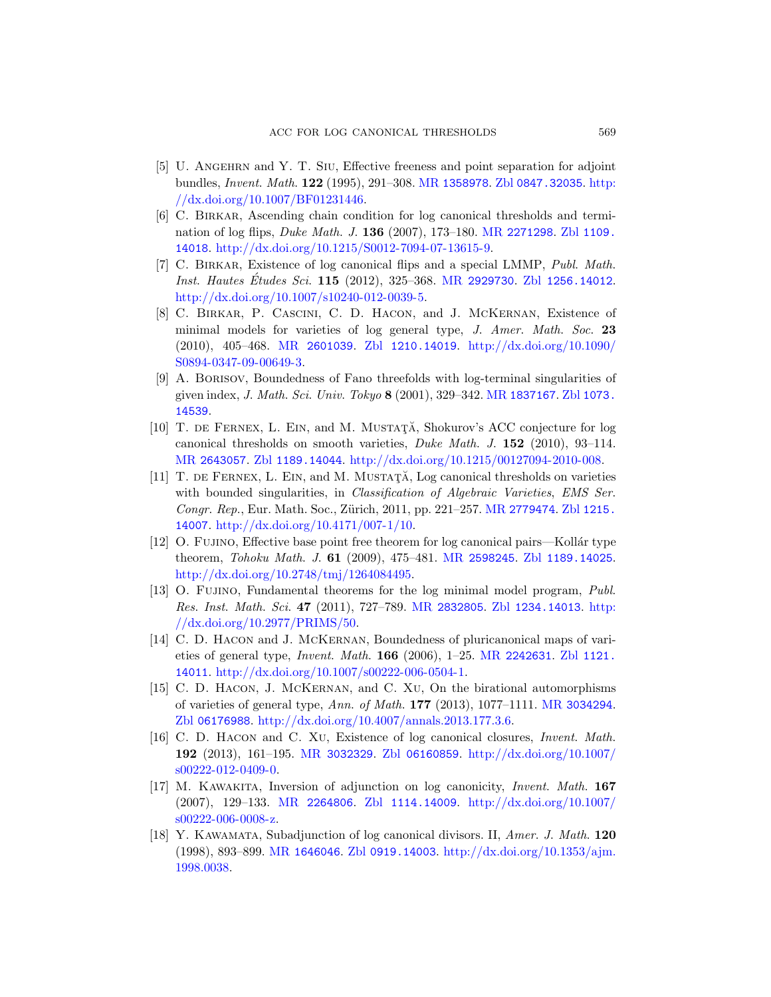- <span id="page-46-7"></span><span id="page-46-2"></span>[5] U. Angehrn and Y. T. Siu[, Effecti](http://www.ams.org/mathscinet-getitem?mr=2929730)[ve freeness and po](http://www.zentralblatt-math.org/zmath/en/search/?q=an:1256.14012)int separation for adjoint [bundles,](http://dx.doi.org/10.1007/s10240-012-0039-5) Invent. Math. 122 (1995), 291–308. MR 1358978. Zbl 0847.32035. http: //dx.doi.org/10.1007/BF01231446.
- <span id="page-46-6"></span>[6] C. Birkar, Ascending chain condition for log canonical thresholds and termi[nation o](http://www.ams.org/mathscinet-getitem?mr=2601039)f [log flips,](http://www.zentralblatt-math.org/zmath/en/search/?q=an:1210.14019) Duke Math. J. 136 [\(2007\), 173–180.](http://dx.doi.org/10.1090/S0894-0347-09-00649-3) MR 2271298. Zbl 1109. 14018. http://dx.doi.org/10.1215/S0012-7094-07-13615-9.
- <span id="page-46-1"></span>[\[7](http://dx.doi.org/10.1090/S0894-0347-09-00649-3)] C. Birkar, Existence of log canonical flips and a special LMMP, Publ. Math. Inst. Hautes Etudes Sci. 115 [\(2012\), 325–3](http://www.ams.org/mathscinet-getitem?mr=1837167)68. [MR](http://www.zentralblatt-math.org/zmath/en/search/?q=an:1073.14539) 2929730. Zbl 1256.14012. http://dx.doi.org/10.1007/s10240-012-0039-5.
- [8] C. Birkar, P. Cascini, C. D. Hacon, and J. McKernan, Existence of minimal models for varieties of log general type, J. Amer. Math. Soc. 23 [\(2010](http://www.zentralblatt-math.org/zmath/en/search/?q=an:1189.14044)), 405–468. MR 2601039. Zbl [1210.14019](http://dx.doi.org/10.1215/00127094-2010-008). http://dx.doi.org/10.1090/ S0894-0347-09-00649-3.
- [9] A. Borisov, Boundedness of Fano threefolds with log-terminal singularities of given index, J. Math. Sci. Univ. [Tokyo](http://www.ams.org/mathscinet-getitem?mr=2779474) 8 (2001), 329-342. MR 1837167. Zbl 1073. 14539.
- <span id="page-46-9"></span>[10] T. DE FERNEX, L. EIN, and M. MUSTATĂ, Shokurov's ACC conjecture for log canonical thresholds o[n smooth vari](http://www.ams.org/mathscinet-getitem?mr=2598245)eties, [Duke Math](http://www.zentralblatt-math.org/zmath/en/search/?q=an:1189.14025). J. 152 (2010), 93–114. MR 2643057. Zbl 1189.14044. http://dx.doi.org/10.1215/00127094-2010-008.
- <span id="page-46-8"></span> $[11]$  T. DE FERNEX, L. EIN, and M. MUSTAT $\check{A}$ , Log canonical thresholds on varieties with bounded si[ngularities, in](http://www.ams.org/mathscinet-getitem?mr=2832805) *[Classification of](http://www.zentralblatt-math.org/zmath/en/search/?q=an:1234.14013) [Algebr](http://dx.doi.org/10.2977/PRIMS/50)aic Varieties*, *EMS Ser.* [Congr](http://dx.doi.org/10.2977/PRIMS/50). Rep., Eur. Math. Soc., Zürich, 2011, pp. 221-257. MR 2779474. Zbl 1215. 14007. http://dx.doi.org/10.4171/007-1/10.
- <span id="page-46-4"></span>[12] O. FUJINO, Effective base poi[nt free theorem](http://www.ams.org/mathscinet-getitem?mr=2242631) [for log can](http://www.zentralblatt-math.org/zmath/en/search/?q=an:1121.14011)onical pairs—Kollár type theorem, [Tohoku Math](http://dx.doi.org/10.1007/s00222-006-0504-1). J. 61 (2009), 475–481. MR 2598245. Zbl 1189.14025. http://dx.doi.org/10.2748/tmj/1264084495.
- <span id="page-46-0"></span>[13] O. Fujino, Fundamental theorems for [the log minim](http://www.ams.org/mathscinet-getitem?mr=3034294)al model program, Publ. Res. Inst. Math. Sci. 47 (2011), 727–789. MR 2832805. Zbl 1234.14013. http: [//dx.doi.org/10.2977/PRIMS/50.](http://dx.doi.org/10.4007/annals.2013.177.3.6)
- <span id="page-46-3"></span>[14] [C. D. Hac](http://www.ams.org/mathscinet-getitem?mr=3032329)on and [J. McK](http://www.zentralblatt-math.org/zmath/en/search/?q=an:06160859)ernan[, Boundedness of plu](http://dx.doi.org/10.1007/s00222-012-0409-0)ricanonical maps of varieties of general type, Invent. Math. 166 (2006), 1–25. MR 2242631. Zbl 1121. 14011. http://dx.doi.org/10.1007/s00222-006-0504-1.
- [15] [C. D. H](http://www.ams.org/mathscinet-getitem?mr=2264806)acon, [J. McKer](http://www.zentralblatt-math.org/zmath/en/search/?q=an:1114.14009)nan, and C. Xu[, On the b](http://dx.doi.org/10.1007/s00222-006-0008-z)irational automorphisms of varieties of general type, Ann. of Math. 177 (2013), 1077–1111. MR 3034294. Zbl 06176988. http://dx.doi.org/10.4007/annals.2013.177.3.6.
- <span id="page-46-5"></span>[\[16\]](http://www.ams.org/mathscinet-getitem?mr=1646046) C. D[. Hacon](http://www.zentralblatt-math.org/zmath/en/search/?q=an:0919.14003) and C. Xu[, Existence of log canonical](http://dx.doi.org/10.1353/ajm.1998.0038) closures, Invent. Math. 192 (2013), 161–195. MR 3032329. Zbl 06160859. http://dx.doi.org/10.1007/ s00222-012-0409-0.
- [17] M. Kawakita, Inversion of adjunction on log canonicity, Invent. Math. 167 (2007), 129–133. MR 2264806. Zbl 1114.14009. http://dx.doi.org/10.1007/ s00222-006-0008-z.
- [18] Y. Kawamata, Subadjunction of log canonical divisors. II, Amer. J. Math. 120 (1998), 893–899. MR 1646046. Zbl 0919.14003. http://dx.doi.org/10.1353/ajm. 1998.0038.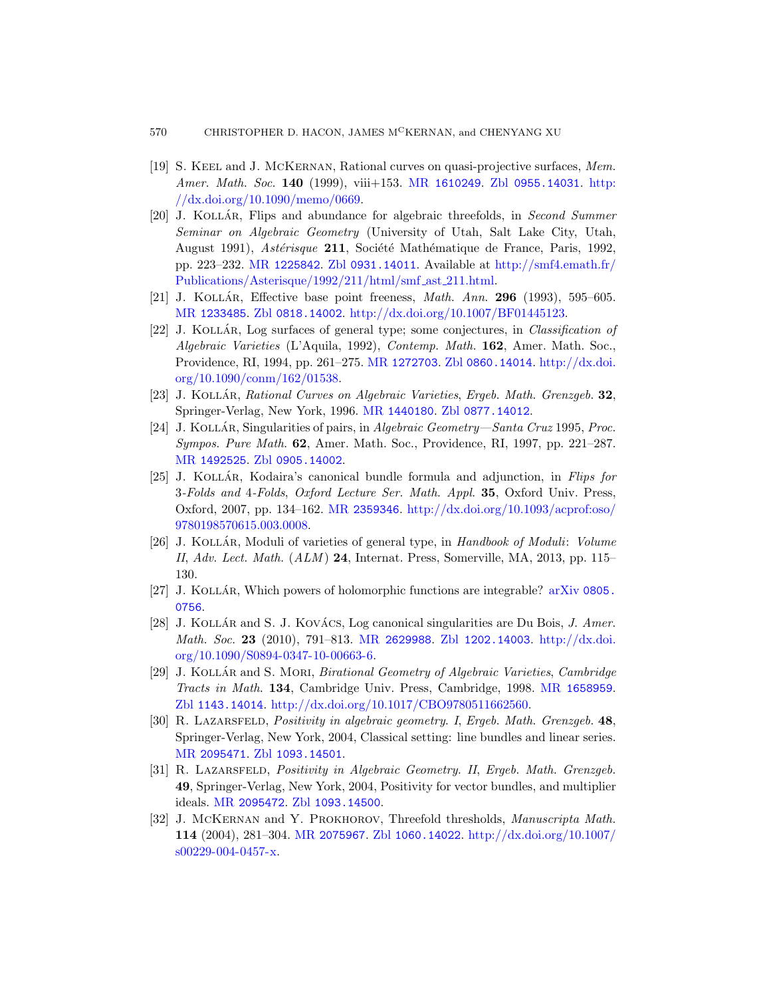- <span id="page-47-6"></span><span id="page-47-3"></span>[\[19\]](http://www.ams.org/mathscinet-getitem?mr=1225842) S. [Keel](http://www.zentralblatt-math.org/zmath/en/search/?q=an:0931.14011) and [J. McKernan](http://smf4.emath.fr/Publications/Asterisque/1992/211/html/smf_ast_211.html), R[ational curves on quasi-p](http://smf4.emath.fr/Publications/Asterisque/1992/211/html/smf_ast_211.html)rojective surfaces, Mem. Amer. Math. Soc. 140 (1999), viii+153. MR 1610249. Zbl 0955.14031. http: [//dx.](http://www.zentralblatt-math.org/zmath/en/search/?q=an:0818.14002)[doi.org/10.1090/memo/0669.](http://dx.doi.org/10.1007/BF01445123)
- <span id="page-47-0"></span>[20] J. KOLLÁR, Flips and abundance for algebraic threefolds, in Second Summer Seminar on Algebraic Geometry (University of Utah, Salt Lake City, Utah, August 1991), Astérisque 211, Société Mathématique de France, Paris, 1992, [pp. 2](http://dx.doi.org/10.1090/conm/162/01538)23–232. MR 1225842. Zbl 0931.14011. Available at http://smf4.emath.fr/ Publications/Asterisque/1992/211/html/smf ast 211.html.
- <span id="page-47-8"></span>[21] J. KOLLÁR[, Effective](http://www.ams.org/mathscinet-getitem?mr=1440180) [base point freen](http://www.zentralblatt-math.org/zmath/en/search/?q=an:0877.14012)ess, Math. Ann.  $296$  (1993), 595–605. MR 1233485. Zbl 0818.14002. http://dx.doi.org/10.1007/BF01445123.
- <span id="page-47-2"></span><span id="page-47-1"></span>[22] J. KOLLÁR, Log surfaces of general type; some conjectures, in Classification of [Algebr](http://www.zentralblatt-math.org/zmath/en/search/?q=an:0905.14002)aic Varieties (L'Aquila, 1992), Contemp. Math. 162, Amer. Math. Soc., Providence, RI, 1994, pp. 261–275. MR 1272703. Zbl 0860.14014. http://dx.doi. org/10.1090/conm/162/01538.
- [23] J. KOLLÁR, Rati[onal Curves on Algebraic Varieties](http://dx.doi.org/10.1093/acprof:oso/9780198570615.003.0008), Ergeb. Math. Grenzgeb. 32, Springer-Verlag, New York, 1996. MR 1440180. Zbl 0877.14012.
- [24] J. KOLLÁR, Singularities of pairs, in Algebraic Geometry—Santa Cruz 1995, Proc. Sympos. Pure Math. 62, Amer. Math. Soc., Providence, RI, 1997, pp. 221–287. MR 1492525. Zbl 0905.14002.
- <span id="page-47-5"></span>[25] J. KOLLÁR, Kodaira's canonical bundle [formula and](http://www.arxiv.org/abs/0805.0756) adjunction, in Flips for 3-Folds and 4-Folds, Oxford Lecture Ser. Math. Appl. 35, Oxford Univ. Press, Oxford, 2007, pp. 134–162. MR 2359346. http://dx.doi.org/10.1093/acprof:oso/ 978019[8570615.003.00](http://www.ams.org/mathscinet-getitem?mr=2629988)08.
- <span id="page-47-9"></span>[26] J. KOLLÁR, Moduli of [varieties of gener](http://www.zentralblatt-math.org/zmath/en/search/?q=an:1202.14003)[al type, in](http://dx.doi.org/10.1090/S0894-0347-10-00663-6) Handbook of Moduli: Volume II,  $Adv.$  Lect. Math.  $(ALM)$  24, Internat. Press, Somerville, MA, 2013, pp. 115– 130.
- [27] J. KOLLÁR[, Which powers of holomorph](http://dx.doi.org/10.1017/CBO9780511662560)i[c functions are](http://www.ams.org/mathscinet-getitem?mr=1658959) integrable?  $arXiv$  0805. 0756.
- [28] J. KOLLÁR and S. J. KOVÁCS, Log canonical singularities are Du Bois, J. Amer. [Math](http://www.zentralblatt-math.org/zmath/en/search/?q=an:1093.14501). Soc. 23 (2010), 791–813. MR 2629988. Zbl 1202.14003. http://dx.doi. org/10.1090/S0894-0347-10-00663-6.
- <span id="page-47-7"></span>[29] J. KOLLÁR and S. MORI, *Birational Geometry of Algebraic Varieties, Cambridge* [Tracts in Ma](http://www.zentralblatt-math.org/zmath/en/search/?q=an:1093.14500)th. 134, Cambridge Univ. Press, Cambridge, 1998. MR 1658959. Zbl 1143.14014. http://dx.doi.org/10.1017/CBO9780511662560.
- <span id="page-47-4"></span>[30] R. LAZARSFELD, [Positivity](http://www.zentralblatt-math.org/zmath/en/search/?q=an:1060.14022) [in algebraic geometry](http://dx.doi.org/10.1007/s00229-004-0457-x). I, Ergeb. Math. Grenzgeb. 48, Springer-Verlag, New York, 2004, Classical setting: line bundles and linear series. MR 2095471. Zbl 1093.14501.
- [31] R. Lazarsfeld, Positivity in Algebraic Geometry. II, Ergeb. Math. Grenzgeb. 49, Springer-Verlag, New York, 2004, Positivity for vector bundles, and multiplier ideals. MR 2095472. Zbl 1093.14500.
- [32] J. MCKERNAN and Y. PROKHOROV, Threefold thresholds, *Manuscripta Math.* 114 (2004), 281–304. MR 2075967. Zbl 1060.14022. http://dx.doi.org/10.1007/ s00229-004-0457-x.